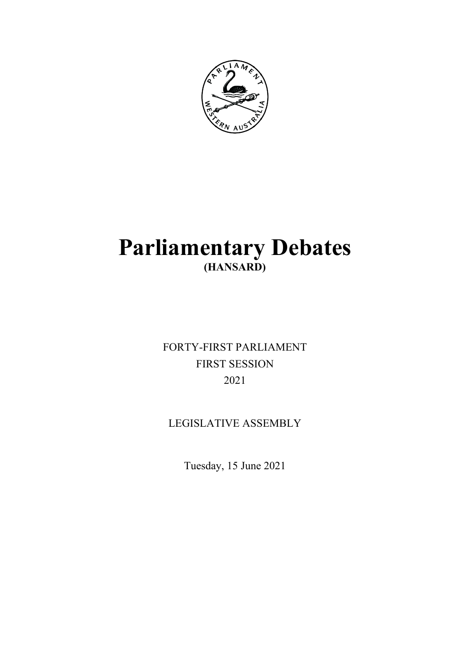

# **Parliamentary Debates (HANSARD)**

FORTY-FIRST PARLIAMENT FIRST SESSION 2021

LEGISLATIVE ASSEMBLY

Tuesday, 15 June 2021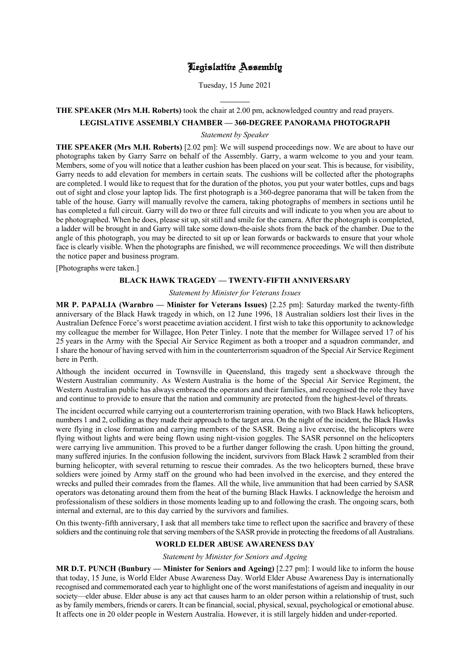# Legislative Assembly

Tuesday, 15 June 2021

# l **THE SPEAKER (Mrs M.H. Roberts)** took the chair at 2.00 pm, acknowledged country and read prayers.

#### **LEGISLATIVE ASSEMBLY CHAMBER — 360-DEGREE PANORAMA PHOTOGRAPH**

*Statement by Speaker*

**THE SPEAKER (Mrs M.H. Roberts)** [2.02 pm]: We will suspend proceedings now. We are about to have our photographs taken by Garry Sarre on behalf of the Assembly. Garry, a warm welcome to you and your team. Members, some of you will notice that a leather cushion has been placed on your seat. This is because, for visibility, Garry needs to add elevation for members in certain seats. The cushions will be collected after the photographs are completed. I would like to request that for the duration of the photos, you put your water bottles, cups and bags out of sight and close your laptop lids. The first photograph is a 360-degree panorama that will be taken from the table of the house. Garry will manually revolve the camera, taking photographs of members in sections until he has completed a full circuit. Garry will do two or three full circuits and will indicate to you when you are about to be photographed. When he does, please sit up, sit still and smile for the camera. After the photograph is completed, a ladder will be brought in and Garry will take some down-the-aisle shots from the back of the chamber. Due to the angle of this photograph, you may be directed to sit up or lean forwards or backwards to ensure that your whole face is clearly visible. When the photographs are finished, we will recommence proceedings. We will then distribute the notice paper and business program.

[Photographs were taken.]

# **BLACK HAWK TRAGEDY — TWENTY-FIFTH ANNIVERSARY**

*Statement by Minister for Veterans Issues*

**MR P. PAPALIA (Warnbro — Minister for Veterans Issues)** [2.25 pm]: Saturday marked the twenty-fifth anniversary of the Black Hawk tragedy in which, on 12 June 1996, 18 Australian soldiers lost their lives in the Australian Defence Force's worst peacetime aviation accident. I first wish to take this opportunity to acknowledge my colleague the member for Willagee, Hon Peter Tinley. I note that the member for Willagee served 17 of his 25 years in the Army with the Special Air Service Regiment as both a trooper and a squadron commander, and I share the honour of having served with him in the counterterrorism squadron of the Special Air Service Regiment here in Perth.

Although the incident occurred in Townsville in Queensland, this tragedy sent a shockwave through the Western Australian community. As Western Australia is the home of the Special Air Service Regiment, the Western Australian public has always embraced the operators and their families, and recognised the role they have and continue to provide to ensure that the nation and community are protected from the highest-level of threats.

The incident occurred while carrying out a counterterrorism training operation, with two Black Hawk helicopters, numbers 1 and 2, colliding as they made their approach to the target area. On the night of the incident, the Black Hawks were flying in close formation and carrying members of the SASR. Being a live exercise, the helicopters were flying without lights and were being flown using night-vision goggles. The SASR personnel on the helicopters were carrying live ammunition. This proved to be a further danger following the crash. Upon hitting the ground, many suffered injuries. In the confusion following the incident, survivors from Black Hawk 2 scrambled from their burning helicopter, with several returning to rescue their comrades. As the two helicopters burned, these brave soldiers were joined by Army staff on the ground who had been involved in the exercise, and they entered the wrecks and pulled their comrades from the flames. All the while, live ammunition that had been carried by SASR operators was detonating around them from the heat of the burning Black Hawks. I acknowledge the heroism and professionalism of these soldiers in those moments leading up to and following the crash. The ongoing scars, both internal and external, are to this day carried by the survivors and families.

On this twenty-fifth anniversary, I ask that all members take time to reflect upon the sacrifice and bravery of these soldiers and the continuing role that serving members of the SASR provide in protecting the freedoms of all Australians.

## **WORLD ELDER ABUSE AWARENESS DAY**

*Statement by Minister for Seniors and Ageing*

**MR D.T. PUNCH (Bunbury — Minister for Seniors and Ageing)** [2.27 pm]: I would like to inform the house that today, 15 June, is World Elder Abuse Awareness Day. World Elder Abuse Awareness Day is internationally recognised and commemorated each year to highlight one of the worst manifestations of ageism and inequality in our society—elder abuse. Elder abuse is any act that causes harm to an older person within a relationship of trust, such as by family members, friends or carers. It can be financial, social, physical, sexual, psychological or emotional abuse. It affects one in 20 older people in Western Australia. However, it is still largely hidden and under-reported.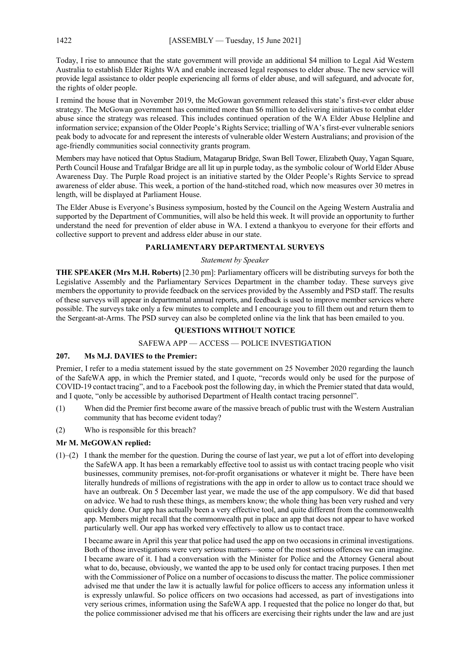Today, I rise to announce that the state government will provide an additional \$4 million to Legal Aid Western Australia to establish Elder Rights WA and enable increased legal responses to elder abuse. The new service will provide legal assistance to older people experiencing all forms of elder abuse, and will safeguard, and advocate for, the rights of older people.

I remind the house that in November 2019, the McGowan government released this state's first-ever elder abuse strategy. The McGowan government has committed more than \$6 million to delivering initiatives to combat elder abuse since the strategy was released. This includes continued operation of the WA Elder Abuse Helpline and information service; expansion of the Older People's Rights Service; trialling of WA's first-ever vulnerable seniors peak body to advocate for and represent the interests of vulnerable older Western Australians; and provision of the age-friendly communities social connectivity grants program.

Members may have noticed that Optus Stadium, Matagarup Bridge, Swan Bell Tower, Elizabeth Quay, Yagan Square, Perth Council House and Trafalgar Bridge are all lit up in purple today, as the symbolic colour of World Elder Abuse Awareness Day. The Purple Road project is an initiative started by the Older People's Rights Service to spread awareness of elder abuse. This week, a portion of the hand-stitched road, which now measures over 30 metres in length, will be displayed at Parliament House.

The Elder Abuse is Everyone's Business symposium, hosted by the Council on the Ageing Western Australia and supported by the Department of Communities, will also be held this week. It will provide an opportunity to further understand the need for prevention of elder abuse in WA. I extend a thankyou to everyone for their efforts and collective support to prevent and address elder abuse in our state.

## **PARLIAMENTARY DEPARTMENTAL SURVEYS**

#### *Statement by Speaker*

**THE SPEAKER (Mrs M.H. Roberts)** [2.30 pm]: Parliamentary officers will be distributing surveys for both the Legislative Assembly and the Parliamentary Services Department in the chamber today. These surveys give members the opportunity to provide feedback on the services provided by the Assembly and PSD staff. The results of these surveys will appear in departmental annual reports, and feedback is used to improve member services where possible. The surveys take only a few minutes to complete and I encourage you to fill them out and return them to the Sergeant-at-Arms. The PSD survey can also be completed online via the link that has been emailed to you.

#### **QUESTIONS WITHOUT NOTICE**

### SAFEWA APP — ACCESS — POLICE INVESTIGATION

#### **207. Ms M.J. DAVIES to the Premier:**

Premier, I refer to a media statement issued by the state government on 25 November 2020 regarding the launch of the SafeWA app, in which the Premier stated, and I quote, "records would only be used for the purpose of COVID-19 contact tracing", and to a Facebook post the following day, in which the Premier stated that data would, and I quote, "only be accessible by authorised Department of Health contact tracing personnel".

- (1) When did the Premier first become aware of the massive breach of public trust with the Western Australian community that has become evident today?
- (2) Who is responsible for this breach?

# **Mr M. McGOWAN replied:**

 $(1)$ –(2) I thank the member for the question. During the course of last year, we put a lot of effort into developing the SafeWA app. It has been a remarkably effective tool to assist us with contact tracing people who visit businesses, community premises, not-for-profit organisations or whatever it might be. There have been literally hundreds of millions of registrations with the app in order to allow us to contact trace should we have an outbreak. On 5 December last year, we made the use of the app compulsory. We did that based on advice. We had to rush these things, as members know; the whole thing has been very rushed and very quickly done. Our app has actually been a very effective tool, and quite different from the commonwealth app. Members might recall that the commonwealth put in place an app that does not appear to have worked particularly well. Our app has worked very effectively to allow us to contact trace.

I became aware in April this year that police had used the app on two occasions in criminal investigations. Both of those investigations were very serious matters—some of the most serious offences we can imagine. I became aware of it. I had a conversation with the Minister for Police and the Attorney General about what to do, because, obviously, we wanted the app to be used only for contact tracing purposes. I then met with the Commissioner of Police on a number of occasions to discuss the matter. The police commissioner advised me that under the law it is actually lawful for police officers to access any information unless it is expressly unlawful. So police officers on two occasions had accessed, as part of investigations into very serious crimes, information using the SafeWA app. I requested that the police no longer do that, but the police commissioner advised me that his officers are exercising their rights under the law and are just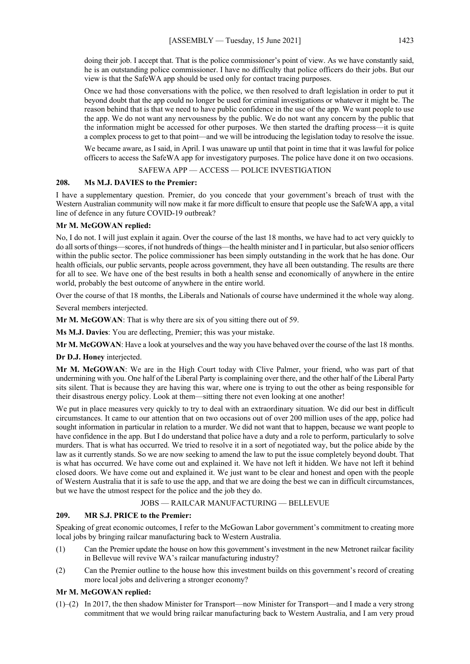doing their job. I accept that. That is the police commissioner's point of view. As we have constantly said, he is an outstanding police commissioner. I have no difficulty that police officers do their jobs. But our view is that the SafeWA app should be used only for contact tracing purposes.

Once we had those conversations with the police, we then resolved to draft legislation in order to put it beyond doubt that the app could no longer be used for criminal investigations or whatever it might be. The reason behind that is that we need to have public confidence in the use of the app. We want people to use the app. We do not want any nervousness by the public. We do not want any concern by the public that the information might be accessed for other purposes. We then started the drafting process—it is quite a complex process to get to that point—and we will be introducing the legislation today to resolve the issue.

We became aware, as I said, in April. I was unaware up until that point in time that it was lawful for police officers to access the SafeWA app for investigatory purposes. The police have done it on two occasions.

## SAFEWA APP — ACCESS — POLICE INVESTIGATION

### **208. Ms M.J. DAVIES to the Premier:**

I have a supplementary question. Premier, do you concede that your government's breach of trust with the Western Australian community will now make it far more difficult to ensure that people use the SafeWA app, a vital line of defence in any future COVID-19 outbreak?

### **Mr M. McGOWAN replied:**

No, I do not. I will just explain it again. Over the course of the last 18 months, we have had to act very quickly to do all sorts of things—scores, if not hundreds of things—the health minister and I in particular, but also senior officers within the public sector. The police commissioner has been simply outstanding in the work that he has done. Our health officials, our public servants, people across government, they have all been outstanding. The results are there for all to see. We have one of the best results in both a health sense and economically of anywhere in the entire world, probably the best outcome of anywhere in the entire world.

Over the course of that 18 months, the Liberals and Nationals of course have undermined it the whole way along.

Several members interjected.

**Mr M. McGOWAN**: That is why there are six of you sitting there out of 59.

**Ms M.J. Davies**: You are deflecting, Premier; this was your mistake.

**Mr M. McGOWAN**: Have a look at yourselves and the way you have behaved over the course of the last 18 months.

**Dr D.J. Honey** interjected.

**Mr M. McGOWAN**: We are in the High Court today with Clive Palmer, your friend, who was part of that undermining with you. One half of the Liberal Party is complaining over there, and the other half of the Liberal Party sits silent. That is because they are having this war, where one is trying to out the other as being responsible for their disastrous energy policy. Look at them—sitting there not even looking at one another!

We put in place measures very quickly to try to deal with an extraordinary situation. We did our best in difficult circumstances. It came to our attention that on two occasions out of over 200 million uses of the app, police had sought information in particular in relation to a murder. We did not want that to happen, because we want people to have confidence in the app. But I do understand that police have a duty and a role to perform, particularly to solve murders. That is what has occurred. We tried to resolve it in a sort of negotiated way, but the police abide by the law as it currently stands. So we are now seeking to amend the law to put the issue completely beyond doubt. That is what has occurred. We have come out and explained it. We have not left it hidden. We have not left it behind closed doors. We have come out and explained it. We just want to be clear and honest and open with the people of Western Australia that it is safe to use the app, and that we are doing the best we can in difficult circumstances, but we have the utmost respect for the police and the job they do.

#### JOBS — RAILCAR MANUFACTURING — BELLEVUE

#### **209. MR S.J. PRICE to the Premier:**

Speaking of great economic outcomes, I refer to the McGowan Labor government's commitment to creating more local jobs by bringing railcar manufacturing back to Western Australia.

- (1) Can the Premier update the house on how this government's investment in the new Metronet railcar facility in Bellevue will revive WA's railcar manufacturing industry?
- (2) Can the Premier outline to the house how this investment builds on this government's record of creating more local jobs and delivering a stronger economy?

#### **Mr M. McGOWAN replied:**

(1)–(2) In 2017, the then shadow Minister for Transport—now Minister for Transport—and I made a very strong commitment that we would bring railcar manufacturing back to Western Australia, and I am very proud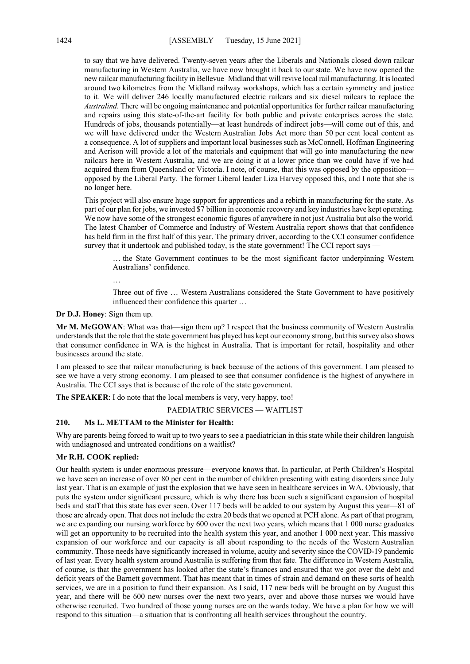to say that we have delivered. Twenty-seven years after the Liberals and Nationals closed down railcar manufacturing in Western Australia, we have now brought it back to our state. We have now opened the new railcar manufacturing facility in Bellevue–Midland that will revive local rail manufacturing. It is located around two kilometres from the Midland railway workshops, which has a certain symmetry and justice to it. We will deliver 246 locally manufactured electric railcars and six diesel railcars to replace the *Australind*. There will be ongoing maintenance and potential opportunities for further railcar manufacturing and repairs using this state-of-the-art facility for both public and private enterprises across the state. Hundreds of jobs, thousands potentially—at least hundreds of indirect jobs—will come out of this, and we will have delivered under the Western Australian Jobs Act more than 50 per cent local content as a consequence. A lot of suppliers and important local businesses such as McConnell, Hoffman Engineering and Aerison will provide a lot of the materials and equipment that will go into manufacturing the new railcars here in Western Australia, and we are doing it at a lower price than we could have if we had acquired them from Queensland or Victoria. I note, of course, that this was opposed by the opposition opposed by the Liberal Party. The former Liberal leader Liza Harvey opposed this, and I note that she is no longer here.

This project will also ensure huge support for apprentices and a rebirth in manufacturing for the state. As part of our plan for jobs, we invested \$7 billion in economic recovery and key industries have kept operating. We now have some of the strongest economic figures of anywhere in not just Australia but also the world. The latest Chamber of Commerce and Industry of Western Australia report shows that that confidence has held firm in the first half of this year. The primary driver, according to the CCI consumer confidence survey that it undertook and published today, is the state government! The CCI report says -

… the State Government continues to be the most significant factor underpinning Western Australians' confidence.

…

Three out of five … Western Australians considered the State Government to have positively influenced their confidence this quarter …

**Dr D.J. Honey**: Sign them up.

**Mr M. McGOWAN**: What was that—sign them up? I respect that the business community of Western Australia understands that the role that the state government has played has kept our economy strong, but this survey also shows that consumer confidence in WA is the highest in Australia. That is important for retail, hospitality and other businesses around the state.

I am pleased to see that railcar manufacturing is back because of the actions of this government. I am pleased to see we have a very strong economy. I am pleased to see that consumer confidence is the highest of anywhere in Australia. The CCI says that is because of the role of the state government.

**The SPEAKER**: I do note that the local members is very, very happy, too!

PAEDIATRIC SERVICES — WAITLIST

#### **210. Ms L. METTAM to the Minister for Health:**

Why are parents being forced to wait up to two years to see a paediatrician in this state while their children languish with undiagnosed and untreated conditions on a waitlist?

### **Mr R.H. COOK replied:**

Our health system is under enormous pressure—everyone knows that. In particular, at Perth Children's Hospital we have seen an increase of over 80 per cent in the number of children presenting with eating disorders since July last year. That is an example of just the explosion that we have seen in healthcare services in WA. Obviously, that puts the system under significant pressure, which is why there has been such a significant expansion of hospital beds and staff that this state has ever seen. Over 117 beds will be added to our system by August this year—81 of those are already open. That does not include the extra 20 beds that we opened at PCH alone. As part of that program, we are expanding our nursing workforce by 600 over the next two years, which means that 1 000 nurse graduates will get an opportunity to be recruited into the health system this year, and another 1 000 next year. This massive expansion of our workforce and our capacity is all about responding to the needs of the Western Australian community. Those needs have significantly increased in volume, acuity and severity since the COVID-19 pandemic of last year. Every health system around Australia is suffering from that fate. The difference in Western Australia, of course, is that the government has looked after the state's finances and ensured that we got over the debt and deficit years of the Barnett government. That has meant that in times of strain and demand on these sorts of health services, we are in a position to fund their expansion. As I said, 117 new beds will be brought on by August this year, and there will be 600 new nurses over the next two years, over and above those nurses we would have otherwise recruited. Two hundred of those young nurses are on the wards today. We have a plan for how we will respond to this situation—a situation that is confronting all health services throughout the country.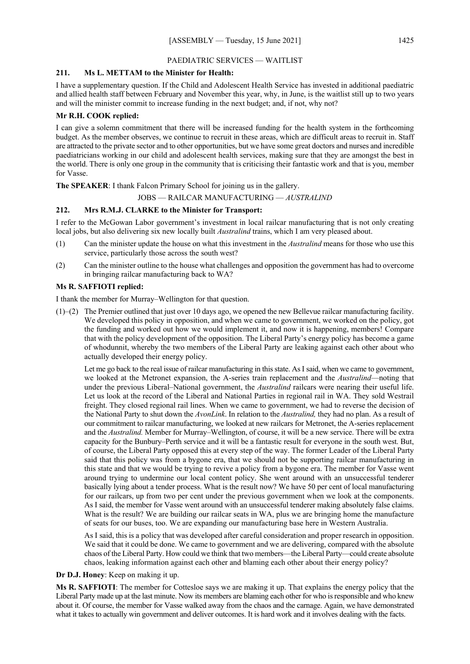## PAEDIATRIC SERVICES — WAITLIST

## **211. Ms L. METTAM to the Minister for Health:**

I have a supplementary question. If the Child and Adolescent Health Service has invested in additional paediatric and allied health staff between February and November this year, why, in June, is the waitlist still up to two years and will the minister commit to increase funding in the next budget; and, if not, why not?

## **Mr R.H. COOK replied:**

I can give a solemn commitment that there will be increased funding for the health system in the forthcoming budget. As the member observes, we continue to recruit in these areas, which are difficult areas to recruit in. Staff are attracted to the private sector and to other opportunities, but we have some great doctors and nurses and incredible paediatricians working in our child and adolescent health services, making sure that they are amongst the best in the world. There is only one group in the community that is criticising their fantastic work and that is you, member for Vasse.

**The SPEAKER**: I thank Falcon Primary School for joining us in the gallery.

## JOBS — RAILCAR MANUFACTURING — *AUSTRALIND*

#### **212. Mrs R.M.J. CLARKE to the Minister for Transport:**

I refer to the McGowan Labor government's investment in local railcar manufacturing that is not only creating local jobs, but also delivering six new locally built *Australind* trains, which I am very pleased about.

- (1) Can the minister update the house on what this investment in the *Australind* means for those who use this service, particularly those across the south west?
- (2) Can the minister outline to the house what challenges and opposition the government has had to overcome in bringing railcar manufacturing back to WA?

#### **Ms R. SAFFIOTI replied:**

I thank the member for Murray–Wellington for that question.

(1)–(2) The Premier outlined that just over 10 days ago, we opened the new Bellevue railcar manufacturing facility. We developed this policy in opposition, and when we came to government, we worked on the policy, got the funding and worked out how we would implement it, and now it is happening, members! Compare that with the policy development of the opposition. The Liberal Party's energy policy has become a game of whodunnit, whereby the two members of the Liberal Party are leaking against each other about who actually developed their energy policy.

Let me go back to the real issue of railcar manufacturing in this state. As I said, when we came to government, we looked at the Metronet expansion, the A-series train replacement and the *Australind*—noting that under the previous Liberal–National government, the *Australind* railcars were nearing their useful life. Let us look at the record of the Liberal and National Parties in regional rail in WA. They sold Westrail freight. They closed regional rail lines. When we came to government, we had to reverse the decision of the National Party to shut down the *AvonLink*. In relation to the *Australind,* they had no plan. As a result of our commitment to railcar manufacturing, we looked at new railcars for Metronet, the A-series replacement and the *Australind.* Member for Murray–Wellington, of course, it will be a new service. There will be extra capacity for the Bunbury–Perth service and it will be a fantastic result for everyone in the south west. But, of course, the Liberal Party opposed this at every step of the way. The former Leader of the Liberal Party said that this policy was from a bygone era, that we should not be supporting railcar manufacturing in this state and that we would be trying to revive a policy from a bygone era. The member for Vasse went around trying to undermine our local content policy. She went around with an unsuccessful tenderer basically lying about a tender process. What is the result now? We have 50 per cent of local manufacturing for our railcars, up from two per cent under the previous government when we look at the components. As I said, the member for Vasse went around with an unsuccessful tenderer making absolutely false claims. What is the result? We are building our railcar seats in WA, plus we are bringing home the manufacture of seats for our buses, too. We are expanding our manufacturing base here in Western Australia.

As I said, this is a policy that was developed after careful consideration and proper research in opposition. We said that it could be done. We came to government and we are delivering, compared with the absolute chaos of the Liberal Party. How could we think that two members—the Liberal Party—could create absolute chaos, leaking information against each other and blaming each other about their energy policy?

#### **Dr D.J. Honey**: Keep on making it up.

**Ms R. SAFFIOTI**: The member for Cottesloe says we are making it up. That explains the energy policy that the Liberal Party made up at the last minute. Now its members are blaming each other for who is responsible and who knew about it. Of course, the member for Vasse walked away from the chaos and the carnage. Again, we have demonstrated what it takes to actually win government and deliver outcomes. It is hard work and it involves dealing with the facts.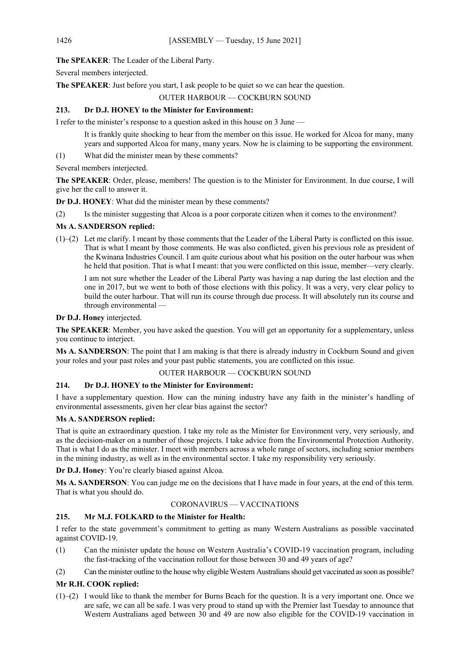**The SPEAKER**: The Leader of the Liberal Party.

Several members interjected.

**The SPEAKER**: Just before you start, I ask people to be quiet so we can hear the question.

# OUTER HARBOUR — COCKBURN SOUND

# **213. Dr D.J. HONEY to the Minister for Environment:**

I refer to the minister's response to a question asked in this house on 3 June —

It is frankly quite shocking to hear from the member on this issue. He worked for Alcoa for many, many years and supported Alcoa for many, many years. Now he is claiming to be supporting the environment.

(1) What did the minister mean by these comments?

Several members interjected.

**The SPEAKER**: Order, please, members! The question is to the Minister for Environment. In due course, I will give her the call to answer it.

**Dr D.J. HONEY**: What did the minister mean by these comments?

(2) Is the minister suggesting that Alcoa is a poor corporate citizen when it comes to the environment?

# **Ms A. SANDERSON replied:**

(1)–(2) Let me clarify. I meant by those comments that the Leader of the Liberal Party is conflicted on this issue. That is what I meant by those comments. He was also conflicted, given his previous role as president of the Kwinana Industries Council. I am quite curious about what his position on the outer harbour was when he held that position. That is what I meant: that you were conflicted on this issue, member—very clearly.

I am not sure whether the Leader of the Liberal Party was having a nap during the last election and the one in 2017, but we went to both of those elections with this policy. It was a very, very clear policy to build the outer harbour. That will run its course through due process. It will absolutely run its course and through environmental —

# **Dr D.J. Honey** interjected.

**The SPEAKER**: Member, you have asked the question. You will get an opportunity for a supplementary, unless you continue to interject.

**Ms A. SANDERSON**: The point that I am making is that there is already industry in Cockburn Sound and given your roles and your past roles and your past public statements, you are conflicted on this issue.

### OUTER HARBOUR — COCKBURN SOUND

# **214. Dr D.J. HONEY to the Minister for Environment:**

I have a supplementary question. How can the mining industry have any faith in the minister's handling of environmental assessments, given her clear bias against the sector?

# **Ms A. SANDERSON replied:**

That is quite an extraordinary question. I take my role as the Minister for Environment very, very seriously, and as the decision-maker on a number of those projects. I take advice from the Environmental Protection Authority. That is what I do as the minister. I meet with members across a whole range of sectors, including senior members in the mining industry, as well as in the environmental sector. I take my responsibility very seriously.

**Dr D.J. Honey**: You're clearly biased against Alcoa.

**Ms A. SANDERSON**: You can judge me on the decisions that I have made in four years, at the end of this term. That is what you should do.

# CORONAVIRUS — VACCINATIONS

# **215. Mr M.J. FOLKARD to the Minister for Health:**

I refer to the state government's commitment to getting as many Western Australians as possible vaccinated against COVID-19.

- (1) Can the minister update the house on Western Australia's COVID-19 vaccination program, including the fast-tracking of the vaccination rollout for those between 30 and 49 years of age?
- (2) Can the minister outline to the house why eligible Western Australians should get vaccinated as soon as possible?

# **Mr R.H. COOK replied:**

(1)–(2) I would like to thank the member for Burns Beach for the question. It is a very important one. Once we are safe, we can all be safe. I was very proud to stand up with the Premier last Tuesday to announce that Western Australians aged between 30 and 49 are now also eligible for the COVID-19 vaccination in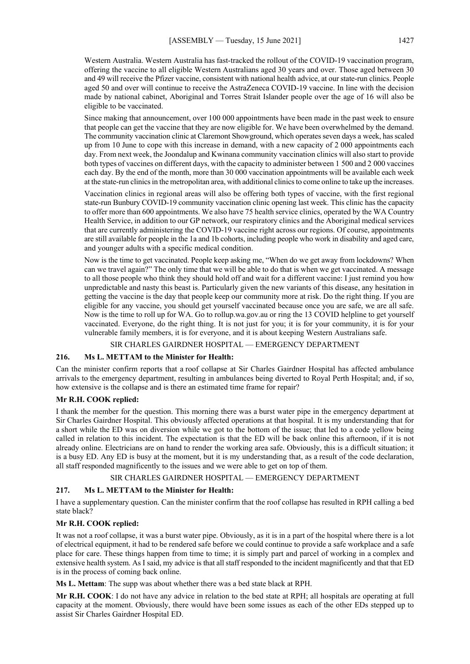Western Australia. Western Australia has fast-tracked the rollout of the COVID-19 vaccination program, offering the vaccine to all eligible Western Australians aged 30 years and over. Those aged between 30 and 49 will receive the Pfizer vaccine, consistent with national health advice, at our state-run clinics. People aged 50 and over will continue to receive the AstraZeneca COVID-19 vaccine. In line with the decision made by national cabinet, Aboriginal and Torres Strait Islander people over the age of 16 will also be eligible to be vaccinated.

Since making that announcement, over 100 000 appointments have been made in the past week to ensure that people can get the vaccine that they are now eligible for. We have been overwhelmed by the demand. The community vaccination clinic at Claremont Showground, which operates seven days a week, has scaled up from 10 June to cope with this increase in demand, with a new capacity of 2 000 appointments each day. From next week, the Joondalup and Kwinana community vaccination clinics will also start to provide both types of vaccines on different days, with the capacity to administer between 1 500 and 2 000 vaccines each day. By the end of the month, more than 30 000 vaccination appointments will be available each week at the state-run clinics in the metropolitan area, with additional clinics to come online to take up the increases.

Vaccination clinics in regional areas will also be offering both types of vaccine, with the first regional state-run Bunbury COVID-19 community vaccination clinic opening last week. This clinic has the capacity to offer more than 600 appointments. We also have 75 health service clinics, operated by the WA Country Health Service, in addition to our GP network, our respiratory clinics and the Aboriginal medical services that are currently administering the COVID-19 vaccine right across our regions. Of course, appointments are still available for people in the 1a and 1b cohorts, including people who work in disability and aged care, and younger adults with a specific medical condition.

Now is the time to get vaccinated. People keep asking me, "When do we get away from lockdowns? When can we travel again?" The only time that we will be able to do that is when we get vaccinated. A message to all those people who think they should hold off and wait for a different vaccine: I just remind you how unpredictable and nasty this beast is. Particularly given the new variants of this disease, any hesitation in getting the vaccine is the day that people keep our community more at risk. Do the right thing. If you are eligible for any vaccine, you should get yourself vaccinated because once you are safe, we are all safe. Now is the time to roll up for WA. Go to rollup.wa.gov.au or ring the 13 COVID helpline to get yourself vaccinated. Everyone, do the right thing. It is not just for you; it is for your community, it is for your vulnerable family members, it is for everyone, and it is about keeping Western Australians safe.

### SIR CHARLES GAIRDNER HOSPITAL — EMERGENCY DEPARTMENT

## **216. Ms L. METTAM to the Minister for Health:**

Can the minister confirm reports that a roof collapse at Sir Charles Gairdner Hospital has affected ambulance arrivals to the emergency department, resulting in ambulances being diverted to Royal Perth Hospital; and, if so, how extensive is the collapse and is there an estimated time frame for repair?

### **Mr R.H. COOK replied:**

I thank the member for the question. This morning there was a burst water pipe in the emergency department at Sir Charles Gairdner Hospital. This obviously affected operations at that hospital. It is my understanding that for a short while the ED was on diversion while we got to the bottom of the issue; that led to a code yellow being called in relation to this incident. The expectation is that the ED will be back online this afternoon, if it is not already online. Electricians are on hand to render the working area safe. Obviously, this is a difficult situation; it is a busy ED. Any ED is busy at the moment, but it is my understanding that, as a result of the code declaration, all staff responded magnificently to the issues and we were able to get on top of them.

## SIR CHARLES GAIRDNER HOSPITAL — EMERGENCY DEPARTMENT

### **217. Ms L. METTAM to the Minister for Health:**

I have a supplementary question. Can the minister confirm that the roof collapse has resulted in RPH calling a bed state black?

### **Mr R.H. COOK replied:**

It was not a roof collapse, it was a burst water pipe. Obviously, as it is in a part of the hospital where there is a lot of electrical equipment, it had to be rendered safe before we could continue to provide a safe workplace and a safe place for care. These things happen from time to time; it is simply part and parcel of working in a complex and extensive health system. As I said, my advice is that all staff responded to the incident magnificently and that that ED is in the process of coming back online.

**Ms L. Mettam**: The supp was about whether there was a bed state black at RPH.

**Mr R.H. COOK**: I do not have any advice in relation to the bed state at RPH; all hospitals are operating at full capacity at the moment. Obviously, there would have been some issues as each of the other EDs stepped up to assist Sir Charles Gairdner Hospital ED.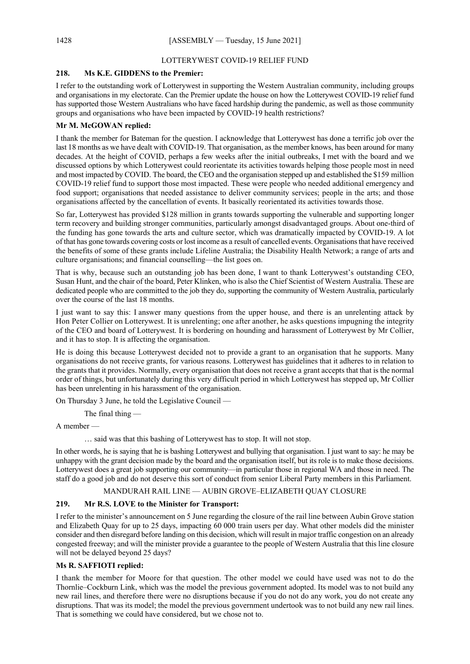## LOTTERYWEST COVID-19 RELIEF FUND

# **218. Ms K.E. GIDDENS to the Premier:**

I refer to the outstanding work of Lotterywest in supporting the Western Australian community, including groups and organisations in my electorate. Can the Premier update the house on how the Lotterywest COVID-19 relief fund has supported those Western Australians who have faced hardship during the pandemic, as well as those community groups and organisations who have been impacted by COVID-19 health restrictions?

# **Mr M. McGOWAN replied:**

I thank the member for Bateman for the question. I acknowledge that Lotterywest has done a terrific job over the last 18 months as we have dealt with COVID-19. That organisation, as the member knows, has been around for many decades. At the height of COVID, perhaps a few weeks after the initial outbreaks, I met with the board and we discussed options by which Lotterywest could reorientate its activities towards helping those people most in need and most impacted by COVID. The board, the CEO and the organisation stepped up and established the \$159 million COVID-19 relief fund to support those most impacted. These were people who needed additional emergency and food support; organisations that needed assistance to deliver community services; people in the arts; and those organisations affected by the cancellation of events. It basically reorientated its activities towards those.

So far, Lotterywest has provided \$128 million in grants towards supporting the vulnerable and supporting longer term recovery and building stronger communities, particularly amongst disadvantaged groups. About one-third of the funding has gone towards the arts and culture sector, which was dramatically impacted by COVID-19. A lot of that has gone towards covering costs or lost income as a result of cancelled events. Organisations that have received the benefits of some of these grants include Lifeline Australia; the Disability Health Network; a range of arts and culture organisations; and financial counselling—the list goes on.

That is why, because such an outstanding job has been done, I want to thank Lotterywest's outstanding CEO, Susan Hunt, and the chair of the board, Peter Klinken, who is also the Chief Scientist of Western Australia. These are dedicated people who are committed to the job they do, supporting the community of Western Australia, particularly over the course of the last 18 months.

I just want to say this: I answer many questions from the upper house, and there is an unrelenting attack by Hon Peter Collier on Lotterywest. It is unrelenting; one after another, he asks questions impugning the integrity of the CEO and board of Lotterywest. It is bordering on hounding and harassment of Lotterywest by Mr Collier, and it has to stop. It is affecting the organisation.

He is doing this because Lotterywest decided not to provide a grant to an organisation that he supports. Many organisations do not receive grants, for various reasons. Lotterywest has guidelines that it adheres to in relation to the grants that it provides. Normally, every organisation that does not receive a grant accepts that that is the normal order of things, but unfortunately during this very difficult period in which Lotterywest has stepped up, Mr Collier has been unrelenting in his harassment of the organisation.

On Thursday 3 June, he told the Legislative Council —

The final thing —

A member —

… said was that this bashing of Lotterywest has to stop. It will not stop.

In other words, he is saying that he is bashing Lotterywest and bullying that organisation. I just want to say: he may be unhappy with the grant decision made by the board and the organisation itself, but its role is to make those decisions. Lotterywest does a great job supporting our community—in particular those in regional WA and those in need. The staff do a good job and do not deserve this sort of conduct from senior Liberal Party members in this Parliament.

# MANDURAH RAIL LINE — AUBIN GROVE–ELIZABETH QUAY CLOSURE

# **219. Mr R.S. LOVE to the Minister for Transport:**

I refer to the minister's announcement on 5 June regarding the closure of the rail line between Aubin Grove station and Elizabeth Quay for up to 25 days, impacting 60 000 train users per day. What other models did the minister consider and then disregard before landing on this decision, which will result in major traffic congestion on an already congested freeway; and will the minister provide a guarantee to the people of Western Australia that this line closure will not be delayed beyond 25 days?

# **Ms R. SAFFIOTI replied:**

I thank the member for Moore for that question. The other model we could have used was not to do the Thornlie–Cockburn Link, which was the model the previous government adopted. Its model was to not build any new rail lines, and therefore there were no disruptions because if you do not do any work, you do not create any disruptions. That was its model; the model the previous government undertook was to not build any new rail lines. That is something we could have considered, but we chose not to.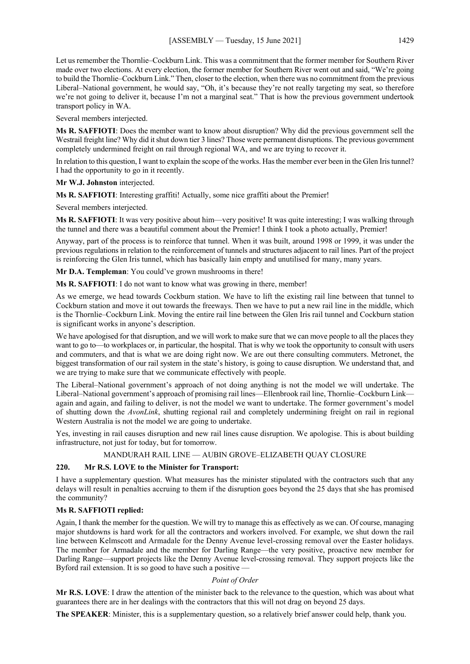Let us remember the Thornlie–Cockburn Link. This was a commitment that the former member for Southern River made over two elections. At every election, the former member for Southern River went out and said, "We're going to build the Thornlie–Cockburn Link." Then, closer to the election, when there was no commitment from the previous Liberal–National government, he would say, "Oh, it's because they're not really targeting my seat, so therefore we're not going to deliver it, because I'm not a marginal seat." That is how the previous government undertook transport policy in WA.

Several members interjected.

**Ms R. SAFFIOTI**: Does the member want to know about disruption? Why did the previous government sell the Westrail freight line? Why did it shut down tier 3 lines? Those were permanent disruptions. The previous government completely undermined freight on rail through regional WA, and we are trying to recover it.

In relation to this question, I want to explain the scope of the works. Has the member ever been in the Glen Iris tunnel? I had the opportunity to go in it recently.

**Mr W.J. Johnston** interjected.

**Ms R. SAFFIOTI:** Interesting graffiti! Actually, some nice graffiti about the Premier!

Several members interjected.

**Ms R. SAFFIOTI**: It was very positive about him—very positive! It was quite interesting; I was walking through the tunnel and there was a beautiful comment about the Premier! I think I took a photo actually, Premier!

Anyway, part of the process is to reinforce that tunnel. When it was built, around 1998 or 1999, it was under the previous regulations in relation to the reinforcement of tunnels and structures adjacent to rail lines. Part of the project is reinforcing the Glen Iris tunnel, which has basically lain empty and unutilised for many, many years.

**Mr D.A. Templeman**: You could've grown mushrooms in there!

**Ms R. SAFFIOTI**: I do not want to know what was growing in there, member!

As we emerge, we head towards Cockburn station. We have to lift the existing rail line between that tunnel to Cockburn station and move it out towards the freeways. Then we have to put a new rail line in the middle, which is the Thornlie–Cockburn Link. Moving the entire rail line between the Glen Iris rail tunnel and Cockburn station is significant works in anyone's description.

We have apologised for that disruption, and we will work to make sure that we can move people to all the places they want to go to—to workplaces or, in particular, the hospital. That is why we took the opportunity to consult with users and commuters, and that is what we are doing right now. We are out there consulting commuters. Metronet, the biggest transformation of our rail system in the state's history, is going to cause disruption. We understand that, and we are trying to make sure that we communicate effectively with people.

The Liberal–National government's approach of not doing anything is not the model we will undertake. The Liberal–National government's approach of promising rail lines—Ellenbrook rail line, Thornlie–Cockburn Link again and again, and failing to deliver, is not the model we want to undertake. The former government's model of shutting down the *AvonLink*, shutting regional rail and completely undermining freight on rail in regional Western Australia is not the model we are going to undertake.

Yes, investing in rail causes disruption and new rail lines cause disruption. We apologise. This is about building infrastructure, not just for today, but for tomorrow.

MANDURAH RAIL LINE — AUBIN GROVE–ELIZABETH QUAY CLOSURE

# **220. Mr R.S. LOVE to the Minister for Transport:**

I have a supplementary question. What measures has the minister stipulated with the contractors such that any delays will result in penalties accruing to them if the disruption goes beyond the 25 days that she has promised the community?

# **Ms R. SAFFIOTI replied:**

Again, I thank the member for the question. We will try to manage this as effectively as we can. Of course, managing major shutdowns is hard work for all the contractors and workers involved. For example, we shut down the rail line between Kelmscott and Armadale for the Denny Avenue level-crossing removal over the Easter holidays. The member for Armadale and the member for Darling Range—the very positive, proactive new member for Darling Range—support projects like the Denny Avenue level-crossing removal. They support projects like the Byford rail extension. It is so good to have such a positive —

### *Point of Order*

**Mr R.S. LOVE**: I draw the attention of the minister back to the relevance to the question, which was about what guarantees there are in her dealings with the contractors that this will not drag on beyond 25 days.

**The SPEAKER**: Minister, this is a supplementary question, so a relatively brief answer could help, thank you.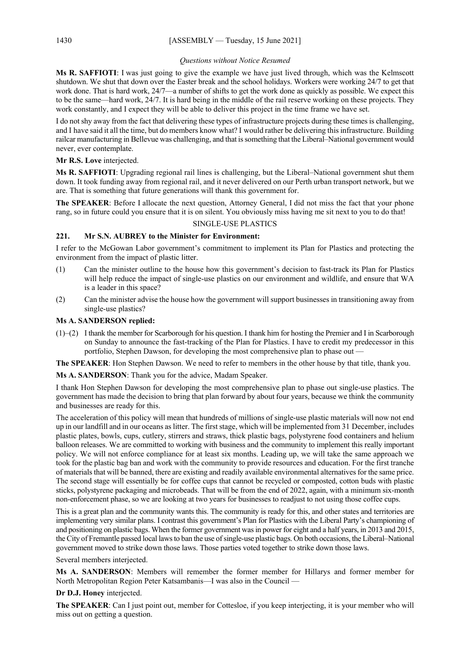## *Questions without Notice Resumed*

**Ms R. SAFFIOTI**: I was just going to give the example we have just lived through, which was the Kelmscott shutdown. We shut that down over the Easter break and the school holidays. Workers were working 24/7 to get that work done. That is hard work, 24/7—a number of shifts to get the work done as quickly as possible. We expect this to be the same—hard work, 24/7. It is hard being in the middle of the rail reserve working on these projects. They work constantly, and I expect they will be able to deliver this project in the time frame we have set.

I do not shy away from the fact that delivering these types of infrastructure projects during these times is challenging, and I have said it all the time, but do members know what? I would rather be delivering this infrastructure. Building railcar manufacturing in Bellevue was challenging, and that is something that the Liberal–National government would never, ever contemplate.

# **Mr R.S. Love** interjected.

**Ms R. SAFFIOTI**: Upgrading regional rail lines is challenging, but the Liberal–National government shut them down. It took funding away from regional rail, and it never delivered on our Perth urban transport network, but we are. That is something that future generations will thank this government for.

**The SPEAKER**: Before I allocate the next question, Attorney General, I did not miss the fact that your phone rang, so in future could you ensure that it is on silent. You obviously miss having me sit next to you to do that!

## SINGLE-USE PLASTICS

# **221. Mr S.N. AUBREY to the Minister for Environment:**

I refer to the McGowan Labor government's commitment to implement its Plan for Plastics and protecting the environment from the impact of plastic litter.

- (1) Can the minister outline to the house how this government's decision to fast-track its Plan for Plastics will help reduce the impact of single-use plastics on our environment and wildlife, and ensure that WA is a leader in this space?
- (2) Can the minister advise the house how the government will support businesses in transitioning away from single-use plastics?

# **Ms A. SANDERSON replied:**

(1)–(2) I thank the member for Scarborough for his question. I thank him for hosting the Premier and I in Scarborough on Sunday to announce the fast-tracking of the Plan for Plastics. I have to credit my predecessor in this portfolio, Stephen Dawson, for developing the most comprehensive plan to phase out —

**The SPEAKER**: Hon Stephen Dawson. We need to refer to members in the other house by that title, thank you.

**Ms A. SANDERSON**: Thank you for the advice, Madam Speaker.

I thank Hon Stephen Dawson for developing the most comprehensive plan to phase out single-use plastics. The government has made the decision to bring that plan forward by about four years, because we think the community and businesses are ready for this.

The acceleration of this policy will mean that hundreds of millions of single-use plastic materials will now not end up in our landfill and in our oceans as litter. The first stage, which will be implemented from 31 December, includes plastic plates, bowls, cups, cutlery, stirrers and straws, thick plastic bags, polystyrene food containers and helium balloon releases. We are committed to working with business and the community to implement this really important policy. We will not enforce compliance for at least six months. Leading up, we will take the same approach we took for the plastic bag ban and work with the community to provide resources and education. For the first tranche of materials that will be banned, there are existing and readily available environmental alternatives for the same price. The second stage will essentially be for coffee cups that cannot be recycled or composted, cotton buds with plastic sticks, polystyrene packaging and microbeads. That will be from the end of 2022, again, with a minimum six-month non-enforcement phase, so we are looking at two years for businesses to readjust to not using those coffee cups.

This is a great plan and the community wants this. The community is ready for this, and other states and territories are implementing very similar plans. I contrast this government's Plan for Plastics with the Liberal Party's championing of and positioning on plastic bags. When the former government was in power for eight and a half years, in 2013 and 2015, the City of Fremantle passed local laws to ban the use of single-use plastic bags. On both occasions, the Liberal–National government moved to strike down those laws. Those parties voted together to strike down those laws.

Several members interjected.

**Ms A. SANDERSON**: Members will remember the former member for Hillarys and former member for North Metropolitan Region Peter Katsambanis—I was also in the Council —

# **Dr D.J. Honey** interjected.

**The SPEAKER**: Can I just point out, member for Cottesloe, if you keep interjecting, it is your member who will miss out on getting a question.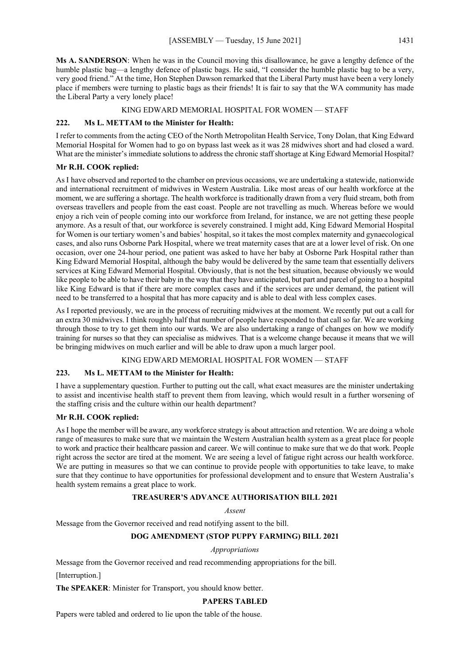**Ms A. SANDERSON**: When he was in the Council moving this disallowance, he gave a lengthy defence of the humble plastic bag—a lengthy defence of plastic bags. He said, "I consider the humble plastic bag to be a very, very good friend." At the time, Hon Stephen Dawson remarked that the Liberal Party must have been a very lonely place if members were turning to plastic bags as their friends! It is fair to say that the WA community has made the Liberal Party a very lonely place!

#### KING EDWARD MEMORIAL HOSPITAL FOR WOMEN — STAFF

#### **222. Ms L. METTAM to the Minister for Health:**

I refer to comments from the acting CEO of the North Metropolitan Health Service, Tony Dolan, that King Edward Memorial Hospital for Women had to go on bypass last week as it was 28 midwives short and had closed a ward. What are the minister's immediate solutions to address the chronic staff shortage at King Edward Memorial Hospital?

#### **Mr R.H. COOK replied:**

As I have observed and reported to the chamber on previous occasions, we are undertaking a statewide, nationwide and international recruitment of midwives in Western Australia. Like most areas of our health workforce at the moment, we are suffering a shortage. The health workforce is traditionally drawn from a very fluid stream, both from overseas travellers and people from the east coast. People are not travelling as much. Whereas before we would enjoy a rich vein of people coming into our workforce from Ireland, for instance, we are not getting these people anymore. As a result of that, our workforce is severely constrained. I might add, King Edward Memorial Hospital for Women is our tertiary women's and babies' hospital, so it takes the most complex maternity and gynaecological cases, and also runs Osborne Park Hospital, where we treat maternity cases that are at a lower level of risk. On one occasion, over one 24-hour period, one patient was asked to have her baby at Osborne Park Hospital rather than King Edward Memorial Hospital, although the baby would be delivered by the same team that essentially delivers services at King Edward Memorial Hospital. Obviously, that is not the best situation, because obviously we would like people to be able to have their baby in the way that they have anticipated, but part and parcel of going to a hospital like King Edward is that if there are more complex cases and if the services are under demand, the patient will need to be transferred to a hospital that has more capacity and is able to deal with less complex cases.

As I reported previously, we are in the process of recruiting midwives at the moment. We recently put out a call for an extra 30 midwives. I think roughly half that number of people have responded to that call so far. We are working through those to try to get them into our wards. We are also undertaking a range of changes on how we modify training for nurses so that they can specialise as midwives. That is a welcome change because it means that we will be bringing midwives on much earlier and will be able to draw upon a much larger pool.

#### KING EDWARD MEMORIAL HOSPITAL FOR WOMEN — STAFF

#### **223. Ms L. METTAM to the Minister for Health:**

I have a supplementary question. Further to putting out the call, what exact measures are the minister undertaking to assist and incentivise health staff to prevent them from leaving, which would result in a further worsening of the staffing crisis and the culture within our health department?

## **Mr R.H. COOK replied:**

AsI hope the member will be aware, any workforce strategy is about attraction and retention. We are doing a whole range of measures to make sure that we maintain the Western Australian health system as a great place for people to work and practice their healthcare passion and career. We will continue to make sure that we do that work. People right across the sector are tired at the moment. We are seeing a level of fatigue right across our health workforce. We are putting in measures so that we can continue to provide people with opportunities to take leave, to make sure that they continue to have opportunities for professional development and to ensure that Western Australia's health system remains a great place to work.

# **TREASURER'S ADVANCE AUTHORISATION BILL 2021**

#### *Assent*

Message from the Governor received and read notifying assent to the bill.

## **DOG AMENDMENT (STOP PUPPY FARMING) BILL 2021**

#### *Appropriations*

Message from the Governor received and read recommending appropriations for the bill.

[Interruption.]

**The SPEAKER**: Minister for Transport, you should know better.

#### **PAPERS TABLED**

Papers were tabled and ordered to lie upon the table of the house.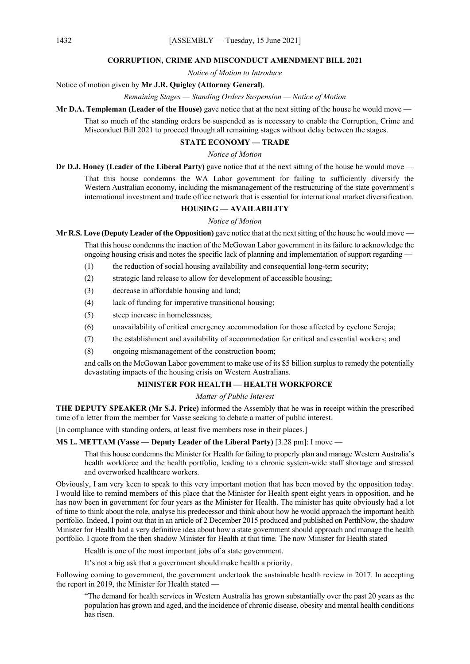#### **CORRUPTION, CRIME AND MISCONDUCT AMENDMENT BILL 2021**

*Notice of Motion to Introduce*

Notice of motion given by **Mr J.R. Quigley (Attorney General)**.

*Remaining Stages — Standing Orders Suspension — Notice of Motion*

**Mr D.A. Templeman (Leader of the House)** gave notice that at the next sitting of the house he would move —

That so much of the standing orders be suspended as is necessary to enable the Corruption, Crime and Misconduct Bill 2021 to proceed through all remaining stages without delay between the stages.

# **STATE ECONOMY — TRADE**

## *Notice of Motion*

**Dr D.J. Honey (Leader of the Liberal Party)** gave notice that at the next sitting of the house he would move —

That this house condemns the WA Labor government for failing to sufficiently diversify the Western Australian economy, including the mismanagement of the restructuring of the state government's international investment and trade office network that is essential for international market diversification.

# **HOUSING — AVAILABILITY**

# *Notice of Motion*

**Mr R.S. Love (Deputy Leader of the Opposition)** gave notice that at the next sitting of the house he would move — That this house condemns the inaction of the McGowan Labor government in its failure to acknowledge the ongoing housing crisis and notes the specific lack of planning and implementation of support regarding —

- (1) the reduction of social housing availability and consequential long-term security;
- (2) strategic land release to allow for development of accessible housing;
- (3) decrease in affordable housing and land;
- (4) lack of funding for imperative transitional housing;
- (5) steep increase in homelessness;
- (6) unavailability of critical emergency accommodation for those affected by cyclone Seroja;
- (7) the establishment and availability of accommodation for critical and essential workers; and
- (8) ongoing mismanagement of the construction boom;

and calls on the McGowan Labor government to make use of its \$5 billion surplus to remedy the potentially devastating impacts of the housing crisis on Western Australians.

# **MINISTER FOR HEALTH — HEALTH WORKFORCE**

# *Matter of Public Interest*

**THE DEPUTY SPEAKER (Mr S.J. Price)** informed the Assembly that he was in receipt within the prescribed time of a letter from the member for Vasse seeking to debate a matter of public interest.

[In compliance with standing orders, at least five members rose in their places.]

**MS L. METTAM (Vasse — Deputy Leader of the Liberal Party)** [3.28 pm]: I move —

That this house condemns the Minister for Health for failing to properly plan and manage Western Australia's health workforce and the health portfolio, leading to a chronic system-wide staff shortage and stressed and overworked healthcare workers.

Obviously, I am very keen to speak to this very important motion that has been moved by the opposition today. I would like to remind members of this place that the Minister for Health spent eight years in opposition, and he has now been in government for four years as the Minister for Health. The minister has quite obviously had a lot of time to think about the role, analyse his predecessor and think about how he would approach the important health portfolio. Indeed, I point out that in an article of 2 December 2015 produced and published on PerthNow, the shadow Minister for Health had a very definitive idea about how a state government should approach and manage the health portfolio. I quote from the then shadow Minister for Health at that time. The now Minister for Health stated -

Health is one of the most important jobs of a state government.

It's not a big ask that a government should make health a priority.

Following coming to government, the government undertook the sustainable health review in 2017. In accepting the report in 2019, the Minister for Health stated —

"The demand for health services in Western Australia has grown substantially over the past 20 years as the population has grown and aged, and the incidence of chronic disease, obesity and mental health conditions has risen.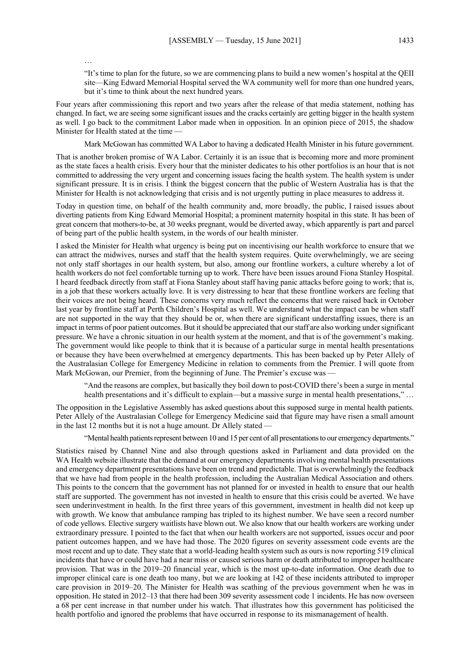…

"It's time to plan for the future, so we are commencing plans to build a new women's hospital at the QEII site—King Edward Memorial Hospital served the WA community well for more than one hundred years, but it's time to think about the next hundred years.

Four years after commissioning this report and two years after the release of that media statement, nothing has changed. In fact, we are seeing some significant issues and the cracks certainly are getting bigger in the health system as well. I go back to the commitment Labor made when in opposition. In an opinion piece of 2015, the shadow Minister for Health stated at the time —

Mark McGowan has committed WA Labor to having a dedicated Health Minister in his future government.

That is another broken promise of WA Labor. Certainly it is an issue that is becoming more and more prominent as the state faces a health crisis. Every hour that the minister dedicates to his other portfolios is an hour that is not committed to addressing the very urgent and concerning issues facing the health system. The health system is under significant pressure. It is in crisis. I think the biggest concern that the public of Western Australia has is that the Minister for Health is not acknowledging that crisis and is not urgently putting in place measures to address it.

Today in question time, on behalf of the health community and, more broadly, the public, I raised issues about diverting patients from King Edward Memorial Hospital; a prominent maternity hospital in this state. It has been of great concern that mothers-to-be, at 30 weeks pregnant, would be diverted away, which apparently is part and parcel of being part of the public health system, in the words of our health minister.

I asked the Minister for Health what urgency is being put on incentivising our health workforce to ensure that we can attract the midwives, nurses and staff that the health system requires. Quite overwhelmingly, we are seeing not only staff shortages in our health system, but also, among our frontline workers, a culture whereby a lot of health workers do not feel comfortable turning up to work. There have been issues around Fiona Stanley Hospital. I heard feedback directly from staff at Fiona Stanley about staff having panic attacks before going to work; that is, in a job that these workers actually love. It is very distressing to hear that these frontline workers are feeling that their voices are not being heard. These concerns very much reflect the concerns that were raised back in October last year by frontline staff at Perth Children's Hospital as well. We understand what the impact can be when staff are not supported in the way that they should be or, when there are significant understaffing issues, there is an impact in terms of poor patient outcomes. But it should be appreciated that our staff are also working under significant pressure. We have a chronic situation in our health system at the moment, and that is of the government's making. The government would like people to think that it is because of a particular surge in mental health presentations or because they have been overwhelmed at emergency departments. This has been backed up by Peter Allely of the Australasian College for Emergency Medicine in relation to comments from the Premier. I will quote from Mark McGowan, our Premier, from the beginning of June. The Premier's excuse was –

"And the reasons are complex, but basically they boil down to post-COVID there's been a surge in mental health presentations and it's difficult to explain—but a massive surge in mental health presentations," ...

The opposition in the Legislative Assembly has asked questions about this supposed surge in mental health patients. Peter Allely of the Australasian College for Emergency Medicine said that figure may have risen a small amount in the last 12 months but it is not a huge amount. Dr Allely stated —

"Mental health patients represent between 10 and 15 per cent of all presentations to our emergency departments."

Statistics raised by Channel Nine and also through questions asked in Parliament and data provided on the WA Health website illustrate that the demand at our emergency departments involving mental health presentations and emergency department presentations have been on trend and predictable. That is overwhelmingly the feedback that we have had from people in the health profession, including the Australian Medical Association and others. This points to the concern that the government has not planned for or invested in health to ensure that our health staff are supported. The government has not invested in health to ensure that this crisis could be averted. We have seen underinvestment in health. In the first three years of this government, investment in health did not keep up with growth. We know that ambulance ramping has tripled to its highest number. We have seen a record number of code yellows. Elective surgery waitlists have blown out. We also know that our health workers are working under extraordinary pressure. I pointed to the fact that when our health workers are not supported, issues occur and poor patient outcomes happen, and we have had those. The 2020 figures on severity assessment code events are the most recent and up to date. They state that a world-leading health system such as ours is now reporting 519 clinical incidents that have or could have had a near miss or caused serious harm or death attributed to improper healthcare provision. That was in the 2019–20 financial year, which is the most up-to-date information. One death due to improper clinical care is one death too many, but we are looking at 142 of these incidents attributed to improper care provision in 2019–20. The Minister for Health was scathing of the previous government when he was in opposition. He stated in 2012–13 that there had been 309 severity assessment code 1 incidents. He has now overseen a 68 per cent increase in that number under his watch. That illustrates how this government has politicised the health portfolio and ignored the problems that have occurred in response to its mismanagement of health.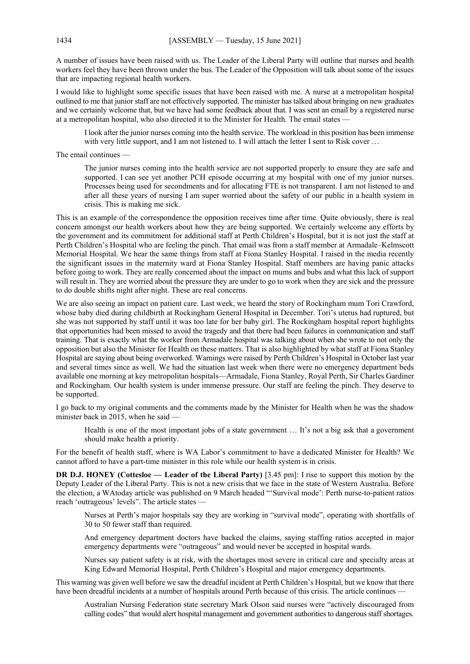A number of issues have been raised with us. The Leader of the Liberal Party will outline that nurses and health workers feel they have been thrown under the bus. The Leader of the Opposition will talk about some of the issues that are impacting regional health workers.

I would like to highlight some specific issues that have been raised with me. A nurse at a metropolitan hospital outlined to me that junior staff are not effectively supported. The minister has talked about bringing on new graduates and we certainly welcome that, but we have had some feedback about that. I was sent an email by a registered nurse at a metropolitan hospital, who also directed it to the Minister for Health. The email states —

I look after the junior nurses coming into the health service. The workload in this position has been immense with very little support, and I am not listened to. I will attach the letter I sent to Risk cover ...

The email continues —

The junior nurses coming into the health service are not supported properly to ensure they are safe and supported. I can see yet another PCH episode occurring at my hospital with one of my junior nurses. Processes being used for secondments and for allocating FTE is not transparent. I am not listened to and after all these years of nursing I am super worried about the safety of our public in a health system in crisis. This is making me sick.

This is an example of the correspondence the opposition receives time after time. Quite obviously, there is real concern amongst our health workers about how they are being supported. We certainly welcome any efforts by the government and its commitment for additional staff at Perth Children's Hospital, but it is not just the staff at Perth Children's Hospital who are feeling the pinch. That email was from a staff member at Armadale–Kelmscott Memorial Hospital. We hear the same things from staff at Fiona Stanley Hospital. I raised in the media recently the significant issues in the maternity ward at Fiona Stanley Hospital. Staff members are having panic attacks before going to work. They are really concerned about the impact on mums and bubs and what this lack of support will result in. They are worried about the pressure they are under to go to work when they are sick and the pressure to do double shifts night after night. These are real concerns.

We are also seeing an impact on patient care. Last week, we heard the story of Rockingham mum Tori Crawford, whose baby died during childbirth at Rockingham General Hospital in December. Tori's uterus had ruptured, but she was not supported by staff until it was too late for her baby girl. The Rockingham hospital report highlights that opportunities had been missed to avoid the tragedy and that there had been failures in communication and staff training. That is exactly what the worker from Armadale hospital was talking about when she wrote to not only the opposition but also the Minister for Health on these matters. That is also highlighted by what staff at Fiona Stanley Hospital are saying about being overworked. Warnings were raised by Perth Children's Hospital in October last year and several times since as well. We had the situation last week when there were no emergency department beds available one morning at key metropolitan hospitals—Armadale, Fiona Stanley, Royal Perth, Sir Charles Gardiner and Rockingham. Our health system is under immense pressure. Our staff are feeling the pinch. They deserve to be supported.

I go back to my original comments and the comments made by the Minister for Health when he was the shadow minister back in 2015, when he said —

Health is one of the most important jobs of a state government … It's not a big ask that a government should make health a priority.

For the benefit of health staff, where is WA Labor's commitment to have a dedicated Minister for Health? We cannot afford to have a part-time minister in this role while our health system is in crisis.

**DR D.J. HONEY (Cottesloe — Leader of the Liberal Party)** [3.45 pm]: I rise to support this motion by the Deputy Leader of the Liberal Party. This is not a new crisis that we face in the state of Western Australia. Before the election, a WAtoday article was published on 9 March headed "'Survival mode': Perth nurse-to-patient ratios reach 'outrageous' levels". The article states —

Nurses at Perth's major hospitals say they are working in "survival mode", operating with shortfalls of 30 to 50 fewer staff than required.

And emergency department doctors have backed the claims, saying staffing ratios accepted in major emergency departments were "outrageous" and would never be accepted in hospital wards.

Nurses say patient safety is at risk, with the shortages most severe in critical care and specialty areas at King Edward Memorial Hospital, Perth Children's Hospital and major emergency departments.

This warning was given well before we saw the dreadful incident at Perth Children's Hospital, but we know that there have been dreadful incidents at a number of hospitals around Perth because of this crisis. The article continues -

Australian Nursing Federation state secretary Mark Olson said nurses were "actively discouraged from calling codes" that would alert hospital management and government authorities to dangerous staff shortages.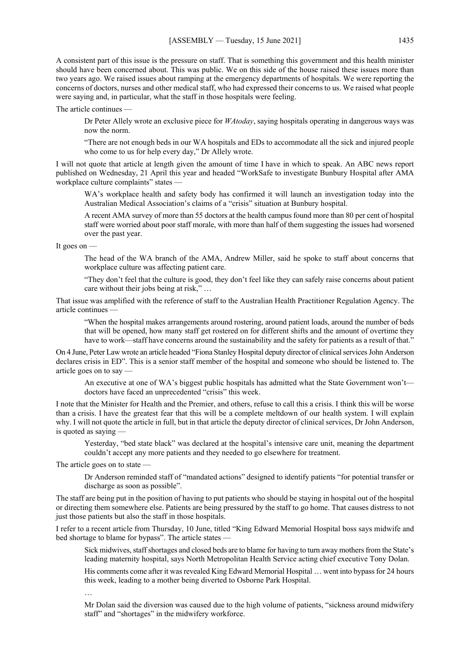A consistent part of this issue is the pressure on staff. That is something this government and this health minister should have been concerned about. This was public. We on this side of the house raised these issues more than two years ago. We raised issues about ramping at the emergency departments of hospitals. We were reporting the concerns of doctors, nurses and other medical staff, who had expressed their concerns to us. We raised what people were saying and, in particular, what the staff in those hospitals were feeling.

The article continues —

Dr Peter Allely wrote an exclusive piece for *WAtoday*, saying hospitals operating in dangerous ways was now the norm.

"There are not enough beds in our WA hospitals and EDs to accommodate all the sick and injured people who come to us for help every day," Dr Allely wrote.

I will not quote that article at length given the amount of time I have in which to speak. An ABC news report published on Wednesday, 21 April this year and headed "WorkSafe to investigate Bunbury Hospital after AMA workplace culture complaints" states —

WA's workplace health and safety body has confirmed it will launch an investigation today into the Australian Medical Association's claims of a "crisis" situation at Bunbury hospital.

A recent AMA survey of more than 55 doctors at the health campus found more than 80 per cent of hospital staff were worried about poor staff morale, with more than half of them suggesting the issues had worsened over the past year.

It goes on

The head of the WA branch of the AMA, Andrew Miller, said he spoke to staff about concerns that workplace culture was affecting patient care.

"They don't feel that the culture is good, they don't feel like they can safely raise concerns about patient care without their jobs being at risk," …

That issue was amplified with the reference of staff to the Australian Health Practitioner Regulation Agency. The article continues —

"When the hospital makes arrangements around rostering, around patient loads, around the number of beds that will be opened, how many staff get rostered on for different shifts and the amount of overtime they have to work—staff have concerns around the sustainability and the safety for patients as a result of that."

On 4 June, Peter Law wrote an article headed "Fiona Stanley Hospital deputy director of clinical services John Anderson declares crisis in ED". This is a senior staff member of the hospital and someone who should be listened to. The article goes on to say —

An executive at one of WA's biggest public hospitals has admitted what the State Government won't doctors have faced an unprecedented "crisis" this week.

I note that the Minister for Health and the Premier, and others, refuse to call this a crisis. I think this will be worse than a crisis. I have the greatest fear that this will be a complete meltdown of our health system. I will explain why. I will not quote the article in full, but in that article the deputy director of clinical services, Dr John Anderson, is quoted as saying —

Yesterday, "bed state black" was declared at the hospital's intensive care unit, meaning the department couldn't accept any more patients and they needed to go elsewhere for treatment.

The article goes on to state —

Dr Anderson reminded staff of "mandated actions" designed to identify patients "for potential transfer or discharge as soon as possible".

The staff are being put in the position of having to put patients who should be staying in hospital out of the hospital or directing them somewhere else. Patients are being pressured by the staff to go home. That causes distress to not just those patients but also the staff in those hospitals.

I refer to a recent article from Thursday, 10 June, titled "King Edward Memorial Hospital boss says midwife and bed shortage to blame for bypass". The article states -

Sick midwives, staff shortages and closed beds are to blame for having to turn away mothers from the State's leading maternity hospital, says North Metropolitan Health Service acting chief executive Tony Dolan.

His comments come after it was revealed King Edward Memorial Hospital … went into bypass for 24 hours this week, leading to a mother being diverted to Osborne Park Hospital.

…

Mr Dolan said the diversion was caused due to the high volume of patients, "sickness around midwifery staff" and "shortages" in the midwifery workforce.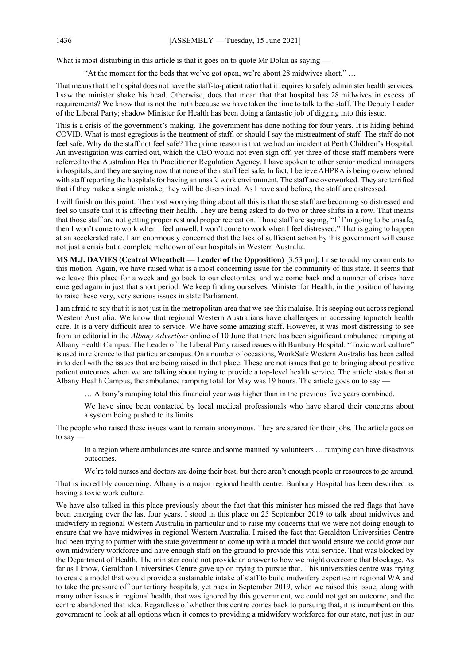What is most disturbing in this article is that it goes on to quote Mr Dolan as saying —

"At the moment for the beds that we've got open, we're about 28 midwives short," …

That means that the hospital does not have the staff-to-patient ratio that it requires to safely administer health services. I saw the minister shake his head. Otherwise, does that mean that that hospital has 28 midwives in excess of requirements? We know that is not the truth because we have taken the time to talk to the staff. The Deputy Leader of the Liberal Party; shadow Minister for Health has been doing a fantastic job of digging into this issue.

This is a crisis of the government's making. The government has done nothing for four years. It is hiding behind COVID. What is most egregious is the treatment of staff, or should I say the mistreatment of staff. The staff do not feel safe. Why do the staff not feel safe? The prime reason is that we had an incident at Perth Children's Hospital. An investigation was carried out, which the CEO would not even sign off, yet three of those staff members were referred to the Australian Health Practitioner Regulation Agency. I have spoken to other senior medical managers in hospitals, and they are saying now that none of their staff feel safe. In fact, I believe AHPRA is being overwhelmed with staff reporting the hospitals for having an unsafe work environment. The staff are overworked. They are terrified that if they make a single mistake, they will be disciplined. As I have said before, the staff are distressed.

I will finish on this point. The most worrying thing about all this is that those staff are becoming so distressed and feel so unsafe that it is affecting their health. They are being asked to do two or three shifts in a row. That means that those staff are not getting proper rest and proper recreation. Those staff are saying, "If I'm going to be unsafe, then I won't come to work when I feel unwell. I won't come to work when I feel distressed." That is going to happen at an accelerated rate. I am enormously concerned that the lack of sufficient action by this government will cause not just a crisis but a complete meltdown of our hospitals in Western Australia.

**MS M.J. DAVIES (Central Wheatbelt — Leader of the Opposition)** [3.53 pm]: I rise to add my comments to this motion. Again, we have raised what is a most concerning issue for the community of this state. It seems that we leave this place for a week and go back to our electorates, and we come back and a number of crises have emerged again in just that short period. We keep finding ourselves, Minister for Health, in the position of having to raise these very, very serious issues in state Parliament.

I am afraid to say that it is not just in the metropolitan area that we see this malaise. It is seeping out across regional Western Australia. We know that regional Western Australians have challenges in accessing topnotch health care. It is a very difficult area to service. We have some amazing staff. However, it was most distressing to see from an editorial in the *Albany Advertiser* online of 10 June that there has been significant ambulance ramping at Albany Health Campus. The Leader of the Liberal Party raised issues with Bunbury Hospital. "Toxic work culture" is used in reference to that particular campus. On a number of occasions, WorkSafe Western Australia has been called in to deal with the issues that are being raised in that place. These are not issues that go to bringing about positive patient outcomes when we are talking about trying to provide a top-level health service. The article states that at Albany Health Campus, the ambulance ramping total for May was 19 hours. The article goes on to say -

… Albany's ramping total this financial year was higher than in the previous five years combined.

We have since been contacted by local medical professionals who have shared their concerns about a system being pushed to its limits.

The people who raised these issues want to remain anonymous. They are scared for their jobs. The article goes on to say —

In a region where ambulances are scarce and some manned by volunteers … ramping can have disastrous outcomes.

We're told nurses and doctors are doing their best, but there aren't enough people or resources to go around.

That is incredibly concerning. Albany is a major regional health centre. Bunbury Hospital has been described as having a toxic work culture.

We have also talked in this place previously about the fact that this minister has missed the red flags that have been emerging over the last four years. I stood in this place on 25 September 2019 to talk about midwives and midwifery in regional Western Australia in particular and to raise my concerns that we were not doing enough to ensure that we have midwives in regional Western Australia. I raised the fact that Geraldton Universities Centre had been trying to partner with the state government to come up with a model that would ensure we could grow our own midwifery workforce and have enough staff on the ground to provide this vital service. That was blocked by the Department of Health. The minister could not provide an answer to how we might overcome that blockage. As far as I know, Geraldton Universities Centre gave up on trying to pursue that. This universities centre was trying to create a model that would provide a sustainable intake of staff to build midwifery expertise in regional WA and to take the pressure off our tertiary hospitals, yet back in September 2019, when we raised this issue, along with many other issues in regional health, that was ignored by this government, we could not get an outcome, and the centre abandoned that idea. Regardless of whether this centre comes back to pursuing that, it is incumbent on this government to look at all options when it comes to providing a midwifery workforce for our state, not just in our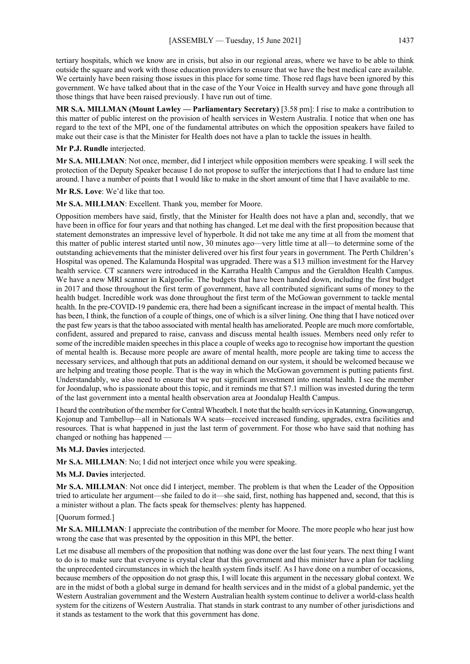tertiary hospitals, which we know are in crisis, but also in our regional areas, where we have to be able to think outside the square and work with those education providers to ensure that we have the best medical care available. We certainly have been raising those issues in this place for some time. Those red flags have been ignored by this government. We have talked about that in the case of the Your Voice in Health survey and have gone through all those things that have been raised previously. I have run out of time.

**MR S.A. MILLMAN (Mount Lawley — Parliamentary Secretary)** [3.58 pm]: I rise to make a contribution to this matter of public interest on the provision of health services in Western Australia. I notice that when one has regard to the text of the MPI, one of the fundamental attributes on which the opposition speakers have failed to make out their case is that the Minister for Health does not have a plan to tackle the issues in health.

#### **Mr P.J. Rundle** interjected.

**Mr S.A. MILLMAN**: Not once, member, did I interject while opposition members were speaking. I will seek the protection of the Deputy Speaker because I do not propose to suffer the interjections that I had to endure last time around. I have a number of points that I would like to make in the short amount of time that I have available to me.

**Mr R.S. Love**: We'd like that too.

**Mr S.A. MILLMAN**: Excellent. Thank you, member for Moore.

Opposition members have said, firstly, that the Minister for Health does not have a plan and, secondly, that we have been in office for four years and that nothing has changed. Let me deal with the first proposition because that statement demonstrates an impressive level of hyperbole. It did not take me any time at all from the moment that this matter of public interest started until now, 30 minutes ago—very little time at all—to determine some of the outstanding achievements that the minister delivered over his first four years in government. The Perth Children's Hospital was opened. The Kalamunda Hospital was upgraded. There was a \$13 million investment for the Harvey health service. CT scanners were introduced in the Karratha Health Campus and the Geraldton Health Campus. We have a new MRI scanner in Kalgoorlie. The budgets that have been handed down, including the first budget in 2017 and those throughout the first term of government, have all contributed significant sums of money to the health budget. Incredible work was done throughout the first term of the McGowan government to tackle mental health. In the pre-COVID-19 pandemic era, there had been a significant increase in the impact of mental health. This has been, I think, the function of a couple of things, one of which is a silver lining. One thing that I have noticed over the past few years is that the taboo associated with mental health has ameliorated. People are much more comfortable, confident, assured and prepared to raise, canvass and discuss mental health issues. Members need only refer to some of the incredible maiden speeches in this place a couple of weeks ago to recognise how important the question of mental health is. Because more people are aware of mental health, more people are taking time to access the necessary services, and although that puts an additional demand on our system, it should be welcomed because we are helping and treating those people. That is the way in which the McGowan government is putting patients first. Understandably, we also need to ensure that we put significant investment into mental health. I see the member for Joondalup, who is passionate about this topic, and it reminds me that \$7.1 million was invested during the term of the last government into a mental health observation area at Joondalup Health Campus.

I heard the contribution of the member for Central Wheatbelt.I note that the health services in Katanning, Gnowangerup, Kojonup and Tambellup—all in Nationals WA seats—received increased funding, upgrades, extra facilities and resources. That is what happened in just the last term of government. For those who have said that nothing has changed or nothing has happened —

**Ms M.J. Davies** interjected.

**Mr S.A. MILLMAN**: No; I did not interject once while you were speaking.

### **Ms M.J. Davies** interjected.

**Mr S.A. MILLMAN**: Not once did I interject, member. The problem is that when the Leader of the Opposition tried to articulate her argument—she failed to do it—she said, first, nothing has happened and, second, that this is a minister without a plan. The facts speak for themselves: plenty has happened.

### [Quorum formed.]

**Mr S.A. MILLMAN**: I appreciate the contribution of the member for Moore. The more people who hear just how wrong the case that was presented by the opposition in this MPI, the better.

Let me disabuse all members of the proposition that nothing was done over the last four years. The next thing I want to do is to make sure that everyone is crystal clear that this government and this minister have a plan for tackling the unprecedented circumstances in which the health system finds itself. As I have done on a number of occasions, because members of the opposition do not grasp this, I will locate this argument in the necessary global context. We are in the midst of both a global surge in demand for health services and in the midst of a global pandemic, yet the Western Australian government and the Western Australian health system continue to deliver a world-class health system for the citizens of Western Australia. That stands in stark contrast to any number of other jurisdictions and it stands as testament to the work that this government has done.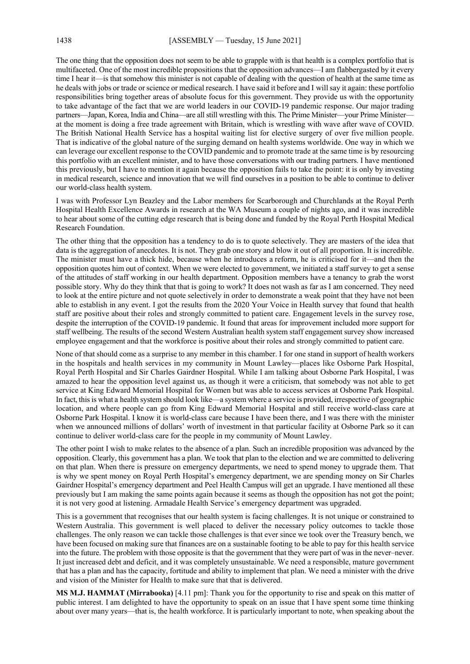The one thing that the opposition does not seem to be able to grapple with is that health is a complex portfolio that is multifaceted. One of the most incredible propositions that the opposition advances—I am flabbergasted by it every time I hear it—is that somehow this minister is not capable of dealing with the question of health at the same time as he deals with jobs or trade or science or medical research. I have said it before and I will say it again: these portfolio responsibilities bring together areas of absolute focus for this government. They provide us with the opportunity to take advantage of the fact that we are world leaders in our COVID-19 pandemic response. Our major trading partners—Japan, Korea, India and China—are all still wrestling with this. The Prime Minister—your Prime Minister at the moment is doing a free trade agreement with Britain, which is wrestling with wave after wave of COVID. The British National Health Service has a hospital waiting list for elective surgery of over five million people. That is indicative of the global nature of the surging demand on health systems worldwide. One way in which we can leverage our excellent response to the COVID pandemic and to promote trade at the same time is by resourcing this portfolio with an excellent minister, and to have those conversations with our trading partners. I have mentioned this previously, but I have to mention it again because the opposition fails to take the point: it is only by investing in medical research, science and innovation that we will find ourselves in a position to be able to continue to deliver our world-class health system.

I was with Professor Lyn Beazley and the Labor members for Scarborough and Churchlands at the Royal Perth Hospital Health Excellence Awards in research at the WA Museum a couple of nights ago, and it was incredible to hear about some of the cutting edge research that is being done and funded by the Royal Perth Hospital Medical Research Foundation.

The other thing that the opposition has a tendency to do is to quote selectively. They are masters of the idea that data is the aggregation of anecdotes. It is not. They grab one story and blow it out of all proportion. It is incredible. The minister must have a thick hide, because when he introduces a reform, he is criticised for it—and then the opposition quotes him out of context. When we were elected to government, we initiated a staff survey to get a sense of the attitudes of staff working in our health department. Opposition members have a tenancy to grab the worst possible story. Why do they think that that is going to work? It does not wash as far as I am concerned. They need to look at the entire picture and not quote selectively in order to demonstrate a weak point that they have not been able to establish in any event. I got the results from the 2020 Your Voice in Health survey that found that health staff are positive about their roles and strongly committed to patient care. Engagement levels in the survey rose, despite the interruption of the COVID-19 pandemic. It found that areas for improvement included more support for staff wellbeing. The results of the second Western Australian health system staff engagement survey show increased employee engagement and that the workforce is positive about their roles and strongly committed to patient care.

None of that should come as a surprise to any member in this chamber. I for one stand in support of health workers in the hospitals and health services in my community in Mount Lawley—places like Osborne Park Hospital, Royal Perth Hospital and Sir Charles Gairdner Hospital. While I am talking about Osborne Park Hospital, I was amazed to hear the opposition level against us, as though it were a criticism, that somebody was not able to get service at King Edward Memorial Hospital for Women but was able to access services at Osborne Park Hospital. In fact, this is what a health system should look like—a system where a service is provided, irrespective of geographic location, and where people can go from King Edward Memorial Hospital and still receive world-class care at Osborne Park Hospital. I know it is world-class care because I have been there, and I was there with the minister when we announced millions of dollars' worth of investment in that particular facility at Osborne Park so it can continue to deliver world-class care for the people in my community of Mount Lawley.

The other point I wish to make relates to the absence of a plan. Such an incredible proposition was advanced by the opposition. Clearly, this government has a plan. We took that plan to the election and we are committed to delivering on that plan. When there is pressure on emergency departments, we need to spend money to upgrade them. That is why we spent money on Royal Perth Hospital's emergency department, we are spending money on Sir Charles Gairdner Hospital's emergency department and Peel Health Campus will get an upgrade. I have mentioned all these previously but I am making the same points again because it seems as though the opposition has not got the point; it is not very good at listening. Armadale Health Service's emergency department was upgraded.

This is a government that recognises that our health system is facing challenges. It is not unique or constrained to Western Australia. This government is well placed to deliver the necessary policy outcomes to tackle those challenges. The only reason we can tackle those challenges is that ever since we took over the Treasury bench, we have been focused on making sure that finances are on a sustainable footing to be able to pay for this health service into the future. The problem with those opposite is that the government that they were part of was in the never–never. It just increased debt and deficit, and it was completely unsustainable. We need a responsible, mature government that has a plan and has the capacity, fortitude and ability to implement that plan. We need a minister with the drive and vision of the Minister for Health to make sure that that is delivered.

**MS M.J. HAMMAT (Mirrabooka)** [4.11 pm]: Thank you for the opportunity to rise and speak on this matter of public interest. I am delighted to have the opportunity to speak on an issue that I have spent some time thinking about over many years—that is, the health workforce. It is particularly important to note, when speaking about the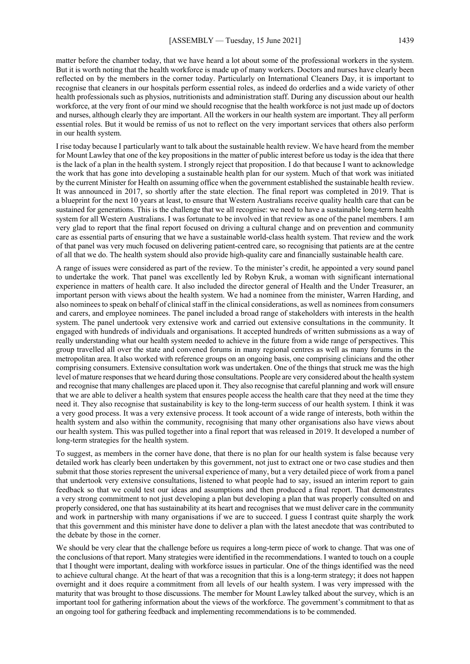matter before the chamber today, that we have heard a lot about some of the professional workers in the system. But it is worth noting that the health workforce is made up of many workers. Doctors and nurses have clearly been reflected on by the members in the corner today. Particularly on International Cleaners Day, it is important to recognise that cleaners in our hospitals perform essential roles, as indeed do orderlies and a wide variety of other health professionals such as physios, nutritionists and administration staff. During any discussion about our health workforce, at the very front of our mind we should recognise that the health workforce is not just made up of doctors and nurses, although clearly they are important. All the workers in our health system are important. They all perform essential roles. But it would be remiss of us not to reflect on the very important services that others also perform in our health system.

I rise today because I particularly want to talk about the sustainable health review. We have heard from the member for Mount Lawley that one of the key propositions in the matter of public interest before us today is the idea that there is the lack of a plan in the health system. I strongly reject that proposition. I do that because I want to acknowledge the work that has gone into developing a sustainable health plan for our system. Much of that work was initiated by the current Minister for Health on assuming office when the government established the sustainable health review. It was announced in 2017, so shortly after the state election. The final report was completed in 2019. That is a blueprint for the next 10 years at least, to ensure that Western Australians receive quality health care that can be sustained for generations. This is the challenge that we all recognise: we need to have a sustainable long-term health system for all Western Australians. I was fortunate to be involved in that review as one of the panel members. I am very glad to report that the final report focused on driving a cultural change and on prevention and community care as essential parts of ensuring that we have a sustainable world-class health system. That review and the work of that panel was very much focused on delivering patient-centred care, so recognising that patients are at the centre of all that we do. The health system should also provide high-quality care and financially sustainable health care.

A range of issues were considered as part of the review. To the minister's credit, he appointed a very sound panel to undertake the work. That panel was excellently led by Robyn Kruk, a woman with significant international experience in matters of health care. It also included the director general of Health and the Under Treasurer, an important person with views about the health system. We had a nominee from the minister, Warren Harding, and also nominees to speak on behalf of clinical staff in the clinical considerations, as well as nominees from consumers and carers, and employee nominees. The panel included a broad range of stakeholders with interests in the health system. The panel undertook very extensive work and carried out extensive consultations in the community. It engaged with hundreds of individuals and organisations. It accepted hundreds of written submissions as a way of really understanding what our health system needed to achieve in the future from a wide range of perspectives. This group travelled all over the state and convened forums in many regional centres as well as many forums in the metropolitan area. It also worked with reference groups on an ongoing basis, one comprising clinicians and the other comprising consumers. Extensive consultation work was undertaken. One of the things that struck me was the high level of mature responses that we heard during those consultations. People are very considered about the health system and recognise that many challenges are placed upon it. They also recognise that careful planning and work will ensure that we are able to deliver a health system that ensures people access the health care that they need at the time they need it. They also recognise that sustainability is key to the long-term success of our health system. I think it was a very good process. It was a very extensive process. It took account of a wide range of interests, both within the health system and also within the community, recognising that many other organisations also have views about our health system. This was pulled together into a final report that was released in 2019. It developed a number of long-term strategies for the health system.

To suggest, as members in the corner have done, that there is no plan for our health system is false because very detailed work has clearly been undertaken by this government, not just to extract one or two case studies and then submit that those stories represent the universal experience of many, but a very detailed piece of work from a panel that undertook very extensive consultations, listened to what people had to say, issued an interim report to gain feedback so that we could test our ideas and assumptions and then produced a final report. That demonstrates a very strong commitment to not just developing a plan but developing a plan that was properly consulted on and properly considered, one that has sustainability at its heart and recognises that we must deliver care in the community and work in partnership with many organisations if we are to succeed. I guess I contrast quite sharply the work that this government and this minister have done to deliver a plan with the latest anecdote that was contributed to the debate by those in the corner.

We should be very clear that the challenge before us requires a long-term piece of work to change. That was one of the conclusions of that report. Many strategies were identified in the recommendations. I wanted to touch on a couple that I thought were important, dealing with workforce issues in particular. One of the things identified was the need to achieve cultural change. At the heart of that was a recognition that this is a long-term strategy; it does not happen overnight and it does require a commitment from all levels of our health system. I was very impressed with the maturity that was brought to those discussions. The member for Mount Lawley talked about the survey, which is an important tool for gathering information about the views of the workforce. The government's commitment to that as an ongoing tool for gathering feedback and implementing recommendations is to be commended.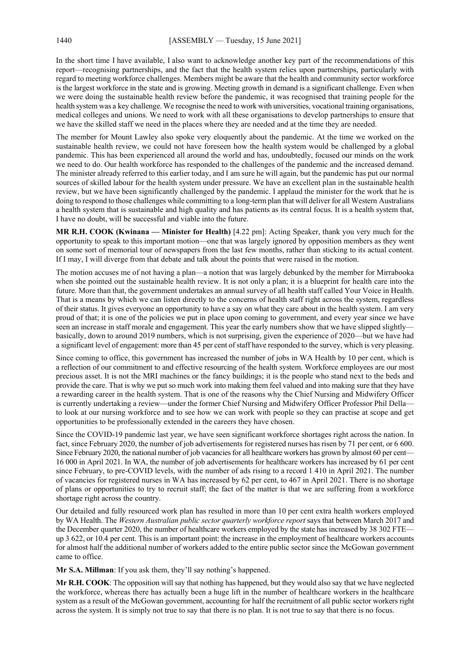In the short time I have available, I also want to acknowledge another key part of the recommendations of this report—recognising partnerships, and the fact that the health system relies upon partnerships, particularly with regard to meeting workforce challenges. Members might be aware that the health and community sector workforce is the largest workforce in the state and is growing. Meeting growth in demand is a significant challenge. Even when we were doing the sustainable health review before the pandemic, it was recognised that training people for the health system was a key challenge. We recognise the need to work with universities, vocational training organisations, medical colleges and unions. We need to work with all these organisations to develop partnerships to ensure that we have the skilled staff we need in the places where they are needed and at the time they are needed.

The member for Mount Lawley also spoke very eloquently about the pandemic. At the time we worked on the sustainable health review, we could not have foreseen how the health system would be challenged by a global pandemic. This has been experienced all around the world and has, undoubtedly, focused our minds on the work we need to do. Our health workforce has responded to the challenges of the pandemic and the increased demand. The minister already referred to this earlier today, and I am sure he will again, but the pandemic has put our normal sources of skilled labour for the health system under pressure. We have an excellent plan in the sustainable health review, but we have been significantly challenged by the pandemic. I applaud the minister for the work that he is doing to respond to those challenges while committing to a long-term plan that will deliver for all Western Australians a health system that is sustainable and high quality and has patients as its central focus. It is a health system that, I have no doubt, will be successful and viable into the future.

**MR R.H. COOK (Kwinana — Minister for Health)** [4.22 pm]: Acting Speaker, thank you very much for the opportunity to speak to this important motion—one that was largely ignored by opposition members as they went on some sort of memorial tour of newspapers from the last few months, rather than sticking to its actual content. If I may, I will diverge from that debate and talk about the points that were raised in the motion.

The motion accuses me of not having a plan—a notion that was largely debunked by the member for Mirrabooka when she pointed out the sustainable health review. It is not only a plan; it is a blueprint for health care into the future. More than that, the government undertakes an annual survey of all health staff called Your Voice in Health. That is a means by which we can listen directly to the concerns of health staff right across the system, regardless of their status. It gives everyone an opportunity to have a say on what they care about in the health system. I am very proud of that; it is one of the policies we put in place upon coming to government, and every year since we have seen an increase in staff morale and engagement. This year the early numbers show that we have slipped slightly basically, down to around 2019 numbers, which is not surprising, given the experience of 2020—but we have had a significant level of engagement: more than 45 per cent of staff have responded to the survey, which is very pleasing.

Since coming to office, this government has increased the number of jobs in WA Health by 10 per cent, which is a reflection of our commitment to and effective resourcing of the health system. Workforce employees are our most precious asset. It is not the MRI machines or the fancy buildings; it is the people who stand next to the beds and provide the care. That is why we put so much work into making them feel valued and into making sure that they have a rewarding career in the health system. That is one of the reasons why the Chief Nursing and Midwifery Officer is currently undertaking a review—under the former Chief Nursing and Midwifery Officer Professor Phil Della to look at our nursing workforce and to see how we can work with people so they can practise at scope and get opportunities to be professionally extended in the careers they have chosen.

Since the COVID-19 pandemic last year, we have seen significant workforce shortages right across the nation. In fact, since February 2020, the number of job advertisements for registered nurses has risen by 71 per cent, or 6 600. Since February 2020, the national number of job vacancies for all healthcare workers has grown by almost 60 per cent— 16 000 in April 2021. In WA, the number of job advertisements for healthcare workers has increased by 61 per cent since February, to pre-COVID levels, with the number of ads rising to a record 1 410 in April 2021. The number of vacancies for registered nurses in WA has increased by 62 per cent, to 467 in April 2021. There is no shortage of plans or opportunities to try to recruit staff; the fact of the matter is that we are suffering from a workforce shortage right across the country.

Our detailed and fully resourced work plan has resulted in more than 10 per cent extra health workers employed by WA Health. The *Western Australian public sector quarterly workforce report* says that between March 2017 and the December quarter 2020, the number of healthcare workers employed by the state has increased by 38 302 FTEup 3 622, or 10.4 per cent. This is an important point: the increase in the employment of healthcare workers accounts for almost half the additional number of workers added to the entire public sector since the McGowan government came to office.

**Mr S.A. Millman**: If you ask them, they'll say nothing's happened.

**Mr R.H. COOK**: The opposition will say that nothing has happened, but they would also say that we have neglected the workforce, whereas there has actually been a huge lift in the number of healthcare workers in the healthcare system as a result of the McGowan government, accounting for half the recruitment of all public sector workers right across the system. It is simply not true to say that there is no plan. It is not true to say that there is no focus.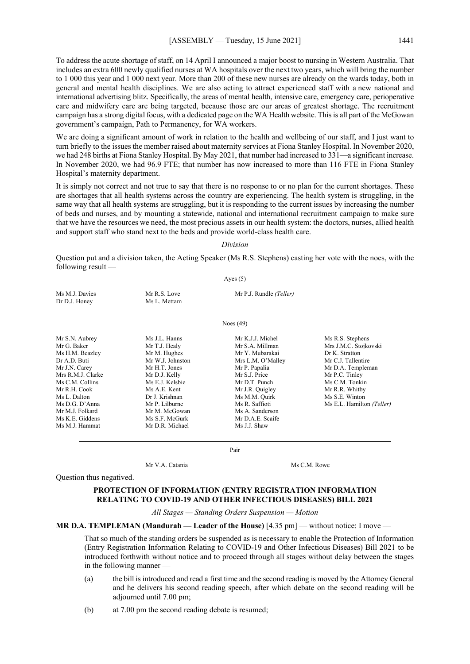To address the acute shortage of staff, on 14 April I announced a major boost to nursing in Western Australia. That includes an extra 600 newly qualified nurses at WA hospitals over the next two years, which will bring the number to 1 000 this year and 1 000 next year. More than 200 of these new nurses are already on the wards today, both in general and mental health disciplines. We are also acting to attract experienced staff with a new national and international advertising blitz. Specifically, the areas of mental health, intensive care, emergency care, perioperative care and midwifery care are being targeted, because those are our areas of greatest shortage. The recruitment campaign has a strong digital focus, with a dedicated page on the WA Health website. This is all part of the McGowan government's campaign, Path to Permanency, for WA workers.

We are doing a significant amount of work in relation to the health and wellbeing of our staff, and I just want to turn briefly to the issues the member raised about maternity services at Fiona Stanley Hospital. In November 2020, we had 248 births at Fiona Stanley Hospital. By May 2021, that number had increased to 331—a significant increase. In November 2020, we had 96.9 FTE; that number has now increased to more than 116 FTE in Fiona Stanley Hospital's maternity department.

It is simply not correct and not true to say that there is no response to or no plan for the current shortages. These are shortages that all health systems across the country are experiencing. The health system is struggling, in the same way that all health systems are struggling, but it is responding to the current issues by increasing the number of beds and nurses, and by mounting a statewide, national and international recruitment campaign to make sure that we have the resources we need, the most precious assets in our health system: the doctors, nurses, allied health and support staff who stand next to the beds and provide world-class health care.

#### *Division*

Question put and a division taken, the Acting Speaker (Ms R.S. Stephens) casting her vote with the noes, with the following result — Ayes (5)

| Ms M.J. Davies<br>Dr D.J. Honey | Mr R.S. Love<br>Ms L. Mettam | Mr P.J. Rundle (Teller) |
|---------------------------------|------------------------------|-------------------------|
|                                 |                              | Noes $(49)$             |

Ms M.J. Hammat Mr D.R. Michael Ms J.J. Shaw

Dr A.D. Buti Mr W.J. Johnston Mrs L.M. O'Malley Mr J.N. Carey Mr H.T. Jones Mr P. Papalia Mr R.H. Cook Ms A.E. Kent Mr J.R. Quigley Mr M.J. Folkard Mr M. McGowan Ms A. Sanderson<br>Ms K.E. Giddens Ms S.F. McGurk Mr D.A.E. Scaife Ms S.F. McGurk

Mr S.N. Aubrey Ms J.L. Hanns Mr K.J.J. Michel Ms R.S. Stephens Ms H.M. Beazley Mr M. Hughes Mr Y. Mubarakai Dr K. Stratton<br>Dr A.D. Buti Mr W.J. Johnston Mrs L.M. O'Malley Mr C.J. Tallentire Mrs R.M.J. Clarke Mr D.J. Kelly Mr S.J. Price Mr P.C. Tinley<br>Ms C.M. Collins Ms E.J. Kelsbie Mr D.T. Punch Ms C.M. Tonkin Ms C.M. Collins Ms E.J. Kelsbie Mr D.T. Punch Ms C.M. Tonkin<br>Mr R.H. Cook Ms A.E. Kent Mr J.R. Quigley Mr R.R. Whitby Ms L. Dalton **Dr J. Krishnan** Ms M.M. Quirk Ms S.E. Winton Ms D.G. D'Anna Mr P. Lilburne Ms R. Saffioti Ms E.L. Hamilton *(Teller)*<br>Mr M.J. Folkard Mr M. McGowan Ms A. Sanderson

Mr G. Baker Mr T.J. Healy Mr S.A. Millman Mrs J.M.C. Stojkovski Mr D.A. Templeman

Pair

Mr V.A. Catania Ms C.M. Rowe

Question thus negatived.

## **PROTECTION OF INFORMATION (ENTRY REGISTRATION INFORMATION RELATING TO COVID-19 AND OTHER INFECTIOUS DISEASES) BILL 2021**

*All Stages — Standing Orders Suspension — Motion*

#### **MR D.A. TEMPLEMAN (Mandurah — Leader of the House)** [4.35 pm] — without notice: I move —

That so much of the standing orders be suspended as is necessary to enable the Protection of Information (Entry Registration Information Relating to COVID-19 and Other Infectious Diseases) Bill 2021 to be introduced forthwith without notice and to proceed through all stages without delay between the stages in the following manner —

- (a) the bill is introduced and read a first time and the second reading is moved by the Attorney General and he delivers his second reading speech, after which debate on the second reading will be adjourned until 7.00 pm;
- (b) at 7.00 pm the second reading debate is resumed;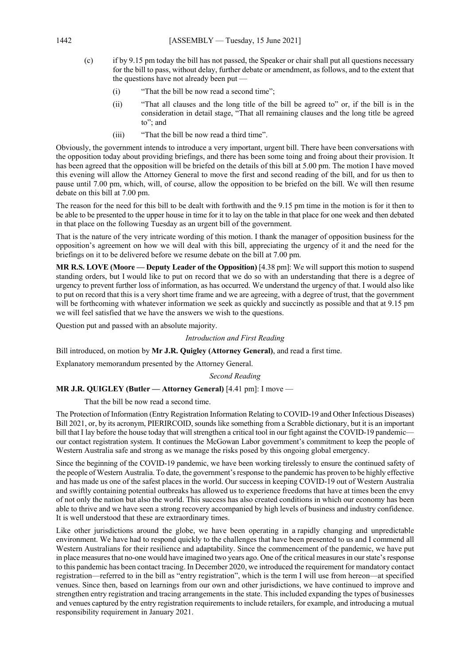- (c) if by 9.15 pm today the bill has not passed, the Speaker or chair shall put all questions necessary for the bill to pass, without delay, further debate or amendment, as follows, and to the extent that the questions have not already been put —
	- (i) "That the bill be now read a second time";
	- (ii) "That all clauses and the long title of the bill be agreed to" or, if the bill is in the consideration in detail stage, "That all remaining clauses and the long title be agreed to"; and
	- (iii) "That the bill be now read a third time".

Obviously, the government intends to introduce a very important, urgent bill. There have been conversations with the opposition today about providing briefings, and there has been some toing and froing about their provision. It has been agreed that the opposition will be briefed on the details of this bill at 5.00 pm. The motion I have moved this evening will allow the Attorney General to move the first and second reading of the bill, and for us then to pause until 7.00 pm, which, will, of course, allow the opposition to be briefed on the bill. We will then resume debate on this bill at 7.00 pm.

The reason for the need for this bill to be dealt with forthwith and the 9.15 pm time in the motion is for it then to be able to be presented to the upper house in time for it to lay on the table in that place for one week and then debated in that place on the following Tuesday as an urgent bill of the government.

That is the nature of the very intricate wording of this motion. I thank the manager of opposition business for the opposition's agreement on how we will deal with this bill, appreciating the urgency of it and the need for the briefings on it to be delivered before we resume debate on the bill at 7.00 pm.

**MR R.S. LOVE (Moore — Deputy Leader of the Opposition)** [4.38 pm]: We will support this motion to suspend standing orders, but I would like to put on record that we do so with an understanding that there is a degree of urgency to prevent further loss of information, as has occurred. We understand the urgency of that. I would also like to put on record that this is a very short time frame and we are agreeing, with a degree of trust, that the government will be forthcoming with whatever information we seek as quickly and succinctly as possible and that at 9.15 pm we will feel satisfied that we have the answers we wish to the questions.

Question put and passed with an absolute majority.

### *Introduction and First Reading*

Bill introduced, on motion by **Mr J.R. Quigley (Attorney General)**, and read a first time.

Explanatory memorandum presented by the Attorney General.

*Second Reading*

# **MR J.R. QUIGLEY (Butler — Attorney General)** [4.41 pm]: I move —

That the bill be now read a second time.

The Protection of Information (Entry Registration Information Relating to COVID-19 and Other Infectious Diseases) Bill 2021, or, by its acronym, PIERIRCOID, sounds like something from a Scrabble dictionary, but it is an important bill that I lay before the house today that will strengthen a critical tool in our fight against the COVID-19 pandemicour contact registration system. It continues the McGowan Labor government's commitment to keep the people of Western Australia safe and strong as we manage the risks posed by this ongoing global emergency.

Since the beginning of the COVID-19 pandemic, we have been working tirelessly to ensure the continued safety of the people of Western Australia. To date, the government's response to the pandemic has proven to be highly effective and has made us one of the safest places in the world. Our success in keeping COVID-19 out of Western Australia and swiftly containing potential outbreaks has allowed us to experience freedoms that have at times been the envy of not only the nation but also the world. This success has also created conditions in which our economy has been able to thrive and we have seen a strong recovery accompanied by high levels of business and industry confidence. It is well understood that these are extraordinary times.

Like other jurisdictions around the globe, we have been operating in a rapidly changing and unpredictable environment. We have had to respond quickly to the challenges that have been presented to us and I commend all Western Australians for their resilience and adaptability. Since the commencement of the pandemic, we have put in place measures that no-one would have imagined two years ago. One of the critical measures in our state's response to this pandemic has been contact tracing. In December 2020, we introduced the requirement for mandatory contact registration—referred to in the bill as "entry registration", which is the term I will use from hereon—at specified venues. Since then, based on learnings from our own and other jurisdictions, we have continued to improve and strengthen entry registration and tracing arrangements in the state. This included expanding the types of businesses and venues captured by the entry registration requirements to include retailers, for example, and introducing a mutual responsibility requirement in January 2021.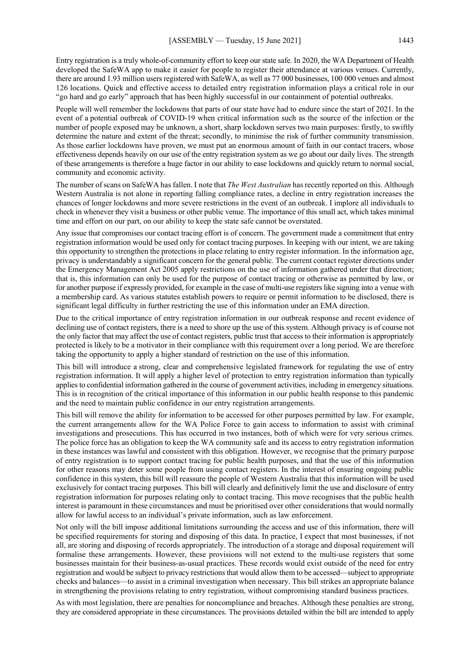Entry registration is a truly whole-of-community effort to keep our state safe. In 2020, the WA Department of Health developed the SafeWA app to make it easier for people to register their attendance at various venues. Currently, there are around 1.93 million users registered with SafeWA, as well as 77 000 businesses, 100 000 venues and almost 126 locations. Quick and effective access to detailed entry registration information plays a critical role in our "go hard and go early" approach that has been highly successful in our containment of potential outbreaks.

People will well remember the lockdowns that parts of our state have had to endure since the start of 2021. In the event of a potential outbreak of COVID-19 when critical information such as the source of the infection or the number of people exposed may be unknown, a short, sharp lockdown serves two main purposes: firstly, to swiftly determine the nature and extent of the threat; secondly, to minimise the risk of further community transmission. As those earlier lockdowns have proven, we must put an enormous amount of faith in our contact tracers, whose effectiveness depends heavily on our use of the entry registration system as we go about our daily lives. The strength of these arrangements is therefore a huge factor in our ability to ease lockdowns and quickly return to normal social, community and economic activity.

The number of scans on SafeWA has fallen. I note that *The West Australian* has recently reported on this. Although Western Australia is not alone in reporting falling compliance rates, a decline in entry registration increases the chances of longer lockdowns and more severe restrictions in the event of an outbreak. I implore all individuals to check in whenever they visit a business or other public venue. The importance of this small act, which takes minimal time and effort on our part, on our ability to keep the state safe cannot be overstated.

Any issue that compromises our contact tracing effort is of concern. The government made a commitment that entry registration information would be used only for contact tracing purposes. In keeping with our intent, we are taking this opportunity to strengthen the protections in place relating to entry register information. In the information age, privacy is understandably a significant concern for the general public. The current contact register directions under the Emergency Management Act 2005 apply restrictions on the use of information gathered under that direction; that is, this information can only be used for the purpose of contact tracing or otherwise as permitted by law, or for another purpose if expressly provided, for example in the case of multi-use registers like signing into a venue with a membership card. As various statutes establish powers to require or permit information to be disclosed, there is significant legal difficulty in further restricting the use of this information under an EMA direction.

Due to the critical importance of entry registration information in our outbreak response and recent evidence of declining use of contact registers, there is a need to shore up the use of this system. Although privacy is of course not the only factor that may affect the use of contact registers, public trust that access to their information is appropriately protected is likely to be a motivator in their compliance with this requirement over a long period. We are therefore taking the opportunity to apply a higher standard of restriction on the use of this information.

This bill will introduce a strong, clear and comprehensive legislated framework for regulating the use of entry registration information. It will apply a higher level of protection to entry registration information than typically applies to confidential information gathered in the course of government activities, including in emergency situations. This is in recognition of the critical importance of this information in our public health response to this pandemic and the need to maintain public confidence in our entry registration arrangements.

This bill will remove the ability for information to be accessed for other purposes permitted by law. For example, the current arrangements allow for the WA Police Force to gain access to information to assist with criminal investigations and prosecutions. This has occurred in two instances, both of which were for very serious crimes. The police force has an obligation to keep the WA community safe and its access to entry registration information in these instances was lawful and consistent with this obligation. However, we recognise that the primary purpose of entry registration is to support contact tracing for public health purposes, and that the use of this information for other reasons may deter some people from using contact registers. In the interest of ensuring ongoing public confidence in this system, this bill will reassure the people of Western Australia that this information will be used exclusively for contact tracing purposes. This bill will clearly and definitively limit the use and disclosure of entry registration information for purposes relating only to contact tracing. This move recognises that the public health interest is paramount in these circumstances and must be prioritised over other considerations that would normally allow for lawful access to an individual's private information, such as law enforcement.

Not only will the bill impose additional limitations surrounding the access and use of this information, there will be specified requirements for storing and disposing of this data. In practice, I expect that most businesses, if not all, are storing and disposing of records appropriately. The introduction of a storage and disposal requirement will formalise these arrangements. However, these provisions will not extend to the multi-use registers that some businesses maintain for their business-as-usual practices. These records would exist outside of the need for entry registration and would be subject to privacy restrictions that would allow them to be accessed—subject to appropriate checks and balances—to assist in a criminal investigation when necessary. This bill strikes an appropriate balance in strengthening the provisions relating to entry registration, without compromising standard business practices.

As with most legislation, there are penalties for noncompliance and breaches. Although these penalties are strong, they are considered appropriate in these circumstances. The provisions detailed within the bill are intended to apply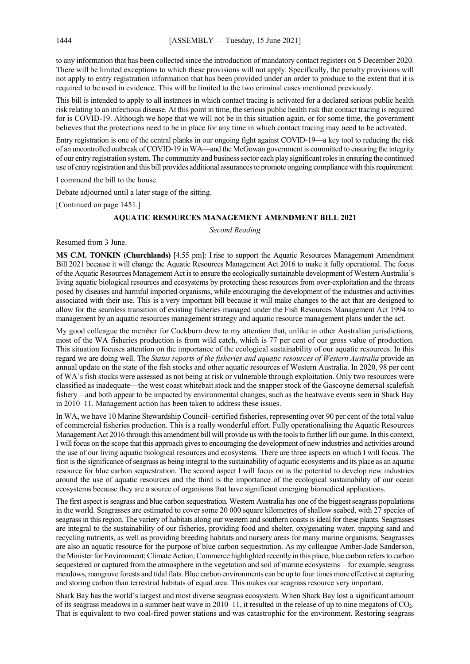to any information that has been collected since the introduction of mandatory contact registers on 5 December 2020. There will be limited exceptions to which these provisions will not apply. Specifically, the penalty provisions will not apply to entry registration information that has been provided under an order to produce to the extent that it is required to be used in evidence. This will be limited to the two criminal cases mentioned previously.

This bill is intended to apply to all instances in which contact tracing is activated for a declared serious public health risk relating to an infectious disease. At this point in time, the serious public health risk that contact tracing is required for is COVID-19. Although we hope that we will not be in this situation again, or for some time, the government believes that the protections need to be in place for any time in which contact tracing may need to be activated.

Entry registration is one of the central planks in our ongoing fight against COVID-19—a key tool to reducing the risk of an uncontrolled outbreak of COVID-19 in WA—and the McGowan government is committed to ensuring the integrity of our entry registration system. The community and business sector each play significant roles in ensuring the continued use of entry registration and this bill provides additional assurances to promote ongoing compliance with this requirement.

I commend the bill to the house.

Debate adjourned until a later stage of the sitting.

[Continued on page 1451.]

#### **AQUATIC RESOURCES MANAGEMENT AMENDMENT BILL 2021**

*Second Reading*

Resumed from 3 June.

**MS C.M. TONKIN (Churchlands)** [4.55 pm]: I rise to support the Aquatic Resources Management Amendment Bill 2021 because it will change the Aquatic Resources Management Act 2016 to make it fully operational. The focus of the Aquatic Resources Management Act is to ensure the ecologically sustainable development of Western Australia's living aquatic biological resources and ecosystems by protecting these resources from over-exploitation and the threats posed by diseases and harmful imported organisms, while encouraging the development of the industries and activities associated with their use. This is a very important bill because it will make changes to the act that are designed to allow for the seamless transition of existing fisheries managed under the Fish Resources Management Act 1994 to management by an aquatic resources management strategy and aquatic resource management plans under the act.

My good colleague the member for Cockburn drew to my attention that, unlike in other Australian jurisdictions, most of the WA fisheries production is from wild catch, which is 77 per cent of our gross value of production. This situation focuses attention on the importance of the ecological sustainability of our aquatic resources. In this regard we are doing well. The *Status reports of the fisheries and aquatic resources of Western Australia* provide an annual update on the state of the fish stocks and other aquatic resources of Western Australia. In 2020, 98 per cent of WA's fish stocks were assessed as not being at risk or vulnerable through exploitation. Only two resources were classified as inadequate—the west coast whitebait stock and the snapper stock of the Gascoyne demersal scalefish fishery—and both appear to be impacted by environmental changes, such as the heatwave events seen in Shark Bay in 2010–11. Management action has been taken to address these issues.

In WA, we have 10 Marine Stewardship Council–certified fisheries, representing over 90 per cent of the total value of commercial fisheries production. This is a really wonderful effort. Fully operationalising the Aquatic Resources Management Act 2016 through this amendment bill will provide us with the tools to further lift our game. In this context, I will focus on the scope that this approach gives to encouraging the development of new industries and activities around the use of our living aquatic biological resources and ecosystems. There are three aspects on which I will focus. The first is the significance of seagrass as being integral to the sustainability of aquatic ecosystems and its place as an aquatic resource for blue carbon sequestration. The second aspect I will focus on is the potential to develop new industries around the use of aquatic resources and the third is the importance of the ecological sustainability of our ocean ecosystems because they are a source of organisms that have significant emerging biomedical applications.

The first aspect is seagrass and blue carbon sequestration. Western Australia has one of the biggest seagrass populations in the world. Seagrasses are estimated to cover some 20 000 square kilometres of shallow seabed, with 27 species of seagrass in this region. The variety of habitats along our western and southern coasts is ideal for these plants. Seagrasses are integral to the sustainability of our fisheries, providing food and shelter, oxygenating water, trapping sand and recycling nutrients, as well as providing breeding habitats and nursery areas for many marine organisms. Seagrasses are also an aquatic resource for the purpose of blue carbon sequestration. As my colleague Amber-Jade Sanderson, the Minister for Environment; Climate Action; Commerce highlighted recently in this place, blue carbon refers to carbon sequestered or captured from the atmosphere in the vegetation and soil of marine ecosystems—for example, seagrass meadows, mangrove forests and tidal flats. Blue carbon environments can be up to four times more effective at capturing and storing carbon than terrestrial habitats of equal area. This makes our seagrass resource very important.

Shark Bay has the world's largest and most diverse seagrass ecosystem. When Shark Bay lost a significant amount of its seagrass meadows in a summer heat wave in 2010–11, it resulted in the release of up to nine megatons of CO2. That is equivalent to two coal-fired power stations and was catastrophic for the environment. Restoring seagrass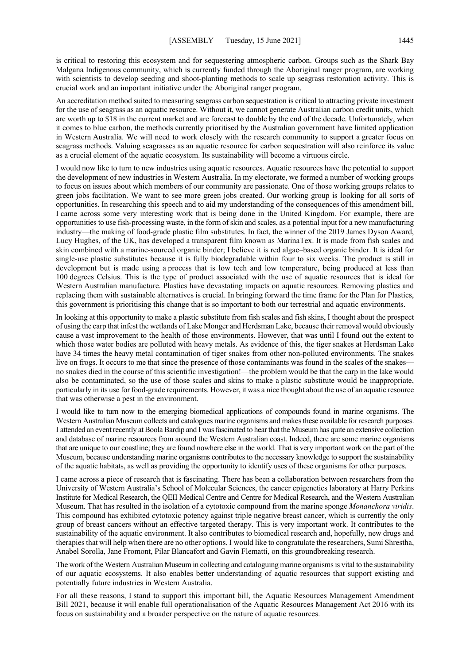is critical to restoring this ecosystem and for sequestering atmospheric carbon. Groups such as the Shark Bay Malgana Indigenous community, which is currently funded through the Aboriginal ranger program, are working with scientists to develop seeding and shoot-planting methods to scale up seagrass restoration activity. This is crucial work and an important initiative under the Aboriginal ranger program.

An accreditation method suited to measuring seagrass carbon sequestration is critical to attracting private investment for the use of seagrass as an aquatic resource. Without it, we cannot generate Australian carbon credit units, which are worth up to \$18 in the current market and are forecast to double by the end of the decade. Unfortunately, when it comes to blue carbon, the methods currently prioritised by the Australian government have limited application in Western Australia. We will need to work closely with the research community to support a greater focus on seagrass methods. Valuing seagrasses as an aquatic resource for carbon sequestration will also reinforce its value as a crucial element of the aquatic ecosystem. Its sustainability will become a virtuous circle.

I would now like to turn to new industries using aquatic resources. Aquatic resources have the potential to support the development of new industries in Western Australia. In my electorate, we formed a number of working groups to focus on issues about which members of our community are passionate. One of those working groups relates to green jobs facilitation. We want to see more green jobs created. Our working group is looking for all sorts of opportunities. In researching this speech and to aid my understanding of the consequences of this amendment bill, I came across some very interesting work that is being done in the United Kingdom. For example, there are opportunities to use fish-processing waste, in the form of skin and scales, as a potential input for a new manufacturing industry—the making of food-grade plastic film substitutes. In fact, the winner of the 2019 James Dyson Award, Lucy Hughes, of the UK, has developed a transparent film known as MarinaTex. It is made from fish scales and skin combined with a marine-sourced organic binder; I believe it is red algae–based organic binder. It is ideal for single-use plastic substitutes because it is fully biodegradable within four to six weeks. The product is still in development but is made using a process that is low tech and low temperature, being produced at less than 100 degrees Celsius. This is the type of product associated with the use of aquatic resources that is ideal for Western Australian manufacture. Plastics have devastating impacts on aquatic resources. Removing plastics and replacing them with sustainable alternatives is crucial. In bringing forward the time frame for the Plan for Plastics, this government is prioritising this change that is so important to both our terrestrial and aquatic environments.

In looking at this opportunity to make a plastic substitute from fish scales and fish skins, I thought about the prospect of using the carp that infest the wetlands of Lake Monger and Herdsman Lake, because their removal would obviously cause a vast improvement to the health of those environments. However, that was until I found out the extent to which those water bodies are polluted with heavy metals. As evidence of this, the tiger snakes at Herdsman Lake have 34 times the heavy metal contamination of tiger snakes from other non-polluted environments. The snakes live on frogs. It occurs to me that since the presence of those contaminants was found in the scales of the snakes no snakes died in the course of this scientific investigation!—the problem would be that the carp in the lake would also be contaminated, so the use of those scales and skins to make a plastic substitute would be inappropriate, particularly in its use for food-grade requirements. However, it was a nice thought about the use of an aquatic resource that was otherwise a pest in the environment.

I would like to turn now to the emerging biomedical applications of compounds found in marine organisms. The Western Australian Museum collects and catalogues marine organisms and makes these available for research purposes. I attended an event recently at Boola Bardip and I was fascinated to hear that the Museum has quite an extensive collection and database of marine resources from around the Western Australian coast. Indeed, there are some marine organisms that are unique to our coastline; they are found nowhere else in the world. That is very important work on the part of the Museum, because understanding marine organisms contributes to the necessary knowledge to support the sustainability of the aquatic habitats, as well as providing the opportunity to identify uses of these organisms for other purposes.

I came across a piece of research that is fascinating. There has been a collaboration between researchers from the University of Western Australia's School of Molecular Sciences, the cancer epigenetics laboratory at Harry Perkins Institute for Medical Research, the QEII Medical Centre and Centre for Medical Research, and the Western Australian Museum. That has resulted in the isolation of a cytotoxic compound from the marine sponge *Monanchora viridis*. This compound has exhibited cytotoxic potency against triple negative breast cancer, which is currently the only group of breast cancers without an effective targeted therapy. This is very important work. It contributes to the sustainability of the aquatic environment. It also contributes to biomedical research and, hopefully, new drugs and therapies that will help when there are no other options. I would like to congratulate the researchers, Sumi Shrestha, Anabel Sorolla, Jane Fromont, Pilar Blancafort and Gavin Flematti, on this groundbreaking research.

The work of the Western Australian Museum in collecting and cataloguing marine organisms is vital to the sustainability of our aquatic ecosystems. It also enables better understanding of aquatic resources that support existing and potentially future industries in Western Australia.

For all these reasons, I stand to support this important bill, the Aquatic Resources Management Amendment Bill 2021, because it will enable full operationalisation of the Aquatic Resources Management Act 2016 with its focus on sustainability and a broader perspective on the nature of aquatic resources.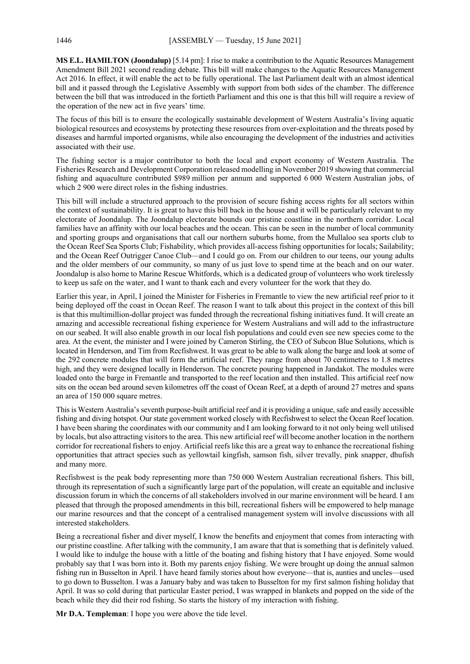**MS E.L. HAMILTON (Joondalup)** [5.14 pm]: I rise to make a contribution to the Aquatic Resources Management Amendment Bill 2021 second reading debate. This bill will make changes to the Aquatic Resources Management Act 2016. In effect, it will enable the act to be fully operational. The last Parliament dealt with an almost identical bill and it passed through the Legislative Assembly with support from both sides of the chamber. The difference between the bill that was introduced in the fortieth Parliament and this one is that this bill will require a review of the operation of the new act in five years' time.

The focus of this bill is to ensure the ecologically sustainable development of Western Australia's living aquatic biological resources and ecosystems by protecting these resources from over-exploitation and the threats posed by diseases and harmful imported organisms, while also encouraging the development of the industries and activities associated with their use.

The fishing sector is a major contributor to both the local and export economy of Western Australia. The Fisheries Research and Development Corporation released modelling in November 2019 showing that commercial fishing and aquaculture contributed \$989 million per annum and supported 6 000 Western Australian jobs, of which 2 900 were direct roles in the fishing industries.

This bill will include a structured approach to the provision of secure fishing access rights for all sectors within the context of sustainability. It is great to have this bill back in the house and it will be particularly relevant to my electorate of Joondalup. The Joondalup electorate bounds our pristine coastline in the northern corridor. Local families have an affinity with our local beaches and the ocean. This can be seen in the number of local community and sporting groups and organisations that call our northern suburbs home, from the Mullaloo sea sports club to the Ocean Reef Sea Sports Club; Fishability, which provides all-access fishing opportunities for locals; Sailability; and the Ocean Reef Outrigger Canoe Club—and I could go on. From our children to our teens, our young adults and the older members of our community, so many of us just love to spend time at the beach and on our water. Joondalup is also home to Marine Rescue Whitfords, which is a dedicated group of volunteers who work tirelessly to keep us safe on the water, and I want to thank each and every volunteer for the work that they do.

Earlier this year, in April, I joined the Minister for Fisheries in Fremantle to view the new artificial reef prior to it being deployed off the coast in Ocean Reef. The reason I want to talk about this project in the context of this bill is that this multimillion-dollar project was funded through the recreational fishing initiatives fund. It will create an amazing and accessible recreational fishing experience for Western Australians and will add to the infrastructure on our seabed. It will also enable growth in our local fish populations and could even see new species come to the area. At the event, the minister and I were joined by Cameron Stirling, the CEO of Subcon Blue Solutions, which is located in Henderson, and Tim from Recfishwest. It was great to be able to walk along the barge and look at some of the 292 concrete modules that will form the artificial reef. They range from about 70 centimetres to 1.8 metres high, and they were designed locally in Henderson. The concrete pouring happened in Jandakot. The modules were loaded onto the barge in Fremantle and transported to the reef location and then installed. This artificial reef now sits on the ocean bed around seven kilometres off the coast of Ocean Reef, at a depth of around 27 metres and spans an area of 150 000 square metres.

This is Western Australia's seventh purpose-built artificial reef and it is providing a unique, safe and easily accessible fishing and diving hotspot. Our state government worked closely with Recfishwest to select the Ocean Reef location. I have been sharing the coordinates with our community and I am looking forward to it not only being well utilised by locals, but also attracting visitors to the area. This new artificial reef will become another location in the northern corridor for recreational fishers to enjoy. Artificial reefs like this are a great way to enhance the recreational fishing opportunities that attract species such as yellowtail kingfish, samson fish, silver trevally, pink snapper, dhufish and many more.

Recfishwest is the peak body representing more than 750 000 Western Australian recreational fishers. This bill, through its representation of such a significantly large part of the population, will create an equitable and inclusive discussion forum in which the concerns of all stakeholders involved in our marine environment will be heard. I am pleased that through the proposed amendments in this bill, recreational fishers will be empowered to help manage our marine resources and that the concept of a centralised management system will involve discussions with all interested stakeholders.

Being a recreational fisher and diver myself, I know the benefits and enjoyment that comes from interacting with our pristine coastline. After talking with the community, I am aware that that is something that is definitely valued. I would like to indulge the house with a little of the boating and fishing history that I have enjoyed. Some would probably say that I was born into it. Both my parents enjoy fishing. We were brought up doing the annual salmon fishing run in Busselton in April. I have heard family stories about how everyone—that is, aunties and uncles—used to go down to Busselton. I was a January baby and was taken to Busselton for my first salmon fishing holiday that April. It was so cold during that particular Easter period, I was wrapped in blankets and popped on the side of the beach while they did their rod fishing. So starts the history of my interaction with fishing.

**Mr D.A. Templeman**: I hope you were above the tide level.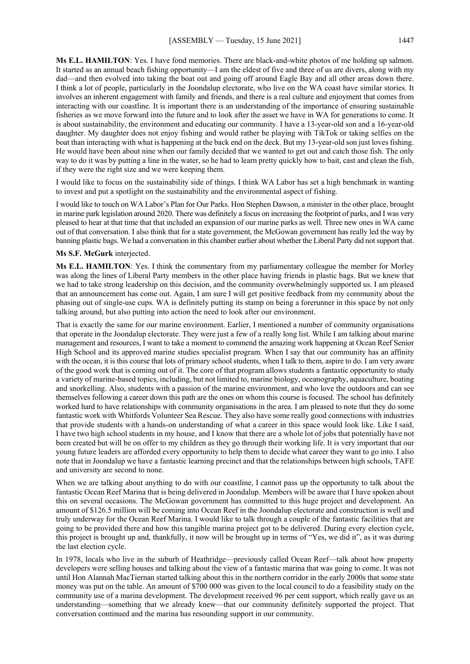**Ms E.L. HAMILTON**: Yes. I have fond memories. There are black-and-white photos of me holding up salmon. It started as an annual beach fishing opportunity—I am the eldest of five and three of us are divers, along with my dad—and then evolved into taking the boat out and going off around Eagle Bay and all other areas down there. I think a lot of people, particularly in the Joondalup electorate, who live on the WA coast have similar stories. It involves an inherent engagement with family and friends, and there is a real culture and enjoyment that comes from interacting with our coastline. It is important there is an understanding of the importance of ensuring sustainable fisheries as we move forward into the future and to look after the asset we have in WA for generations to come. It is about sustainability, the environment and educating our community. I have a 13-year-old son and a 16-year-old daughter. My daughter does not enjoy fishing and would rather be playing with TikTok or taking selfies on the boat than interacting with what is happening at the back end on the deck. But my 13-year-old son just loves fishing. He would have been about nine when our family decided that we wanted to get out and catch those fish. The only way to do it was by putting a line in the water, so he had to learn pretty quickly how to bait, cast and clean the fish, if they were the right size and we were keeping them.

I would like to focus on the sustainability side of things. I think WA Labor has set a high benchmark in wanting to invest and put a spotlight on the sustainability and the environmental aspect of fishing.

I would like to touch on WA Labor's Plan for Our Parks. Hon Stephen Dawson, a minister in the other place, brought in marine park legislation around 2020. There was definitely a focus on increasing the footprint of parks, and I was very pleased to hear at that time that that included an expansion of our marine parks as well. Three new ones in WA came out of that conversation. I also think that for a state government, the McGowan government has really led the way by banning plastic bags. We had a conversation in this chamber earlier about whether the Liberal Party did not support that.

#### **Ms S.F. McGurk** interjected.

**Ms E.L. HAMILTON**: Yes. I think the commentary from my parliamentary colleague the member for Morley was along the lines of Liberal Party members in the other place having friends in plastic bags. But we knew that we had to take strong leadership on this decision, and the community overwhelmingly supported us. I am pleased that an announcement has come out. Again, I am sure I will get positive feedback from my community about the phasing out of single-use cups. WA is definitely putting its stamp on being a forerunner in this space by not only talking around, but also putting into action the need to look after our environment.

That is exactly the same for our marine environment. Earlier, I mentioned a number of community organisations that operate in the Joondalup electorate. They were just a few of a really long list. While I am talking about marine management and resources, I want to take a moment to commend the amazing work happening at Ocean Reef Senior High School and its approved marine studies specialist program. When I say that our community has an affinity with the ocean, it is this course that lots of primary school students, when I talk to them, aspire to do. I am very aware of the good work that is coming out of it. The core of that program allows students a fantastic opportunity to study a variety of marine-based topics, including, but not limited to, marine biology, oceanography, aquaculture, boating and snorkelling. Also, students with a passion of the marine environment, and who love the outdoors and can see themselves following a career down this path are the ones on whom this course is focused. The school has definitely worked hard to have relationships with community organisations in the area. I am pleased to note that they do some fantastic work with Whitfords Volunteer Sea Rescue. They also have some really good connections with industries that provide students with a hands-on understanding of what a career in this space would look like. Like I said, I have two high school students in my house, and I know that there are a whole lot of jobs that potentially have not been created but will be on offer to my children as they go through their working life. It is very important that our young future leaders are afforded every opportunity to help them to decide what career they want to go into. I also note that in Joondalup we have a fantastic learning precinct and that the relationships between high schools, TAFE and university are second to none.

When we are talking about anything to do with our coastline, I cannot pass up the opportunity to talk about the fantastic Ocean Reef Marina that is being delivered in Joondalup. Members will be aware that I have spoken about this on several occasions. The McGowan government has committed to this huge project and development. An amount of \$126.5 million will be coming into Ocean Reef in the Joondalup electorate and construction is well and truly underway for the Ocean Reef Marina. I would like to talk through a couple of the fantastic facilities that are going to be provided there and how this tangible marina project got to be delivered. During every election cycle, this project is brought up and, thankfully, it now will be brought up in terms of "Yes, we did it", as it was during the last election cycle.

In 1978, locals who live in the suburb of Heathridge—previously called Ocean Reef—talk about how property developers were selling houses and talking about the view of a fantastic marina that was going to come. It was not until Hon Alannah MacTiernan started talking about this in the northern corridor in the early 2000s that some state money was put on the table. An amount of \$700 000 was given to the local council to do a feasibility study on the community use of a marina development. The development received 96 per cent support, which really gave us an understanding—something that we already knew—that our community definitely supported the project. That conversation continued and the marina has resounding support in our community.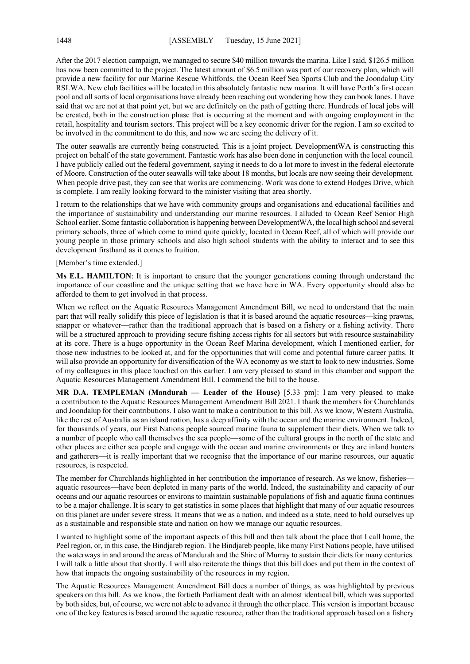After the 2017 election campaign, we managed to secure \$40 million towards the marina. Like I said, \$126.5 million has now been committed to the project. The latest amount of \$6.5 million was part of our recovery plan, which will provide a new facility for our Marine Rescue Whitfords, the Ocean Reef Sea Sports Club and the Joondalup City RSLWA. New club facilities will be located in this absolutely fantastic new marina. It will have Perth's first ocean pool and all sorts of local organisations have already been reaching out wondering how they can book lanes. I have said that we are not at that point yet, but we are definitely on the path of getting there. Hundreds of local jobs will be created, both in the construction phase that is occurring at the moment and with ongoing employment in the retail, hospitality and tourism sectors. This project will be a key economic driver for the region. I am so excited to be involved in the commitment to do this, and now we are seeing the delivery of it.

The outer seawalls are currently being constructed. This is a joint project. DevelopmentWA is constructing this project on behalf of the state government. Fantastic work has also been done in conjunction with the local council. I have publicly called out the federal government, saying it needs to do a lot more to invest in the federal electorate of Moore. Construction of the outer seawalls will take about 18 months, but locals are now seeing their development. When people drive past, they can see that works are commencing. Work was done to extend Hodges Drive, which is complete. I am really looking forward to the minister visiting that area shortly.

I return to the relationships that we have with community groups and organisations and educational facilities and the importance of sustainability and understanding our marine resources. I alluded to Ocean Reef Senior High School earlier. Some fantastic collaboration is happening between DevelopmentWA, the local high school and several primary schools, three of which come to mind quite quickly, located in Ocean Reef, all of which will provide our young people in those primary schools and also high school students with the ability to interact and to see this development firsthand as it comes to fruition.

[Member's time extended.]

**Ms E.L. HAMILTON**: It is important to ensure that the younger generations coming through understand the importance of our coastline and the unique setting that we have here in WA. Every opportunity should also be afforded to them to get involved in that process.

When we reflect on the Aquatic Resources Management Amendment Bill, we need to understand that the main part that will really solidify this piece of legislation is that it is based around the aquatic resources—king prawns, snapper or whatever—rather than the traditional approach that is based on a fishery or a fishing activity. There will be a structured approach to providing secure fishing access rights for all sectors but with resource sustainability at its core. There is a huge opportunity in the Ocean Reef Marina development, which I mentioned earlier, for those new industries to be looked at, and for the opportunities that will come and potential future career paths. It will also provide an opportunity for diversification of the WA economy as we start to look to new industries. Some of my colleagues in this place touched on this earlier. I am very pleased to stand in this chamber and support the Aquatic Resources Management Amendment Bill. I commend the bill to the house.

**MR D.A. TEMPLEMAN (Mandurah — Leader of the House)** [5.33 pm]: I am very pleased to make a contribution to the Aquatic Resources Management Amendment Bill 2021. I thank the members for Churchlands and Joondalup for their contributions. I also want to make a contribution to this bill. As we know, Western Australia, like the rest of Australia as an island nation, has a deep affinity with the ocean and the marine environment. Indeed, for thousands of years, our First Nations people sourced marine fauna to supplement their diets. When we talk to a number of people who call themselves the sea people—some of the cultural groups in the north of the state and other places are either sea people and engage with the ocean and marine environments or they are inland hunters and gatherers—it is really important that we recognise that the importance of our marine resources, our aquatic resources, is respected.

The member for Churchlands highlighted in her contribution the importance of research. As we know, fisheries aquatic resources—have been depleted in many parts of the world. Indeed, the sustainability and capacity of our oceans and our aquatic resources or environs to maintain sustainable populations of fish and aquatic fauna continues to be a major challenge. It is scary to get statistics in some places that highlight that many of our aquatic resources on this planet are under severe stress. It means that we as a nation, and indeed as a state, need to hold ourselves up as a sustainable and responsible state and nation on how we manage our aquatic resources.

I wanted to highlight some of the important aspects of this bill and then talk about the place that I call home, the Peel region, or, in this case, the Bindjareb region. The Bindjareb people, like many First Nations people, have utilised the waterways in and around the areas of Mandurah and the Shire of Murray to sustain their diets for many centuries. I will talk a little about that shortly. I will also reiterate the things that this bill does and put them in the context of how that impacts the ongoing sustainability of the resources in my region.

The Aquatic Resources Management Amendment Bill does a number of things, as was highlighted by previous speakers on this bill. As we know, the fortieth Parliament dealt with an almost identical bill, which was supported by both sides, but, of course, we were not able to advance it through the other place. This version is important because one of the key features is based around the aquatic resource, rather than the traditional approach based on a fishery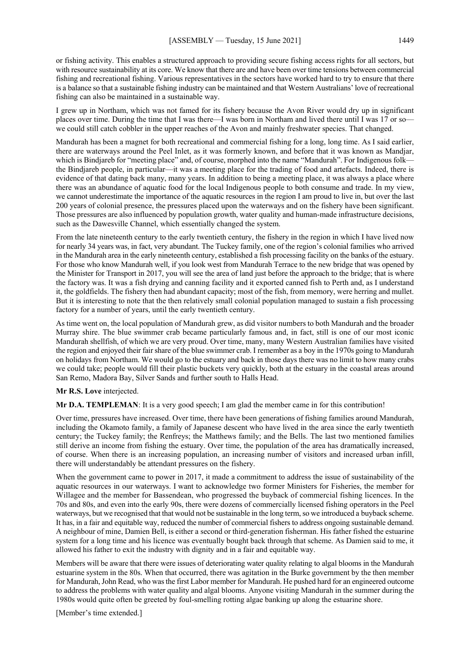or fishing activity. This enables a structured approach to providing secure fishing access rights for all sectors, but with resource sustainability at its core. We know that there are and have been over time tensions between commercial fishing and recreational fishing. Various representatives in the sectors have worked hard to try to ensure that there is a balance so that a sustainable fishing industry can be maintained and that Western Australians' love of recreational fishing can also be maintained in a sustainable way.

I grew up in Northam, which was not famed for its fishery because the Avon River would dry up in significant places over time. During the time that I was there—I was born in Northam and lived there until I was 17 or so we could still catch cobbler in the upper reaches of the Avon and mainly freshwater species. That changed.

Mandurah has been a magnet for both recreational and commercial fishing for a long, long time. As I said earlier, there are waterways around the Peel Inlet, as it was formerly known, and before that it was known as Mandjar, which is Bindjareb for "meeting place" and, of course, morphed into the name "Mandurah". For Indigenous folk the Bindjareb people, in particular—it was a meeting place for the trading of food and artefacts. Indeed, there is evidence of that dating back many, many years. In addition to being a meeting place, it was always a place where there was an abundance of aquatic food for the local Indigenous people to both consume and trade. In my view, we cannot underestimate the importance of the aquatic resources in the region I am proud to live in, but over the last 200 years of colonial presence, the pressures placed upon the waterways and on the fishery have been significant. Those pressures are also influenced by population growth, water quality and human-made infrastructure decisions, such as the Dawesville Channel, which essentially changed the system.

From the late nineteenth century to the early twentieth century, the fishery in the region in which I have lived now for nearly 34 years was, in fact, very abundant. The Tuckey family, one of the region's colonial families who arrived in the Mandurah area in the early nineteenth century, established a fish processing facility on the banks of the estuary. For those who know Mandurah well, if you look west from Mandurah Terrace to the new bridge that was opened by the Minister for Transport in 2017, you will see the area of land just before the approach to the bridge; that is where the factory was. It was a fish drying and canning facility and it exported canned fish to Perth and, as I understand it, the goldfields. The fishery then had abundant capacity; most of the fish, from memory, were herring and mullet. But it is interesting to note that the then relatively small colonial population managed to sustain a fish processing factory for a number of years, until the early twentieth century.

As time went on, the local population of Mandurah grew, as did visitor numbers to both Mandurah and the broader Murray shire. The blue swimmer crab became particularly famous and, in fact, still is one of our most iconic Mandurah shellfish, of which we are very proud. Over time, many, many Western Australian families have visited the region and enjoyed their fair share of the blue swimmer crab. I remember as a boy in the 1970s going to Mandurah on holidays from Northam. We would go to the estuary and back in those days there was no limit to how many crabs we could take; people would fill their plastic buckets very quickly, both at the estuary in the coastal areas around San Remo, Madora Bay, Silver Sands and further south to Halls Head.

### **Mr R.S. Love** interjected.

**Mr D.A. TEMPLEMAN**: It is a very good speech; I am glad the member came in for this contribution!

Over time, pressures have increased. Over time, there have been generations of fishing families around Mandurah, including the Okamoto family, a family of Japanese descent who have lived in the area since the early twentieth century; the Tuckey family; the Renfreys; the Matthews family; and the Bells. The last two mentioned families still derive an income from fishing the estuary. Over time, the population of the area has dramatically increased, of course. When there is an increasing population, an increasing number of visitors and increased urban infill, there will understandably be attendant pressures on the fishery.

When the government came to power in 2017, it made a commitment to address the issue of sustainability of the aquatic resources in our waterways. I want to acknowledge two former Ministers for Fisheries, the member for Willagee and the member for Bassendean, who progressed the buyback of commercial fishing licences. In the 70s and 80s, and even into the early 90s, there were dozens of commercially licensed fishing operators in the Peel waterways, but we recognised that that would not be sustainable in the long term, so we introduced a buyback scheme. It has, in a fair and equitable way, reduced the number of commercial fishers to address ongoing sustainable demand. A neighbour of mine, Damien Bell, is either a second or third-generation fisherman. His father fished the estuarine system for a long time and his licence was eventually bought back through that scheme. As Damien said to me, it allowed his father to exit the industry with dignity and in a fair and equitable way.

Members will be aware that there were issues of deteriorating water quality relating to algal blooms in the Mandurah estuarine system in the 80s. When that occurred, there was agitation in the Burke government by the then member for Mandurah, John Read, who was the first Labor member for Mandurah. He pushed hard for an engineered outcome to address the problems with water quality and algal blooms. Anyone visiting Mandurah in the summer during the 1980s would quite often be greeted by foul-smelling rotting algae banking up along the estuarine shore.

[Member's time extended.]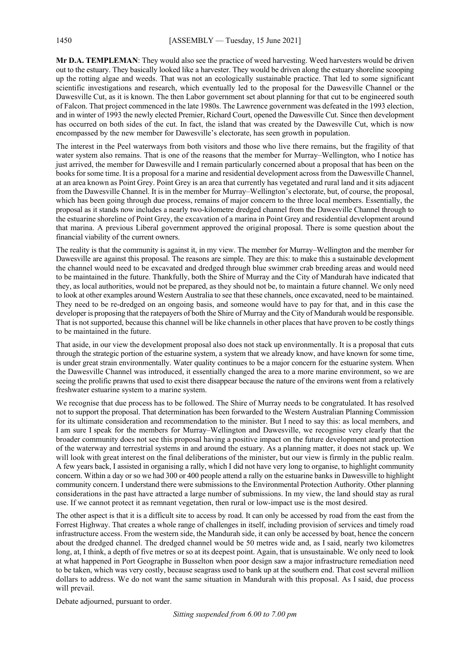Mr D.A. TEMPLEMAN: They would also see the practice of weed harvesting. Weed harvesters would be driven out to the estuary. They basically looked like a harvester. They would be driven along the estuary shoreline scooping up the rotting algae and weeds. That was not an ecologically sustainable practice. That led to some significant scientific investigations and research, which eventually led to the proposal for the Dawesville Channel or the Dawesville Cut, as it is known. The then Labor government set about planning for that cut to be engineered south of Falcon. That project commenced in the late 1980s. The Lawrence government was defeated in the 1993 election, and in winter of 1993 the newly elected Premier, Richard Court, opened the Dawesville Cut. Since then development has occurred on both sides of the cut. In fact, the island that was created by the Dawesville Cut, which is now encompassed by the new member for Dawesville's electorate, has seen growth in population.

The interest in the Peel waterways from both visitors and those who live there remains, but the fragility of that water system also remains. That is one of the reasons that the member for Murray–Wellington, who I notice has just arrived, the member for Dawesville and I remain particularly concerned about a proposal that has been on the books for some time. It is a proposal for a marine and residential development across from the Dawesville Channel, at an area known as Point Grey. Point Grey is an area that currently has vegetated and rural land and it sits adjacent from the Dawesville Channel. It is in the member for Murray–Wellington's electorate, but, of course, the proposal, which has been going through due process, remains of major concern to the three local members. Essentially, the proposal as it stands now includes a nearly two-kilometre dredged channel from the Dawesville Channel through to the estuarine shoreline of Point Grey, the excavation of a marina in Point Grey and residential development around that marina. A previous Liberal government approved the original proposal. There is some question about the financial viability of the current owners.

The reality is that the community is against it, in my view. The member for Murray–Wellington and the member for Dawesville are against this proposal. The reasons are simple. They are this: to make this a sustainable development the channel would need to be excavated and dredged through blue swimmer crab breeding areas and would need to be maintained in the future. Thankfully, both the Shire of Murray and the City of Mandurah have indicated that they, as local authorities, would not be prepared, as they should not be, to maintain a future channel. We only need to look at other examples around Western Australia to see that these channels, once excavated, need to be maintained. They need to be re-dredged on an ongoing basis, and someone would have to pay for that, and in this case the developer is proposing that the ratepayers of both the Shire of Murray and the City of Mandurah would be responsible. That is not supported, because this channel will be like channels in other places that have proven to be costly things to be maintained in the future.

That aside, in our view the development proposal also does not stack up environmentally. It is a proposal that cuts through the strategic portion of the estuarine system, a system that we already know, and have known for some time, is under great strain environmentally. Water quality continues to be a major concern for the estuarine system. When the Dawesville Channel was introduced, it essentially changed the area to a more marine environment, so we are seeing the prolific prawns that used to exist there disappear because the nature of the environs went from a relatively freshwater estuarine system to a marine system.

We recognise that due process has to be followed. The Shire of Murray needs to be congratulated. It has resolved not to support the proposal. That determination has been forwarded to the Western Australian Planning Commission for its ultimate consideration and recommendation to the minister. But I need to say this: as local members, and I am sure I speak for the members for Murray–Wellington and Dawesville, we recognise very clearly that the broader community does not see this proposal having a positive impact on the future development and protection of the waterway and terrestrial systems in and around the estuary. As a planning matter, it does not stack up. We will look with great interest on the final deliberations of the minister, but our view is firmly in the public realm. A few years back, I assisted in organising a rally, which I did not have very long to organise, to highlight community concern. Within a day or so we had 300 or 400 people attend a rally on the estuarine banks in Dawesville to highlight community concern. I understand there were submissions to the Environmental Protection Authority. Other planning considerations in the past have attracted a large number of submissions. In my view, the land should stay as rural use. If we cannot protect it as remnant vegetation, then rural or low-impact use is the most desired.

The other aspect is that it is a difficult site to access by road. It can only be accessed by road from the east from the Forrest Highway. That creates a whole range of challenges in itself, including provision of services and timely road infrastructure access. From the western side, the Mandurah side, it can only be accessed by boat, hence the concern about the dredged channel. The dredged channel would be 50 metres wide and, as I said, nearly two kilometres long, at, I think, a depth of five metres or so at its deepest point. Again, that is unsustainable. We only need to look at what happened in Port Geographe in Busselton when poor design saw a major infrastructure remediation need to be taken, which was very costly, because seagrass used to bank up at the southern end. That cost several million dollars to address. We do not want the same situation in Mandurah with this proposal. As I said, due process will prevail.

Debate adjourned, pursuant to order.

*Sitting suspended from 6.00 to 7.00 pm*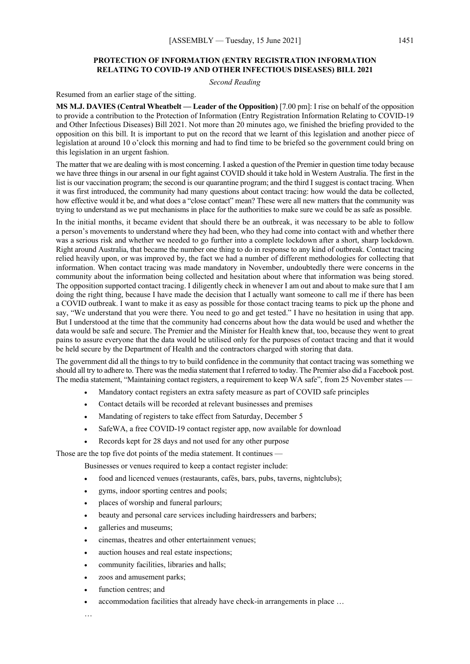## **PROTECTION OF INFORMATION (ENTRY REGISTRATION INFORMATION RELATING TO COVID-19 AND OTHER INFECTIOUS DISEASES) BILL 2021**

*Second Reading*

Resumed from an earlier stage of the sitting.

**MS M.J. DAVIES (Central Wheatbelt — Leader of the Opposition)** [7.00 pm]: I rise on behalf of the opposition to provide a contribution to the Protection of Information (Entry Registration Information Relating to COVID-19 and Other Infectious Diseases) Bill 2021. Not more than 20 minutes ago, we finished the briefing provided to the opposition on this bill. It is important to put on the record that we learnt of this legislation and another piece of legislation at around 10 o'clock this morning and had to find time to be briefed so the government could bring on this legislation in an urgent fashion.

The matter that we are dealing with is most concerning. I asked a question of the Premier in question time today because we have three things in our arsenal in our fight against COVID should it take hold in Western Australia. The first in the list is our vaccination program; the second is our quarantine program; and the third I suggest is contact tracing. When it was first introduced, the community had many questions about contact tracing: how would the data be collected, how effective would it be, and what does a "close contact" mean? These were all new matters that the community was trying to understand as we put mechanisms in place for the authorities to make sure we could be as safe as possible.

In the initial months, it became evident that should there be an outbreak, it was necessary to be able to follow a person's movements to understand where they had been, who they had come into contact with and whether there was a serious risk and whether we needed to go further into a complete lockdown after a short, sharp lockdown. Right around Australia, that became the number one thing to do in response to any kind of outbreak. Contact tracing relied heavily upon, or was improved by, the fact we had a number of different methodologies for collecting that information. When contact tracing was made mandatory in November, undoubtedly there were concerns in the community about the information being collected and hesitation about where that information was being stored. The opposition supported contact tracing. I diligently check in whenever I am out and about to make sure that I am doing the right thing, because I have made the decision that I actually want someone to call me if there has been a COVID outbreak. I want to make it as easy as possible for those contact tracing teams to pick up the phone and say, "We understand that you were there. You need to go and get tested." I have no hesitation in using that app. But I understood at the time that the community had concerns about how the data would be used and whether the data would be safe and secure. The Premier and the Minister for Health knew that, too, because they went to great pains to assure everyone that the data would be utilised only for the purposes of contact tracing and that it would be held secure by the Department of Health and the contractors charged with storing that data.

The government did all the things to try to build confidence in the community that contact tracing was something we should all try to adhere to. There was the media statement that I referred to today. The Premier also did a Facebook post. The media statement, "Maintaining contact registers, a requirement to keep WA safe", from 25 November states

- Mandatory contact registers an extra safety measure as part of COVID safe principles
- Contact details will be recorded at relevant businesses and premises
- Mandating of registers to take effect from Saturday, December 5
- SafeWA, a free COVID-19 contact register app, now available for download
- Records kept for 28 days and not used for any other purpose

Those are the top five dot points of the media statement. It continues —

Businesses or venues required to keep a contact register include:

- food and licenced venues (restaurants, cafés, bars, pubs, taverns, nightclubs);
- gyms, indoor sporting centres and pools;
- places of worship and funeral parlours;
- beauty and personal care services including hairdressers and barbers;
- galleries and museums;
- cinemas, theatres and other entertainment venues;
- auction houses and real estate inspections;
- community facilities, libraries and halls;
- zoos and amusement parks;
- function centres; and
- accommodation facilities that already have check-in arrangements in place ...

…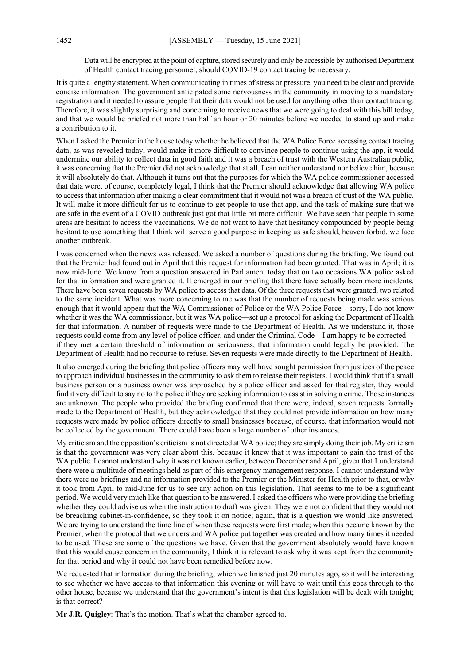Data will be encrypted at the point of capture, stored securely and only be accessible by authorised Department of Health contact tracing personnel, should COVID-19 contact tracing be necessary.

It is quite a lengthy statement. When communicating in times of stress or pressure, you need to be clear and provide concise information. The government anticipated some nervousness in the community in moving to a mandatory registration and it needed to assure people that their data would not be used for anything other than contact tracing. Therefore, it was slightly surprising and concerning to receive news that we were going to deal with this bill today, and that we would be briefed not more than half an hour or 20 minutes before we needed to stand up and make a contribution to it.

When I asked the Premier in the house today whether he believed that the WA Police Force accessing contact tracing data, as was revealed today, would make it more difficult to convince people to continue using the app, it would undermine our ability to collect data in good faith and it was a breach of trust with the Western Australian public, it was concerning that the Premier did not acknowledge that at all. I can neither understand nor believe him, because it will absolutely do that. Although it turns out that the purposes for which the WA police commissioner accessed that data were, of course, completely legal, I think that the Premier should acknowledge that allowing WA police to access that information after making a clear commitment that it would not was a breach of trust of the WA public. It will make it more difficult for us to continue to get people to use that app, and the task of making sure that we are safe in the event of a COVID outbreak just got that little bit more difficult. We have seen that people in some areas are hesitant to access the vaccinations. We do not want to have that hesitancy compounded by people being hesitant to use something that I think will serve a good purpose in keeping us safe should, heaven forbid, we face another outbreak.

I was concerned when the news was released. We asked a number of questions during the briefing. We found out that the Premier had found out in April that this request for information had been granted. That was in April; it is now mid-June. We know from a question answered in Parliament today that on two occasions WA police asked for that information and were granted it. It emerged in our briefing that there have actually been more incidents. There have been seven requests by WA police to access that data. Of the three requests that were granted, two related to the same incident. What was more concerning to me was that the number of requests being made was serious enough that it would appear that the WA Commissioner of Police or the WA Police Force—sorry, I do not know whether it was the WA commissioner, but it was WA police—set up a protocol for asking the Department of Health for that information. A number of requests were made to the Department of Health. As we understand it, those requests could come from any level of police officer, and under the Criminal Code—I am happy to be corrected if they met a certain threshold of information or seriousness, that information could legally be provided. The Department of Health had no recourse to refuse. Seven requests were made directly to the Department of Health.

It also emerged during the briefing that police officers may well have sought permission from justices of the peace to approach individual businesses in the community to ask them to release their registers. I would think that if a small business person or a business owner was approached by a police officer and asked for that register, they would find it very difficult to say no to the police if they are seeking information to assist in solving a crime. Those instances are unknown. The people who provided the briefing confirmed that there were, indeed, seven requests formally made to the Department of Health, but they acknowledged that they could not provide information on how many requests were made by police officers directly to small businesses because, of course, that information would not be collected by the government. There could have been a large number of other instances.

My criticism and the opposition's criticism is not directed at WA police; they are simply doing their job. My criticism is that the government was very clear about this, because it knew that it was important to gain the trust of the WA public. I cannot understand why it was not known earlier, between December and April, given that I understand there were a multitude of meetings held as part of this emergency management response. I cannot understand why there were no briefings and no information provided to the Premier or the Minister for Health prior to that, or why it took from April to mid-June for us to see any action on this legislation. That seems to me to be a significant period. We would very much like that question to be answered. I asked the officers who were providing the briefing whether they could advise us when the instruction to draft was given. They were not confident that they would not be breaching cabinet-in-confidence, so they took it on notice; again, that is a question we would like answered. We are trying to understand the time line of when these requests were first made; when this became known by the Premier; when the protocol that we understand WA police put together was created and how many times it needed to be used. These are some of the questions we have. Given that the government absolutely would have known that this would cause concern in the community, I think it is relevant to ask why it was kept from the community for that period and why it could not have been remedied before now.

We requested that information during the briefing, which we finished just 20 minutes ago, so it will be interesting to see whether we have access to that information this evening or will have to wait until this goes through to the other house, because we understand that the government's intent is that this legislation will be dealt with tonight; is that correct?

**Mr J.R. Quigley**: That's the motion. That's what the chamber agreed to.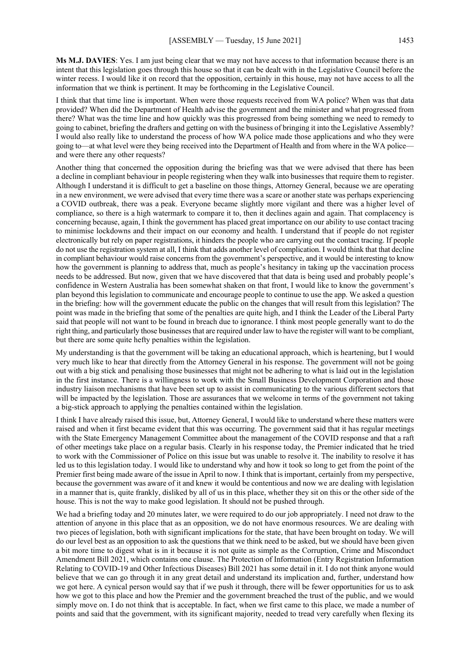**Ms M.J. DAVIES**: Yes. I am just being clear that we may not have access to that information because there is an intent that this legislation goes through this house so that it can be dealt with in the Legislative Council before the winter recess. I would like it on record that the opposition, certainly in this house, may not have access to all the information that we think is pertinent. It may be forthcoming in the Legislative Council.

I think that that time line is important. When were those requests received from WA police? When was that data provided? When did the Department of Health advise the government and the minister and what progressed from there? What was the time line and how quickly was this progressed from being something we need to remedy to going to cabinet, briefing the drafters and getting on with the business of bringing it into the Legislative Assembly? I would also really like to understand the process of how WA police made those applications and who they were going to—at what level were they being received into the Department of Health and from where in the WA police and were there any other requests?

Another thing that concerned the opposition during the briefing was that we were advised that there has been a decline in compliant behaviour in people registering when they walk into businesses that require them to register. Although I understand it is difficult to get a baseline on those things, Attorney General, because we are operating in a new environment, we were advised that every time there was a scare or another state was perhaps experiencing a COVID outbreak, there was a peak. Everyone became slightly more vigilant and there was a higher level of compliance, so there is a high watermark to compare it to, then it declines again and again. That complacency is concerning because, again, I think the government has placed great importance on our ability to use contact tracing to minimise lockdowns and their impact on our economy and health. I understand that if people do not register electronically but rely on paper registrations, it hinders the people who are carrying out the contact tracing. If people do not use the registration system at all, I think that adds another level of complication. I would think that that decline in compliant behaviour would raise concerns from the government's perspective, and it would be interesting to know how the government is planning to address that, much as people's hesitancy in taking up the vaccination process needs to be addressed. But now, given that we have discovered that that data is being used and probably people's confidence in Western Australia has been somewhat shaken on that front, I would like to know the government's plan beyond this legislation to communicate and encourage people to continue to use the app. We asked a question in the briefing: how will the government educate the public on the changes that will result from this legislation? The point was made in the briefing that some of the penalties are quite high, and I think the Leader of the Liberal Party said that people will not want to be found in breach due to ignorance. I think most people generally want to do the right thing, and particularly those businesses that are required under law to have the register will want to be compliant, but there are some quite hefty penalties within the legislation.

My understanding is that the government will be taking an educational approach, which is heartening, but I would very much like to hear that directly from the Attorney General in his response. The government will not be going out with a big stick and penalising those businesses that might not be adhering to what is laid out in the legislation in the first instance. There is a willingness to work with the Small Business Development Corporation and those industry liaison mechanisms that have been set up to assist in communicating to the various different sectors that will be impacted by the legislation. Those are assurances that we welcome in terms of the government not taking a big-stick approach to applying the penalties contained within the legislation.

I think I have already raised this issue, but, Attorney General, I would like to understand where these matters were raised and when it first became evident that this was occurring. The government said that it has regular meetings with the State Emergency Management Committee about the management of the COVID response and that a raft of other meetings take place on a regular basis. Clearly in his response today, the Premier indicated that he tried to work with the Commissioner of Police on this issue but was unable to resolve it. The inability to resolve it has led us to this legislation today. I would like to understand why and how it took so long to get from the point of the Premier first being made aware of the issue in April to now. I think that is important, certainly from my perspective, because the government was aware of it and knew it would be contentious and now we are dealing with legislation in a manner that is, quite frankly, disliked by all of us in this place, whether they sit on this or the other side of the house. This is not the way to make good legislation. It should not be pushed through.

We had a briefing today and 20 minutes later, we were required to do our job appropriately. I need not draw to the attention of anyone in this place that as an opposition, we do not have enormous resources. We are dealing with two pieces of legislation, both with significant implications for the state, that have been brought on today. We will do our level best as an opposition to ask the questions that we think need to be asked, but we should have been given a bit more time to digest what is in it because it is not quite as simple as the Corruption, Crime and Misconduct Amendment Bill 2021, which contains one clause. The Protection of Information (Entry Registration Information Relating to COVID-19 and Other Infectious Diseases) Bill 2021 has some detail in it. I do not think anyone would believe that we can go through it in any great detail and understand its implication and, further, understand how we got here. A cynical person would say that if we push it through, there will be fewer opportunities for us to ask how we got to this place and how the Premier and the government breached the trust of the public, and we would simply move on. I do not think that is acceptable. In fact, when we first came to this place, we made a number of points and said that the government, with its significant majority, needed to tread very carefully when flexing its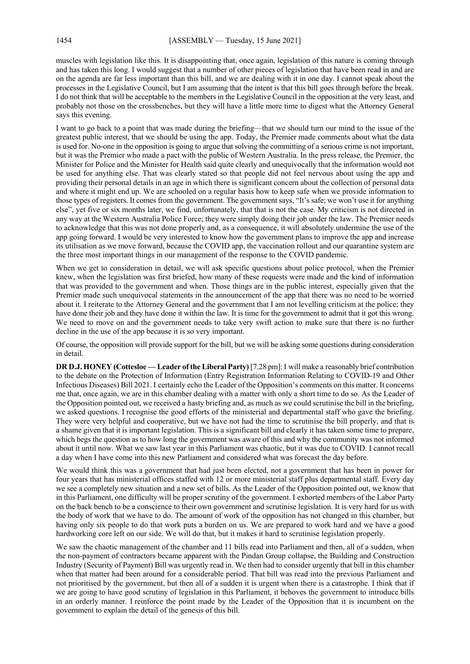muscles with legislation like this. It is disappointing that, once again, legislation of this nature is coming through and has taken this long. I would suggest that a number of other pieces of legislation that have been read in and are on the agenda are far less important than this bill, and we are dealing with it in one day. I cannot speak about the processes in the Legislative Council, but I am assuming that the intent is that this bill goes through before the break. I do not think that will be acceptable to the members in the Legislative Council in the opposition at the very least, and probably not those on the crossbenches, but they will have a little more time to digest what the Attorney General says this evening.

I want to go back to a point that was made during the briefing—that we should turn our mind to the issue of the greatest public interest, that we should be using the app. Today, the Premier made comments about what the data is used for. No-one in the opposition is going to argue that solving the committing of a serious crime is not important, but it was the Premier who made a pact with the public of Western Australia. In the press release, the Premier, the Minister for Police and the Minister for Health said quite clearly and unequivocally that the information would not be used for anything else. That was clearly stated so that people did not feel nervous about using the app and providing their personal details in an age in which there is significant concern about the collection of personal data and where it might end up. We are schooled on a regular basis how to keep safe when we provide information to those types of registers. It comes from the government. The government says, "It's safe; we won't use it for anything else", yet five or six months later, we find, unfortunately, that that is not the case. My criticism is not directed in any way at the Western Australia Police Force; they were simply doing their job under the law. The Premier needs to acknowledge that this was not done properly and, as a consequence, it will absolutely undermine the use of the app going forward. I would be very interested to know how the government plans to improve the app and increase its utilisation as we move forward, because the COVID app, the vaccination rollout and our quarantine system are the three most important things in our management of the response to the COVID pandemic.

When we get to consideration in detail, we will ask specific questions about police protocol, when the Premier knew, when the legislation was first briefed, how many of these requests were made and the kind of information that was provided to the government and when. Those things are in the public interest, especially given that the Premier made such unequivocal statements in the announcement of the app that there was no need to be worried about it. I reiterate to the Attorney General and the government that I am not levelling criticism at the police; they have done their job and they have done it within the law. It is time for the government to admit that it got this wrong. We need to move on and the government needs to take very swift action to make sure that there is no further decline in the use of the app because it is so very important.

Of course, the opposition will provide support for the bill, but we will be asking some questions during consideration in detail.

**DR D.J. HONEY (Cottesloe — Leader of the Liberal Party)** [7.28 pm]: I will make a reasonably brief contribution to the debate on the Protection of Information (Entry Registration Information Relating to COVID-19 and Other Infectious Diseases) Bill 2021. I certainly echo the Leader of the Opposition's comments on this matter. It concerns me that, once again, we are in this chamber dealing with a matter with only a short time to do so. As the Leader of the Opposition pointed out, we received a hasty briefing and, as much as we could scrutinise the bill in the briefing, we asked questions. I recognise the good efforts of the ministerial and departmental staff who gave the briefing. They were very helpful and cooperative, but we have not had the time to scrutinise the bill properly, and that is a shame given that it is important legislation. This is a significant bill and clearly it has taken some time to prepare, which begs the question as to how long the government was aware of this and why the community was not informed about it until now. What we saw last year in this Parliament was chaotic, but it was due to COVID. I cannot recall a day when I have come into this new Parliament and considered what was forecast the day before.

We would think this was a government that had just been elected, not a government that has been in power for four years that has ministerial offices staffed with 12 or more ministerial staff plus departmental staff. Every day we see a completely new situation and a new set of bills. As the Leader of the Opposition pointed out, we know that in this Parliament, one difficulty will be proper scrutiny of the government. I exhorted members of the Labor Party on the back bench to be a conscience to their own government and scrutinise legislation. It is very hard for us with the body of work that we have to do. The amount of work of the opposition has not changed in this chamber, but having only six people to do that work puts a burden on us. We are prepared to work hard and we have a good hardworking core left on our side. We will do that, but it makes it hard to scrutinise legislation properly.

We saw the chaotic management of the chamber and 11 bills read into Parliament and then, all of a sudden, when the non-payment of contractors became apparent with the Pindan Group collapse, the Building and Construction Industry (Security of Payment) Bill was urgently read in. We then had to consider urgently that bill in this chamber when that matter had been around for a considerable period. That bill was read into the previous Parliament and not prioritised by the government, but then all of a sudden it is urgent when there is a catastrophe. I think that if we are going to have good scrutiny of legislation in this Parliament, it behoves the government to introduce bills in an orderly manner. I reinforce the point made by the Leader of the Opposition that it is incumbent on the government to explain the detail of the genesis of this bill.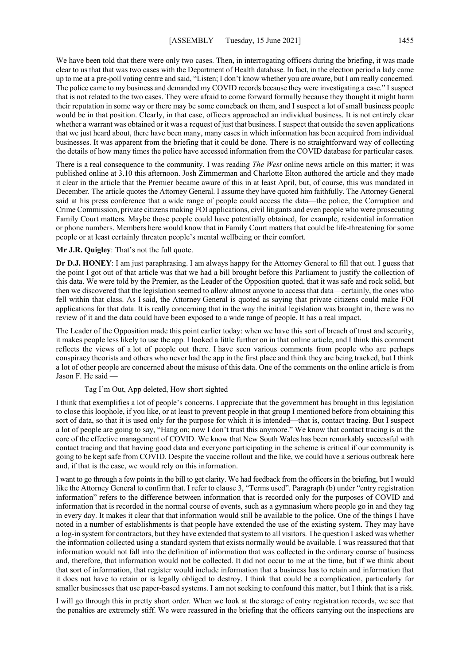We have been told that there were only two cases. Then, in interrogating officers during the briefing, it was made clear to us that that was two cases with the Department of Health database. In fact, in the election period a lady came up to me at a pre-poll voting centre and said, "Listen; I don't know whether you are aware, but I am really concerned. The police came to my business and demanded my COVID records because they were investigating a case." I suspect that is not related to the two cases. They were afraid to come forward formally because they thought it might harm their reputation in some way or there may be some comeback on them, and I suspect a lot of small business people would be in that position. Clearly, in that case, officers approached an individual business. It is not entirely clear whether a warrant was obtained or it was a request of just that business. I suspect that outside the seven applications that we just heard about, there have been many, many cases in which information has been acquired from individual businesses. It was apparent from the briefing that it could be done. There is no straightforward way of collecting the details of how many times the police have accessed information from the COVID database for particular cases.

There is a real consequence to the community. I was reading *The West* online news article on this matter; it was published online at 3.10 this afternoon. Josh Zimmerman and Charlotte Elton authored the article and they made it clear in the article that the Premier became aware of this in at least April, but, of course, this was mandated in December. The article quotes the Attorney General. I assume they have quoted him faithfully. The Attorney General said at his press conference that a wide range of people could access the data—the police, the Corruption and Crime Commission, private citizens making FOI applications, civil litigants and even people who were prosecuting Family Court matters. Maybe those people could have potentially obtained, for example, residential information or phone numbers. Members here would know that in Family Court matters that could be life-threatening for some people or at least certainly threaten people's mental wellbeing or their comfort.

#### **Mr J.R. Quigley**: That's not the full quote.

**Dr D.J. HONEY**: I am just paraphrasing. I am always happy for the Attorney General to fill that out. I guess that the point I got out of that article was that we had a bill brought before this Parliament to justify the collection of this data. We were told by the Premier, as the Leader of the Opposition quoted, that it was safe and rock solid, but then we discovered that the legislation seemed to allow almost anyone to access that data—certainly, the ones who fell within that class. As I said, the Attorney General is quoted as saying that private citizens could make FOI applications for that data. It is really concerning that in the way the initial legislation was brought in, there was no review of it and the data could have been exposed to a wide range of people. It has a real impact.

The Leader of the Opposition made this point earlier today: when we have this sort of breach of trust and security, it makes people less likely to use the app. I looked a little further on in that online article, and I think this comment reflects the views of a lot of people out there. I have seen various comments from people who are perhaps conspiracy theorists and others who never had the app in the first place and think they are being tracked, but I think a lot of other people are concerned about the misuse of this data. One of the comments on the online article is from Jason F. He said —

#### Tag I'm Out, App deleted, How short sighted

I think that exemplifies a lot of people's concerns. I appreciate that the government has brought in this legislation to close this loophole, if you like, or at least to prevent people in that group I mentioned before from obtaining this sort of data, so that it is used only for the purpose for which it is intended—that is, contact tracing. But I suspect a lot of people are going to say, "Hang on; now I don't trust this anymore." We know that contact tracing is at the core of the effective management of COVID. We know that New South Wales has been remarkably successful with contact tracing and that having good data and everyone participating in the scheme is critical if our community is going to be kept safe from COVID. Despite the vaccine rollout and the like, we could have a serious outbreak here and, if that is the case, we would rely on this information.

I want to go through a few points in the bill to get clarity. We had feedback from the officers in the briefing, but I would like the Attorney General to confirm that. I refer to clause 3, "Terms used". Paragraph (b) under "entry registration information" refers to the difference between information that is recorded only for the purposes of COVID and information that is recorded in the normal course of events, such as a gymnasium where people go in and they tag in every day. It makes it clear that that information would still be available to the police. One of the things I have noted in a number of establishments is that people have extended the use of the existing system. They may have a log-in system for contractors, but they have extended that system to all visitors. The question I asked was whether the information collected using a standard system that exists normally would be available. I was reassured that that information would not fall into the definition of information that was collected in the ordinary course of business and, therefore, that information would not be collected. It did not occur to me at the time, but if we think about that sort of information, that register would include information that a business has to retain and information that it does not have to retain or is legally obliged to destroy. I think that could be a complication, particularly for smaller businesses that use paper-based systems. I am not seeking to confound this matter, but I think that is a risk.

I will go through this in pretty short order. When we look at the storage of entry registration records, we see that the penalties are extremely stiff. We were reassured in the briefing that the officers carrying out the inspections are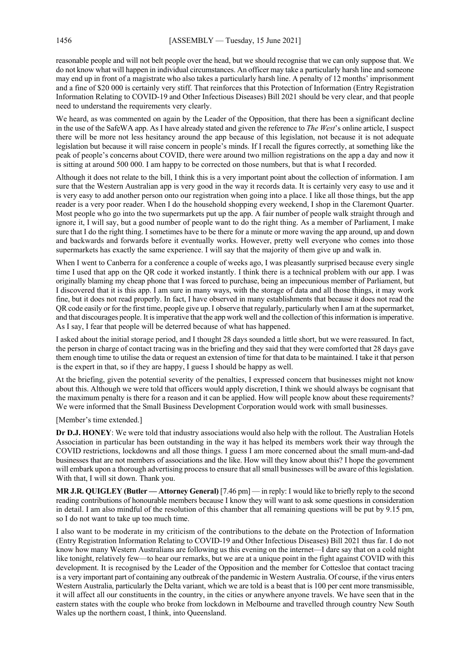reasonable people and will not belt people over the head, but we should recognise that we can only suppose that. We do not know what will happen in individual circumstances. An officer may take a particularly harsh line and someone may end up in front of a magistrate who also takes a particularly harsh line. A penalty of 12 months' imprisonment and a fine of \$20 000 is certainly very stiff. That reinforces that this Protection of Information (Entry Registration Information Relating to COVID-19 and Other Infectious Diseases) Bill 2021 should be very clear, and that people need to understand the requirements very clearly.

We heard, as was commented on again by the Leader of the Opposition, that there has been a significant decline in the use of the SafeWA app. As I have already stated and given the reference to *The West*'s online article, I suspect there will be more not less hesitancy around the app because of this legislation, not because it is not adequate legislation but because it will raise concern in people's minds. If I recall the figures correctly, at something like the peak of people's concerns about COVID, there were around two million registrations on the app a day and now it is sitting at around 500 000. I am happy to be corrected on those numbers, but that is what I recorded.

Although it does not relate to the bill, I think this is a very important point about the collection of information. I am sure that the Western Australian app is very good in the way it records data. It is certainly very easy to use and it is very easy to add another person onto our registration when going into a place. I like all those things, but the app reader is a very poor reader. When I do the household shopping every weekend, I shop in the Claremont Quarter. Most people who go into the two supermarkets put up the app. A fair number of people walk straight through and ignore it, I will say, but a good number of people want to do the right thing. As a member of Parliament, I make sure that I do the right thing. I sometimes have to be there for a minute or more waving the app around, up and down and backwards and forwards before it eventually works. However, pretty well everyone who comes into those supermarkets has exactly the same experience. I will say that the majority of them give up and walk in.

When I went to Canberra for a conference a couple of weeks ago, I was pleasantly surprised because every single time I used that app on the QR code it worked instantly. I think there is a technical problem with our app. I was originally blaming my cheap phone that I was forced to purchase, being an impecunious member of Parliament, but I discovered that it is this app. I am sure in many ways, with the storage of data and all those things, it may work fine, but it does not read properly. In fact, I have observed in many establishments that because it does not read the QR code easily or for the first time, people give up. I observe that regularly, particularly when I am at the supermarket, and that discourages people. It is imperative that the app work well and the collection of this information is imperative. As I say, I fear that people will be deterred because of what has happened.

I asked about the initial storage period, and I thought 28 days sounded a little short, but we were reassured. In fact, the person in charge of contact tracing was in the briefing and they said that they were comforted that 28 days gave them enough time to utilise the data or request an extension of time for that data to be maintained. I take it that person is the expert in that, so if they are happy, I guess I should be happy as well.

At the briefing, given the potential severity of the penalties, I expressed concern that businesses might not know about this. Although we were told that officers would apply discretion, I think we should always be cognisant that the maximum penalty is there for a reason and it can be applied. How will people know about these requirements? We were informed that the Small Business Development Corporation would work with small businesses.

#### [Member's time extended.]

**Dr D.J. HONEY**: We were told that industry associations would also help with the rollout. The Australian Hotels Association in particular has been outstanding in the way it has helped its members work their way through the COVID restrictions, lockdowns and all those things. I guess I am more concerned about the small mum-and-dad businesses that are not members of associations and the like. How will they know about this? I hope the government will embark upon a thorough advertising process to ensure that all small businesses will be aware of this legislation. With that, I will sit down. Thank you.

**MR J.R. QUIGLEY (Butler — Attorney General)** [7.46 pm] — in reply: I would like to briefly reply to the second reading contributions of honourable members because I know they will want to ask some questions in consideration in detail. I am also mindful of the resolution of this chamber that all remaining questions will be put by 9.15 pm, so I do not want to take up too much time.

I also want to be moderate in my criticism of the contributions to the debate on the Protection of Information (Entry Registration Information Relating to COVID-19 and Other Infectious Diseases) Bill 2021 thus far. I do not know how many Western Australians are following us this evening on the internet—I dare say that on a cold night like tonight, relatively few—to hear our remarks, but we are at a unique point in the fight against COVID with this development. It is recognised by the Leader of the Opposition and the member for Cottesloe that contact tracing is a very important part of containing any outbreak of the pandemic in Western Australia. Of course, if the virus enters Western Australia, particularly the Delta variant, which we are told is a beast that is 100 per cent more transmissible, it will affect all our constituents in the country, in the cities or anywhere anyone travels. We have seen that in the eastern states with the couple who broke from lockdown in Melbourne and travelled through country New South Wales up the northern coast, I think, into Queensland.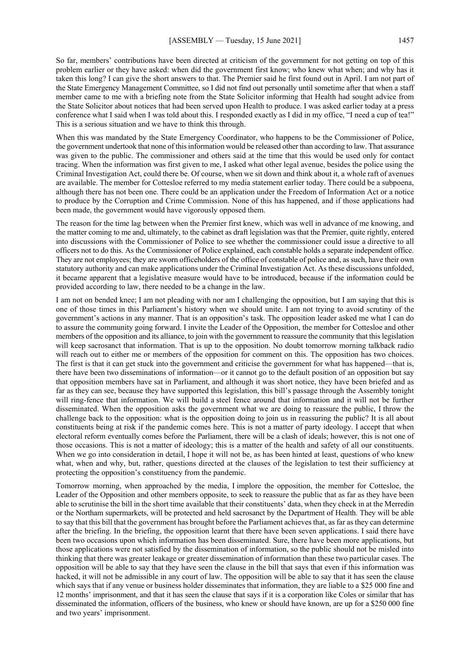So far, members' contributions have been directed at criticism of the government for not getting on top of this problem earlier or they have asked: when did the government first know; who knew what when; and why has it taken this long? I can give the short answers to that. The Premier said he first found out in April. I am not part of the State Emergency Management Committee, so I did not find out personally until sometime after that when a staff member came to me with a briefing note from the State Solicitor informing that Health had sought advice from the State Solicitor about notices that had been served upon Health to produce. I was asked earlier today at a press conference what I said when I was told about this. I responded exactly as I did in my office, "I need a cup of tea!" This is a serious situation and we have to think this through.

When this was mandated by the State Emergency Coordinator, who happens to be the Commissioner of Police, the government undertook that none of this information would be released other than according to law. That assurance was given to the public. The commissioner and others said at the time that this would be used only for contact tracing. When the information was first given to me, I asked what other legal avenue, besides the police using the Criminal Investigation Act, could there be. Of course, when we sit down and think about it, a whole raft of avenues are available. The member for Cottesloe referred to my media statement earlier today. There could be a subpoena, although there has not been one. There could be an application under the Freedom of Information Act or a notice to produce by the Corruption and Crime Commission. None of this has happened, and if those applications had been made, the government would have vigorously opposed them.

The reason for the time lag between when the Premier first knew, which was well in advance of me knowing, and the matter coming to me and, ultimately, to the cabinet as draft legislation was that the Premier, quite rightly, entered into discussions with the Commissioner of Police to see whether the commissioner could issue a directive to all officers not to do this. As the Commissioner of Police explained, each constable holds a separate independent office. They are not employees; they are sworn officeholders of the office of constable of police and, as such, have their own statutory authority and can make applications under the Criminal Investigation Act. As these discussions unfolded, it became apparent that a legislative measure would have to be introduced, because if the information could be provided according to law, there needed to be a change in the law.

I am not on bended knee; I am not pleading with nor am I challenging the opposition, but I am saying that this is one of those times in this Parliament's history when we should unite. I am not trying to avoid scrutiny of the government's actions in any manner. That is an opposition's task. The opposition leader asked me what I can do to assure the community going forward. I invite the Leader of the Opposition, the member for Cottesloe and other members of the opposition and its alliance, to join with the government to reassure the community that this legislation will keep sacrosanct that information. That is up to the opposition. No doubt tomorrow morning talkback radio will reach out to either me or members of the opposition for comment on this. The opposition has two choices. The first is that it can get stuck into the government and criticise the government for what has happened—that is, there have been two disseminations of information—or it cannot go to the default position of an opposition but say that opposition members have sat in Parliament, and although it was short notice, they have been briefed and as far as they can see, because they have supported this legislation, this bill's passage through the Assembly tonight will ring-fence that information. We will build a steel fence around that information and it will not be further disseminated. When the opposition asks the government what we are doing to reassure the public, I throw the challenge back to the opposition: what is the opposition doing to join us in reassuring the public? It is all about constituents being at risk if the pandemic comes here. This is not a matter of party ideology. I accept that when electoral reform eventually comes before the Parliament, there will be a clash of ideals; however, this is not one of those occasions. This is not a matter of ideology; this is a matter of the health and safety of all our constituents. When we go into consideration in detail, I hope it will not be, as has been hinted at least, questions of who knew what, when and why, but, rather, questions directed at the clauses of the legislation to test their sufficiency at protecting the opposition's constituency from the pandemic.

Tomorrow morning, when approached by the media, I implore the opposition, the member for Cottesloe, the Leader of the Opposition and other members opposite, to seek to reassure the public that as far as they have been able to scrutinise the bill in the short time available that their constituents' data, when they check in at the Merredin or the Northam supermarkets, will be protected and held sacrosanct by the Department of Health. They will be able to say that this bill that the government has brought before the Parliament achieves that, as far as they can determine after the briefing. In the briefing, the opposition learnt that there have been seven applications. I said there have been two occasions upon which information has been disseminated. Sure, there have been more applications, but those applications were not satisfied by the dissemination of information, so the public should not be misled into thinking that there was greater leakage or greater dissemination of information than these two particular cases. The opposition will be able to say that they have seen the clause in the bill that says that even if this information was hacked, it will not be admissible in any court of law. The opposition will be able to say that it has seen the clause which says that if any venue or business holder disseminates that information, they are liable to a \$25 000 fine and 12 months' imprisonment, and that it has seen the clause that says if it is a corporation like Coles or similar that has disseminated the information, officers of the business, who knew or should have known, are up for a \$250 000 fine and two years' imprisonment.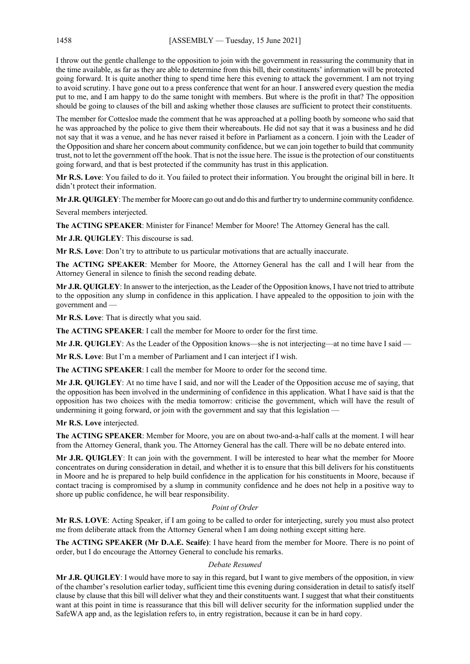I throw out the gentle challenge to the opposition to join with the government in reassuring the community that in the time available, as far as they are able to determine from this bill, their constituents' information will be protected going forward. It is quite another thing to spend time here this evening to attack the government. I am not trying to avoid scrutiny. I have gone out to a press conference that went for an hour. I answered every question the media put to me, and I am happy to do the same tonight with members. But where is the profit in that? The opposition should be going to clauses of the bill and asking whether those clauses are sufficient to protect their constituents.

The member for Cottesloe made the comment that he was approached at a polling booth by someone who said that he was approached by the police to give them their whereabouts. He did not say that it was a business and he did not say that it was a venue, and he has never raised it before in Parliament as a concern. I join with the Leader of the Opposition and share her concern about community confidence, but we can join together to build that community trust, not to let the government off the hook. That is not the issue here. The issue is the protection of our constituents going forward, and that is best protected if the community has trust in this application.

**Mr R.S. Love**: You failed to do it. You failed to protect their information. You brought the original bill in here. It didn't protect their information.

**Mr J.R. QUIGLEY**: The member for Moore can go out and do this and further try to undermine community confidence.

Several members interjected.

**The ACTING SPEAKER**: Minister for Finance! Member for Moore! The Attorney General has the call.

**Mr J.R. QUIGLEY**: This discourse is sad.

**Mr R.S. Love**: Don't try to attribute to us particular motivations that are actually inaccurate.

**The ACTING SPEAKER**: Member for Moore, the Attorney General has the call and I will hear from the Attorney General in silence to finish the second reading debate.

**Mr J.R. QUIGLEY**: In answer to the interjection, as the Leader of the Opposition knows, I have not tried to attribute to the opposition any slump in confidence in this application. I have appealed to the opposition to join with the government and —

**Mr R.S. Love**: That is directly what you said.

**The ACTING SPEAKER**: I call the member for Moore to order for the first time.

**Mr J.R. QUIGLEY**: As the Leader of the Opposition knows—she is not interjecting—at no time have I said —

**Mr R.S. Love**: But I'm a member of Parliament and I can interject if I wish.

**The ACTING SPEAKER**: I call the member for Moore to order for the second time.

**Mr J.R. QUIGLEY**: At no time have I said, and nor will the Leader of the Opposition accuse me of saying, that the opposition has been involved in the undermining of confidence in this application. What I have said is that the opposition has two choices with the media tomorrow: criticise the government, which will have the result of undermining it going forward, or join with the government and say that this legislation —

### **Mr R.S. Love** interjected.

**The ACTING SPEAKER**: Member for Moore, you are on about two-and-a-half calls at the moment. I will hear from the Attorney General, thank you. The Attorney General has the call. There will be no debate entered into.

**Mr J.R. QUIGLEY**: It can join with the government. I will be interested to hear what the member for Moore concentrates on during consideration in detail, and whether it is to ensure that this bill delivers for his constituents in Moore and he is prepared to help build confidence in the application for his constituents in Moore, because if contact tracing is compromised by a slump in community confidence and he does not help in a positive way to shore up public confidence, he will bear responsibility.

### *Point of Order*

**Mr R.S. LOVE**: Acting Speaker, if I am going to be called to order for interjecting, surely you must also protect me from deliberate attack from the Attorney General when I am doing nothing except sitting here.

**The ACTING SPEAKER (Mr D.A.E. Scaife)**: I have heard from the member for Moore. There is no point of order, but I do encourage the Attorney General to conclude his remarks.

### *Debate Resumed*

**Mr J.R. QUIGLEY**: I would have more to say in this regard, but I want to give members of the opposition, in view of the chamber's resolution earlier today, sufficient time this evening during consideration in detail to satisfy itself clause by clause that this bill will deliver what they and their constituents want. I suggest that what their constituents want at this point in time is reassurance that this bill will deliver security for the information supplied under the SafeWA app and, as the legislation refers to, in entry registration, because it can be in hard copy.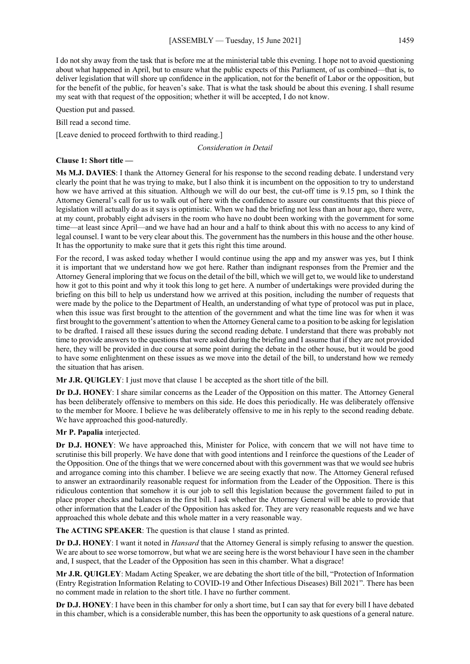I do not shy away from the task that is before me at the ministerial table this evening. I hope not to avoid questioning about what happened in April, but to ensure what the public expects of this Parliament, of us combined—that is, to deliver legislation that will shore up confidence in the application, not for the benefit of Labor or the opposition, but for the benefit of the public, for heaven's sake. That is what the task should be about this evening. I shall resume my seat with that request of the opposition; whether it will be accepted, I do not know.

Question put and passed.

Bill read a second time.

[Leave denied to proceed forthwith to third reading.]

*Consideration in Detail*

#### **Clause 1: Short title —**

**Ms M.J. DAVIES**: I thank the Attorney General for his response to the second reading debate. I understand very clearly the point that he was trying to make, but I also think it is incumbent on the opposition to try to understand how we have arrived at this situation. Although we will do our best, the cut-off time is 9.15 pm, so I think the Attorney General's call for us to walk out of here with the confidence to assure our constituents that this piece of legislation will actually do as it says is optimistic. When we had the briefing not less than an hour ago, there were, at my count, probably eight advisers in the room who have no doubt been working with the government for some time—at least since April—and we have had an hour and a half to think about this with no access to any kind of legal counsel. I want to be very clear about this. The government has the numbers in this house and the other house. It has the opportunity to make sure that it gets this right this time around.

For the record, I was asked today whether I would continue using the app and my answer was yes, but I think it is important that we understand how we got here. Rather than indignant responses from the Premier and the Attorney General imploring that we focus on the detail of the bill, which we will get to, we would like to understand how it got to this point and why it took this long to get here. A number of undertakings were provided during the briefing on this bill to help us understand how we arrived at this position, including the number of requests that were made by the police to the Department of Health, an understanding of what type of protocol was put in place, when this issue was first brought to the attention of the government and what the time line was for when it was first brought to the government's attention to when the Attorney General came to a position to be asking for legislation to be drafted. I raised all these issues during the second reading debate. I understand that there was probably not time to provide answers to the questions that were asked during the briefing and I assume that if they are not provided here, they will be provided in due course at some point during the debate in the other house, but it would be good to have some enlightenment on these issues as we move into the detail of the bill, to understand how we remedy the situation that has arisen.

**Mr J.R. QUIGLEY**: I just move that clause 1 be accepted as the short title of the bill.

**Dr D.J. HONEY**: I share similar concerns as the Leader of the Opposition on this matter. The Attorney General has been deliberately offensive to members on this side. He does this periodically. He was deliberately offensive to the member for Moore. I believe he was deliberately offensive to me in his reply to the second reading debate. We have approached this good-naturedly.

### **Mr P. Papalia** interjected.

**Dr D.J. HONEY**: We have approached this, Minister for Police, with concern that we will not have time to scrutinise this bill properly. We have done that with good intentions and I reinforce the questions of the Leader of the Opposition. One of the things that we were concerned about with this government was that we would see hubris and arrogance coming into this chamber. I believe we are seeing exactly that now. The Attorney General refused to answer an extraordinarily reasonable request for information from the Leader of the Opposition. There is this ridiculous contention that somehow it is our job to sell this legislation because the government failed to put in place proper checks and balances in the first bill. I ask whether the Attorney General will be able to provide that other information that the Leader of the Opposition has asked for. They are very reasonable requests and we have approached this whole debate and this whole matter in a very reasonable way.

**The ACTING SPEAKER**: The question is that clause 1 stand as printed.

**Dr D.J. HONEY**: I want it noted in *Hansard* that the Attorney General is simply refusing to answer the question. We are about to see worse tomorrow, but what we are seeing here is the worst behaviour I have seen in the chamber and, I suspect, that the Leader of the Opposition has seen in this chamber. What a disgrace!

**Mr J.R. QUIGLEY**: Madam Acting Speaker, we are debating the short title of the bill, "Protection of Information (Entry Registration Information Relating to COVID-19 and Other Infectious Diseases) Bill 2021". There has been no comment made in relation to the short title. I have no further comment.

**Dr D.J. HONEY**: I have been in this chamber for only a short time, but I can say that for every bill I have debated in this chamber, which is a considerable number, this has been the opportunity to ask questions of a general nature.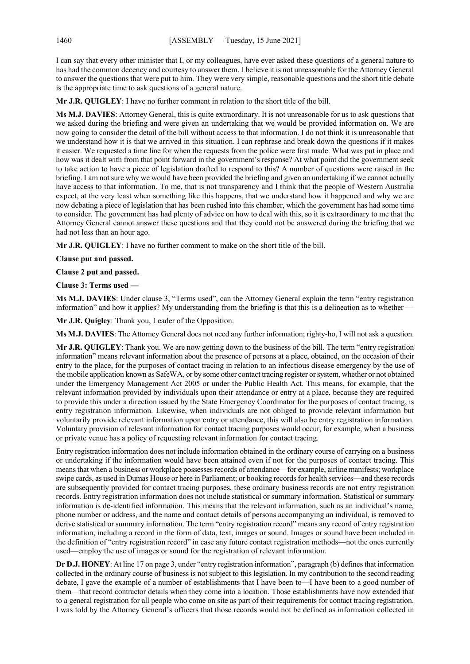I can say that every other minister that I, or my colleagues, have ever asked these questions of a general nature to has had the common decency and courtesy to answer them. I believe it is not unreasonable for the Attorney General to answer the questions that were put to him. They were very simple, reasonable questions and the short title debate is the appropriate time to ask questions of a general nature.

**Mr J.R. QUIGLEY**: I have no further comment in relation to the short title of the bill.

**Ms M.J. DAVIES**: Attorney General, this is quite extraordinary. It is not unreasonable for us to ask questions that we asked during the briefing and were given an undertaking that we would be provided information on. We are now going to consider the detail of the bill without access to that information. I do not think it is unreasonable that we understand how it is that we arrived in this situation. I can rephrase and break down the questions if it makes it easier. We requested a time line for when the requests from the police were first made. What was put in place and how was it dealt with from that point forward in the government's response? At what point did the government seek to take action to have a piece of legislation drafted to respond to this? A number of questions were raised in the briefing. I am not sure why we would have been provided the briefing and given an undertaking if we cannot actually have access to that information. To me, that is not transparency and I think that the people of Western Australia expect, at the very least when something like this happens, that we understand how it happened and why we are now debating a piece of legislation that has been rushed into this chamber, which the government has had some time to consider. The government has had plenty of advice on how to deal with this, so it is extraordinary to me that the Attorney General cannot answer these questions and that they could not be answered during the briefing that we had not less than an hour ago.

**Mr J.R. QUIGLEY**: I have no further comment to make on the short title of the bill.

**Clause put and passed.**

**Clause 2 put and passed.**

**Clause 3: Terms used —**

**Ms M.J. DAVIES**: Under clause 3, "Terms used", can the Attorney General explain the term "entry registration information" and how it applies? My understanding from the briefing is that this is a delineation as to whether

**Mr J.R. Quigley**: Thank you, Leader of the Opposition.

**Ms M.J. DAVIES**: The Attorney General does not need any further information; righty-ho, I will not ask a question.

**Mr J.R. QUIGLEY**: Thank you. We are now getting down to the business of the bill. The term "entry registration information" means relevant information about the presence of persons at a place, obtained, on the occasion of their entry to the place, for the purposes of contact tracing in relation to an infectious disease emergency by the use of the mobile application known as SafeWA, or by some other contact tracing register or system, whether or not obtained under the Emergency Management Act 2005 or under the Public Health Act. This means, for example, that the relevant information provided by individuals upon their attendance or entry at a place, because they are required to provide this under a direction issued by the State Emergency Coordinator for the purposes of contact tracing, is entry registration information. Likewise, when individuals are not obliged to provide relevant information but voluntarily provide relevant information upon entry or attendance, this will also be entry registration information. Voluntary provision of relevant information for contact tracing purposes would occur, for example, when a business or private venue has a policy of requesting relevant information for contact tracing.

Entry registration information does not include information obtained in the ordinary course of carrying on a business or undertaking if the information would have been attained even if not for the purposes of contact tracing. This means that when a business or workplace possesses records of attendance—for example, airline manifests; workplace swipe cards, as used in Dumas House or here in Parliament; or booking records for health services—and these records are subsequently provided for contact tracing purposes, these ordinary business records are not entry registration records. Entry registration information does not include statistical or summary information. Statistical or summary information is de-identified information. This means that the relevant information, such as an individual's name, phone number or address, and the name and contact details of persons accompanying an individual, is removed to derive statistical or summary information. The term "entry registration record" means any record of entry registration information, including a record in the form of data, text, images or sound. Images or sound have been included in the definition of "entry registration record" in case any future contact registration methods—not the ones currently used—employ the use of images or sound for the registration of relevant information.

**Dr D.J. HONEY**: At line 17 on page 3, under "entry registration information", paragraph (b) defines that information collected in the ordinary course of business is not subject to this legislation. In my contribution to the second reading debate, I gave the example of a number of establishments that I have been to—I have been to a good number of them—that record contractor details when they come into a location. Those establishments have now extended that to a general registration for all people who come on site as part of their requirements for contact tracing registration. I was told by the Attorney General's officers that those records would not be defined as information collected in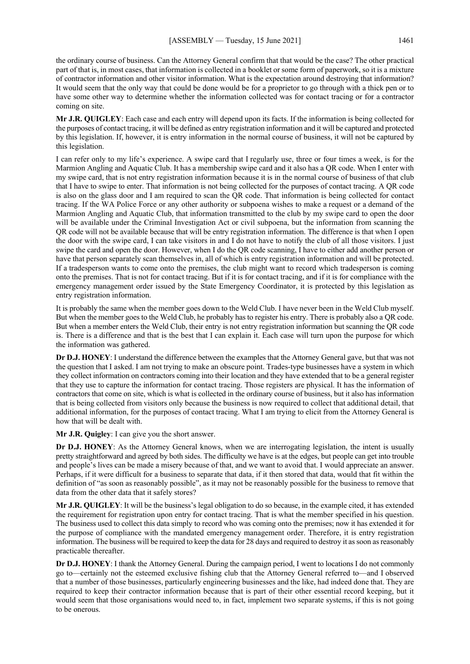the ordinary course of business. Can the Attorney General confirm that that would be the case? The other practical part of that is, in most cases, that information is collected in a booklet or some form of paperwork, so it is a mixture of contractor information and other visitor information. What is the expectation around destroying that information? It would seem that the only way that could be done would be for a proprietor to go through with a thick pen or to have some other way to determine whether the information collected was for contact tracing or for a contractor coming on site.

**Mr J.R. QUIGLEY**: Each case and each entry will depend upon its facts. If the information is being collected for the purposes of contact tracing, it will be defined as entry registration information and it will be captured and protected by this legislation. If, however, it is entry information in the normal course of business, it will not be captured by this legislation.

I can refer only to my life's experience. A swipe card that I regularly use, three or four times a week, is for the Marmion Angling and Aquatic Club. It has a membership swipe card and it also has a QR code. When I enter with my swipe card, that is not entry registration information because it is in the normal course of business of that club that I have to swipe to enter. That information is not being collected for the purposes of contact tracing. A QR code is also on the glass door and I am required to scan the QR code. That information is being collected for contact tracing. If the WA Police Force or any other authority or subpoena wishes to make a request or a demand of the Marmion Angling and Aquatic Club, that information transmitted to the club by my swipe card to open the door will be available under the Criminal Investigation Act or civil subpoena, but the information from scanning the QR code will not be available because that will be entry registration information. The difference is that when I open the door with the swipe card, I can take visitors in and I do not have to notify the club of all those visitors. I just swipe the card and open the door. However, when I do the QR code scanning, I have to either add another person or have that person separately scan themselves in, all of which is entry registration information and will be protected. If a tradesperson wants to come onto the premises, the club might want to record which tradesperson is coming onto the premises. That is not for contact tracing. But if it is for contact tracing, and if it is for compliance with the emergency management order issued by the State Emergency Coordinator, it is protected by this legislation as entry registration information.

It is probably the same when the member goes down to the Weld Club. I have never been in the Weld Club myself. But when the member goes to the Weld Club, he probably has to register his entry. There is probably also a QR code. But when a member enters the Weld Club, their entry is not entry registration information but scanning the QR code is. There is a difference and that is the best that I can explain it. Each case will turn upon the purpose for which the information was gathered.

**Dr D.J. HONEY**: I understand the difference between the examples that the Attorney General gave, but that was not the question that I asked. I am not trying to make an obscure point. Trades-type businesses have a system in which they collect information on contractors coming into their location and they have extended that to be a general register that they use to capture the information for contact tracing. Those registers are physical. It has the information of contractors that come on site, which is what is collected in the ordinary course of business, but it also has information that is being collected from visitors only because the business is now required to collect that additional detail, that additional information, for the purposes of contact tracing. What I am trying to elicit from the Attorney General is how that will be dealt with.

**Mr J.R. Quigley**: I can give you the short answer.

**Dr D.J. HONEY**: As the Attorney General knows, when we are interrogating legislation, the intent is usually pretty straightforward and agreed by both sides. The difficulty we have is at the edges, but people can get into trouble and people's lives can be made a misery because of that, and we want to avoid that. I would appreciate an answer. Perhaps, if it were difficult for a business to separate that data, if it then stored that data, would that fit within the definition of "as soon as reasonably possible", as it may not be reasonably possible for the business to remove that data from the other data that it safely stores?

**Mr J.R. QUIGLEY**: It will be the business's legal obligation to do so because, in the example cited, it has extended the requirement for registration upon entry for contact tracing. That is what the member specified in his question. The business used to collect this data simply to record who was coming onto the premises; now it has extended it for the purpose of compliance with the mandated emergency management order. Therefore, it is entry registration information. The business will be required to keep the data for 28 days and required to destroy it as soon as reasonably practicable thereafter.

**Dr D.J. HONEY**: I thank the Attorney General. During the campaign period, I went to locations I do not commonly go to—certainly not the esteemed exclusive fishing club that the Attorney General referred to—and I observed that a number of those businesses, particularly engineering businesses and the like, had indeed done that. They are required to keep their contractor information because that is part of their other essential record keeping, but it would seem that those organisations would need to, in fact, implement two separate systems, if this is not going to be onerous.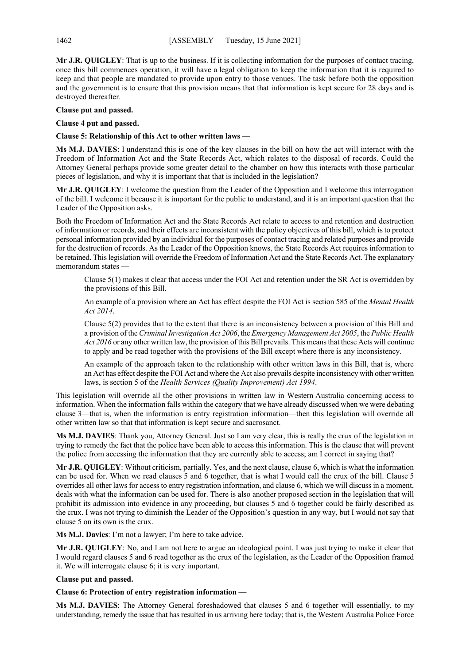**Mr J.R. QUIGLEY**: That is up to the business. If it is collecting information for the purposes of contact tracing, once this bill commences operation, it will have a legal obligation to keep the information that it is required to keep and that people are mandated to provide upon entry to those venues. The task before both the opposition and the government is to ensure that this provision means that that information is kept secure for 28 days and is destroyed thereafter.

# **Clause put and passed.**

#### **Clause 4 put and passed.**

#### **Clause 5: Relationship of this Act to other written laws —**

**Ms M.J. DAVIES**: I understand this is one of the key clauses in the bill on how the act will interact with the Freedom of Information Act and the State Records Act, which relates to the disposal of records. Could the Attorney General perhaps provide some greater detail to the chamber on how this interacts with those particular pieces of legislation, and why it is important that that is included in the legislation?

**Mr J.R. QUIGLEY**: I welcome the question from the Leader of the Opposition and I welcome this interrogation of the bill. I welcome it because it is important for the public to understand, and it is an important question that the Leader of the Opposition asks.

Both the Freedom of Information Act and the State Records Act relate to access to and retention and destruction of information or records, and their effects are inconsistent with the policy objectives of this bill, which is to protect personal information provided by an individual for the purposes of contact tracing and related purposes and provide for the destruction of records. As the Leader of the Opposition knows, the State Records Act requires information to be retained. This legislation will override the Freedom of Information Act and the State Records Act. The explanatory memorandum states —

Clause 5(1) makes it clear that access under the FOI Act and retention under the SR Act is overridden by the provisions of this Bill.

An example of a provision where an Act has effect despite the FOI Act is section 585 of the *Mental Health Act 2014*.

Clause 5(2) provides that to the extent that there is an inconsistency between a provision of this Bill and a provision of the *Criminal Investigation Act 2006*, the *Emergency Management Act 2005*, the *Public Health Act 2016* or any other written law, the provision of this Bill prevails. This means that these Acts will continue to apply and be read together with the provisions of the Bill except where there is any inconsistency.

An example of the approach taken to the relationship with other written laws in this Bill, that is, where an Act has effect despite the FOI Act and where the Act also prevails despite inconsistency with other written laws, is section 5 of the *Health Services (Quality Improvement) Act 1994*.

This legislation will override all the other provisions in written law in Western Australia concerning access to information. When the information falls within the category that we have already discussed when we were debating clause 3—that is, when the information is entry registration information—then this legislation will override all other written law so that that information is kept secure and sacrosanct.

**Ms M.J. DAVIES**: Thank you, Attorney General. Just so I am very clear, this is really the crux of the legislation in trying to remedy the fact that the police have been able to access this information. This is the clause that will prevent the police from accessing the information that they are currently able to access; am I correct in saying that?

**Mr J.R. QUIGLEY**: Without criticism, partially. Yes, and the next clause, clause 6, which is what the information can be used for. When we read clauses 5 and 6 together, that is what I would call the crux of the bill. Clause 5 overrides all other laws for access to entry registration information, and clause 6, which we will discuss in a moment, deals with what the information can be used for. There is also another proposed section in the legislation that will prohibit its admission into evidence in any proceeding, but clauses 5 and 6 together could be fairly described as the crux. I was not trying to diminish the Leader of the Opposition's question in any way, but I would not say that clause 5 on its own is the crux.

**Ms M.J. Davies**: I'm not a lawyer; I'm here to take advice.

**Mr J.R. QUIGLEY**: No, and I am not here to argue an ideological point. I was just trying to make it clear that I would regard clauses 5 and 6 read together as the crux of the legislation, as the Leader of the Opposition framed it. We will interrogate clause 6; it is very important.

#### **Clause put and passed.**

#### **Clause 6: Protection of entry registration information —**

**Ms M.J. DAVIES**: The Attorney General foreshadowed that clauses 5 and 6 together will essentially, to my understanding, remedy the issue that has resulted in us arriving here today; that is, the Western Australia Police Force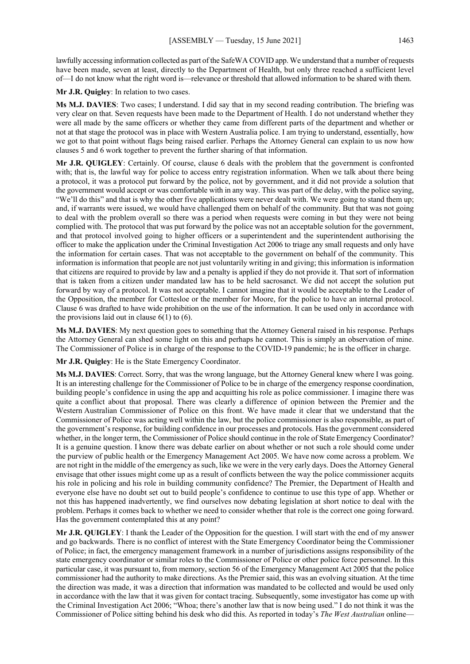lawfully accessing information collected as part of the SafeWA COVID app. We understand that a number of requests have been made, seven at least, directly to the Department of Health, but only three reached a sufficient level of—I do not know what the right word is—relevance or threshold that allowed information to be shared with them.

**Mr J.R. Quigley**: In relation to two cases.

**Ms M.J. DAVIES**: Two cases; I understand. I did say that in my second reading contribution. The briefing was very clear on that. Seven requests have been made to the Department of Health. I do not understand whether they were all made by the same officers or whether they came from different parts of the department and whether or not at that stage the protocol was in place with Western Australia police. I am trying to understand, essentially, how we got to that point without flags being raised earlier. Perhaps the Attorney General can explain to us now how clauses 5 and 6 work together to prevent the further sharing of that information.

**Mr J.R. QUIGLEY**: Certainly. Of course, clause 6 deals with the problem that the government is confronted with; that is, the lawful way for police to access entry registration information. When we talk about there being a protocol, it was a protocol put forward by the police, not by government, and it did not provide a solution that the government would accept or was comfortable with in any way. This was part of the delay, with the police saying, "We'll do this" and that is why the other five applications were never dealt with. We were going to stand them up; and, if warrants were issued, we would have challenged them on behalf of the community. But that was not going to deal with the problem overall so there was a period when requests were coming in but they were not being complied with. The protocol that was put forward by the police was not an acceptable solution for the government, and that protocol involved going to higher officers or a superintendent and the superintendent authorising the officer to make the application under the Criminal Investigation Act 2006 to triage any small requests and only have the information for certain cases. That was not acceptable to the government on behalf of the community. This information is information that people are not just voluntarily writing in and giving; this information is information that citizens are required to provide by law and a penalty is applied if they do not provide it. That sort of information that is taken from a citizen under mandated law has to be held sacrosanct. We did not accept the solution put forward by way of a protocol. It was not acceptable. I cannot imagine that it would be acceptable to the Leader of the Opposition, the member for Cottesloe or the member for Moore, for the police to have an internal protocol. Clause 6 was drafted to have wide prohibition on the use of the information. It can be used only in accordance with the provisions laid out in clause  $6(1)$  to  $(6)$ .

**Ms M.J. DAVIES**: My next question goes to something that the Attorney General raised in his response. Perhaps the Attorney General can shed some light on this and perhaps he cannot. This is simply an observation of mine. The Commissioner of Police is in charge of the response to the COVID-19 pandemic; he is the officer in charge.

**Mr J.R. Quigley**: He is the State Emergency Coordinator.

**Ms M.J. DAVIES**: Correct. Sorry, that was the wrong language, but the Attorney General knew where I was going. It is an interesting challenge for the Commissioner of Police to be in charge of the emergency response coordination, building people's confidence in using the app and acquitting his role as police commissioner. I imagine there was quite a conflict about that proposal. There was clearly a difference of opinion between the Premier and the Western Australian Commissioner of Police on this front. We have made it clear that we understand that the Commissioner of Police was acting well within the law, but the police commissioner is also responsible, as part of the government's response, for building confidence in our processes and protocols. Has the government considered whether, in the longer term, the Commissioner of Police should continue in the role of State Emergency Coordinator? It is a genuine question. I know there was debate earlier on about whether or not such a role should come under the purview of public health or the Emergency Management Act 2005. We have now come across a problem. We are not right in the middle of the emergency as such, like we were in the very early days. Does the Attorney General envisage that other issues might come up as a result of conflicts between the way the police commissioner acquits his role in policing and his role in building community confidence? The Premier, the Department of Health and everyone else have no doubt set out to build people's confidence to continue to use this type of app. Whether or not this has happened inadvertently, we find ourselves now debating legislation at short notice to deal with the problem. Perhaps it comes back to whether we need to consider whether that role is the correct one going forward. Has the government contemplated this at any point?

**Mr J.R. QUIGLEY**: I thank the Leader of the Opposition for the question. I will start with the end of my answer and go backwards. There is no conflict of interest with the State Emergency Coordinator being the Commissioner of Police; in fact, the emergency management framework in a number of jurisdictions assigns responsibility of the state emergency coordinator or similar roles to the Commissioner of Police or other police force personnel. In this particular case, it was pursuant to, from memory, section 56 of the Emergency Management Act 2005 that the police commissioner had the authority to make directions. As the Premier said, this was an evolving situation. At the time the direction was made, it was a direction that information was mandated to be collected and would be used only in accordance with the law that it was given for contact tracing. Subsequently, some investigator has come up with the Criminal Investigation Act 2006; "Whoa; there's another law that is now being used." I do not think it was the Commissioner of Police sitting behind his desk who did this. As reported in today's *The West Australian* online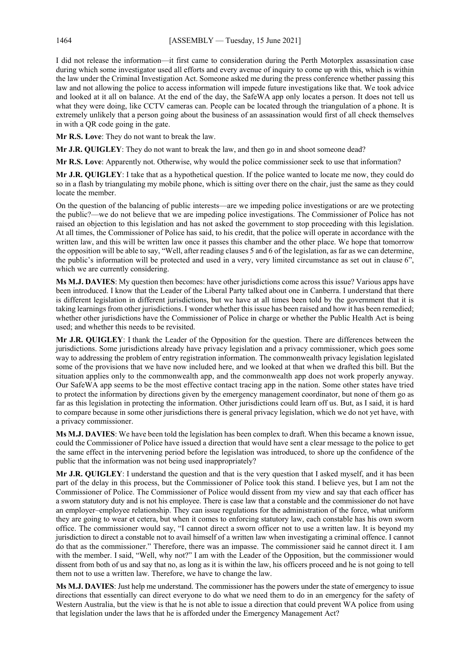I did not release the information—it first came to consideration during the Perth Motorplex assassination case during which some investigator used all efforts and every avenue of inquiry to come up with this, which is within the law under the Criminal Investigation Act. Someone asked me during the press conference whether passing this law and not allowing the police to access information will impede future investigations like that. We took advice and looked at it all on balance. At the end of the day, the SafeWA app only locates a person. It does not tell us what they were doing, like CCTV cameras can. People can be located through the triangulation of a phone. It is extremely unlikely that a person going about the business of an assassination would first of all check themselves in with a QR code going in the gate.

**Mr R.S. Love**: They do not want to break the law.

**Mr J.R. QUIGLEY**: They do not want to break the law, and then go in and shoot someone dead?

**Mr R.S. Love**: Apparently not. Otherwise, why would the police commissioner seek to use that information?

**Mr J.R. QUIGLEY**: I take that as a hypothetical question. If the police wanted to locate me now, they could do so in a flash by triangulating my mobile phone, which is sitting over there on the chair, just the same as they could locate the member.

On the question of the balancing of public interests—are we impeding police investigations or are we protecting the public?—we do not believe that we are impeding police investigations. The Commissioner of Police has not raised an objection to this legislation and has not asked the government to stop proceeding with this legislation. At all times, the Commissioner of Police has said, to his credit, that the police will operate in accordance with the written law, and this will be written law once it passes this chamber and the other place. We hope that tomorrow the opposition will be able to say, "Well, after reading clauses 5 and 6 of the legislation, as far as we can determine, the public's information will be protected and used in a very, very limited circumstance as set out in clause 6", which we are currently considering.

**Ms M.J. DAVIES**: My question then becomes: have other jurisdictions come across this issue? Various apps have been introduced. I know that the Leader of the Liberal Party talked about one in Canberra. I understand that there is different legislation in different jurisdictions, but we have at all times been told by the government that it is taking learnings from other jurisdictions. I wonder whether this issue has been raised and how it has been remedied; whether other jurisdictions have the Commissioner of Police in charge or whether the Public Health Act is being used; and whether this needs to be revisited.

**Mr J.R. QUIGLEY**: I thank the Leader of the Opposition for the question. There are differences between the jurisdictions. Some jurisdictions already have privacy legislation and a privacy commissioner, which goes some way to addressing the problem of entry registration information. The commonwealth privacy legislation legislated some of the provisions that we have now included here, and we looked at that when we drafted this bill. But the situation applies only to the commonwealth app, and the commonwealth app does not work properly anyway. Our SafeWA app seems to be the most effective contact tracing app in the nation. Some other states have tried to protect the information by directions given by the emergency management coordinator, but none of them go as far as this legislation in protecting the information. Other jurisdictions could learn off us. But, as I said, it is hard to compare because in some other jurisdictions there is general privacy legislation, which we do not yet have, with a privacy commissioner.

**Ms M.J. DAVIES**: We have been told the legislation has been complex to draft. When this became a known issue, could the Commissioner of Police have issued a direction that would have sent a clear message to the police to get the same effect in the intervening period before the legislation was introduced, to shore up the confidence of the public that the information was not being used inappropriately?

**Mr J.R. QUIGLEY**: I understand the question and that is the very question that I asked myself, and it has been part of the delay in this process, but the Commissioner of Police took this stand. I believe yes, but I am not the Commissioner of Police. The Commissioner of Police would dissent from my view and say that each officer has a sworn statutory duty and is not his employee. There is case law that a constable and the commissioner do not have an employer–employee relationship. They can issue regulations for the administration of the force, what uniform they are going to wear et cetera, but when it comes to enforcing statutory law, each constable has his own sworn office. The commissioner would say, "I cannot direct a sworn officer not to use a written law. It is beyond my jurisdiction to direct a constable not to avail himself of a written law when investigating a criminal offence. I cannot do that as the commissioner." Therefore, there was an impasse. The commissioner said he cannot direct it. I am with the member. I said, "Well, why not?" I am with the Leader of the Opposition, but the commissioner would dissent from both of us and say that no, as long as it is within the law, his officers proceed and he is not going to tell them not to use a written law. Therefore, we have to change the law.

**Ms M.J. DAVIES**: Just help me understand. The commissioner has the powers under the state of emergency to issue directions that essentially can direct everyone to do what we need them to do in an emergency for the safety of Western Australia, but the view is that he is not able to issue a direction that could prevent WA police from using that legislation under the laws that he is afforded under the Emergency Management Act?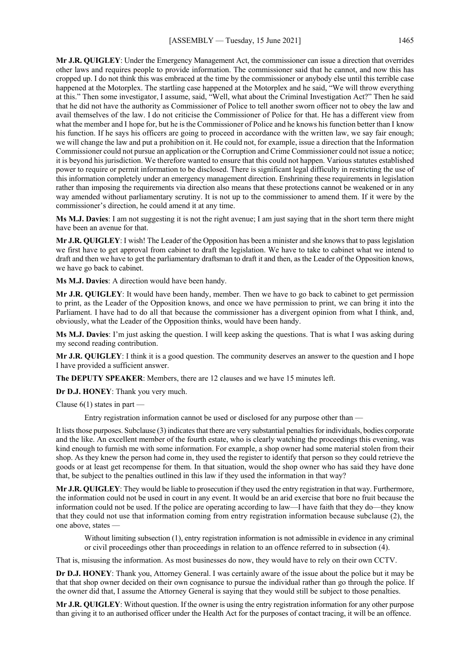**Mr J.R. QUIGLEY**: Under the Emergency Management Act, the commissioner can issue a direction that overrides other laws and requires people to provide information. The commissioner said that he cannot, and now this has cropped up. I do not think this was embraced at the time by the commissioner or anybody else until this terrible case happened at the Motorplex. The startling case happened at the Motorplex and he said, "We will throw everything at this." Then some investigator, I assume, said, "Well, what about the Criminal Investigation Act?" Then he said that he did not have the authority as Commissioner of Police to tell another sworn officer not to obey the law and avail themselves of the law. I do not criticise the Commissioner of Police for that. He has a different view from what the member and I hope for, but he is the Commissioner of Police and he knows his function better than I know his function. If he says his officers are going to proceed in accordance with the written law, we say fair enough; we will change the law and put a prohibition on it. He could not, for example, issue a direction that the Information Commissioner could not pursue an application or the Corruption and Crime Commissioner could not issue a notice; it is beyond his jurisdiction. We therefore wanted to ensure that this could not happen. Various statutes established power to require or permit information to be disclosed. There is significant legal difficulty in restricting the use of this information completely under an emergency management direction. Enshrining these requirements in legislation rather than imposing the requirements via direction also means that these protections cannot be weakened or in any way amended without parliamentary scrutiny. It is not up to the commissioner to amend them. If it were by the commissioner's direction, he could amend it at any time.

**Ms M.J. Davies**: I am not suggesting it is not the right avenue; I am just saying that in the short term there might have been an avenue for that.

**Mr J.R. QUIGLEY**: I wish! The Leader of the Opposition has been a minister and she knows that to pass legislation we first have to get approval from cabinet to draft the legislation. We have to take to cabinet what we intend to draft and then we have to get the parliamentary draftsman to draft it and then, as the Leader of the Opposition knows, we have go back to cabinet.

**Ms M.J. Davies**: A direction would have been handy.

**Mr J.R. QUIGLEY**: It would have been handy, member. Then we have to go back to cabinet to get permission to print, as the Leader of the Opposition knows, and once we have permission to print, we can bring it into the Parliament. I have had to do all that because the commissioner has a divergent opinion from what I think, and, obviously, what the Leader of the Opposition thinks, would have been handy.

**Ms M.J. Davies**: I'm just asking the question. I will keep asking the questions. That is what I was asking during my second reading contribution.

**Mr J.R. QUIGLEY**: I think it is a good question. The community deserves an answer to the question and I hope I have provided a sufficient answer.

**The DEPUTY SPEAKER**: Members, there are 12 clauses and we have 15 minutes left.

**Dr D.J. HONEY**: Thank you very much.

Clause  $6(1)$  states in part —

Entry registration information cannot be used or disclosed for any purpose other than —

It lists those purposes. Subclause (3) indicates that there are very substantial penalties for individuals, bodies corporate and the like. An excellent member of the fourth estate, who is clearly watching the proceedings this evening, was kind enough to furnish me with some information. For example, a shop owner had some material stolen from their shop. As they knew the person had come in, they used the register to identify that person so they could retrieve the goods or at least get recompense for them. In that situation, would the shop owner who has said they have done that, be subject to the penalties outlined in this law if they used the information in that way?

**Mr J.R. QUIGLEY**: They would be liable to prosecution if they used the entry registration in that way. Furthermore, the information could not be used in court in any event. It would be an arid exercise that bore no fruit because the information could not be used. If the police are operating according to law—I have faith that they do—they know that they could not use that information coming from entry registration information because subclause (2), the one above, states —

Without limiting subsection (1), entry registration information is not admissible in evidence in any criminal or civil proceedings other than proceedings in relation to an offence referred to in subsection (4).

That is, misusing the information. As most businesses do now, they would have to rely on their own CCTV.

**Dr D.J. HONEY**: Thank you, Attorney General. I was certainly aware of the issue about the police but it may be that that shop owner decided on their own cognisance to pursue the individual rather than go through the police. If the owner did that, I assume the Attorney General is saying that they would still be subject to those penalties.

**Mr J.R. QUIGLEY**: Without question. If the owner is using the entry registration information for any other purpose than giving it to an authorised officer under the Health Act for the purposes of contact tracing, it will be an offence.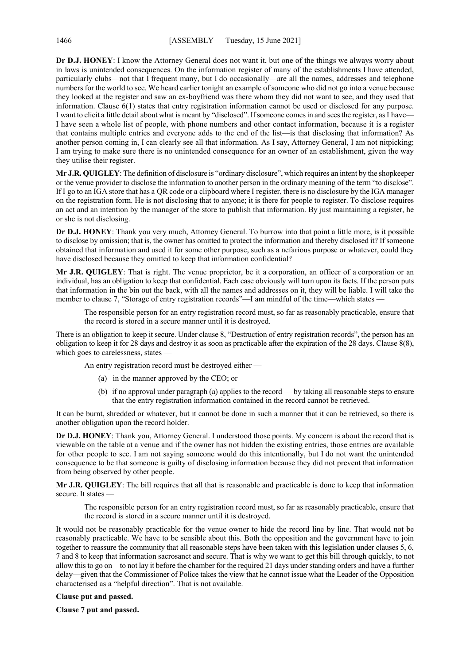**Dr D.J. HONEY**: I know the Attorney General does not want it, but one of the things we always worry about in laws is unintended consequences. On the information register of many of the establishments I have attended, particularly clubs—not that I frequent many, but I do occasionally—are all the names, addresses and telephone numbers for the world to see. We heard earlier tonight an example of someone who did not go into a venue because they looked at the register and saw an ex-boyfriend was there whom they did not want to see, and they used that information. Clause 6(1) states that entry registration information cannot be used or disclosed for any purpose. I want to elicit a little detail about what is meant by "disclosed". If someone comes in and sees the register, as I have-I have seen a whole list of people, with phone numbers and other contact information, because it is a register that contains multiple entries and everyone adds to the end of the list—is that disclosing that information? As another person coming in, I can clearly see all that information. As I say, Attorney General, I am not nitpicking; I am trying to make sure there is no unintended consequence for an owner of an establishment, given the way they utilise their register.

**Mr J.R. QUIGLEY**: The definition of disclosure is "ordinary disclosure", which requires an intent by the shopkeeper or the venue provider to disclose the information to another person in the ordinary meaning of the term "to disclose". If I go to an IGA store that has a QR code or a clipboard where I register, there is no disclosure by the IGA manager on the registration form. He is not disclosing that to anyone; it is there for people to register. To disclose requires an act and an intention by the manager of the store to publish that information. By just maintaining a register, he or she is not disclosing.

**Dr D.J. HONEY**: Thank you very much, Attorney General. To burrow into that point a little more, is it possible to disclose by omission; that is, the owner has omitted to protect the information and thereby disclosed it? If someone obtained that information and used it for some other purpose, such as a nefarious purpose or whatever, could they have disclosed because they omitted to keep that information confidential?

**Mr J.R. QUIGLEY**: That is right. The venue proprietor, be it a corporation, an officer of a corporation or an individual, has an obligation to keep that confidential. Each case obviously will turn upon its facts. If the person puts that information in the bin out the back, with all the names and addresses on it, they will be liable. I will take the member to clause 7, "Storage of entry registration records"—I am mindful of the time—which states —

The responsible person for an entry registration record must, so far as reasonably practicable, ensure that the record is stored in a secure manner until it is destroyed.

There is an obligation to keep it secure. Under clause 8, "Destruction of entry registration records", the person has an obligation to keep it for 28 days and destroy it as soon as practicable after the expiration of the 28 days. Clause 8(8), which goes to carelessness, states

An entry registration record must be destroyed either —

- (a) in the manner approved by the CEO; or
- (b) if no approval under paragraph (a) applies to the record by taking all reasonable steps to ensure that the entry registration information contained in the record cannot be retrieved.

It can be burnt, shredded or whatever, but it cannot be done in such a manner that it can be retrieved, so there is another obligation upon the record holder.

**Dr D.J. HONEY**: Thank you, Attorney General. I understood those points. My concern is about the record that is viewable on the table at a venue and if the owner has not hidden the existing entries, those entries are available for other people to see. I am not saying someone would do this intentionally, but I do not want the unintended consequence to be that someone is guilty of disclosing information because they did not prevent that information from being observed by other people.

**Mr J.R. QUIGLEY**: The bill requires that all that is reasonable and practicable is done to keep that information secure. It states -

The responsible person for an entry registration record must, so far as reasonably practicable, ensure that the record is stored in a secure manner until it is destroyed.

It would not be reasonably practicable for the venue owner to hide the record line by line. That would not be reasonably practicable. We have to be sensible about this. Both the opposition and the government have to join together to reassure the community that all reasonable steps have been taken with this legislation under clauses 5, 6, 7 and 8 to keep that information sacrosanct and secure. That is why we want to get this bill through quickly, to not allow this to go on—to not lay it before the chamber for the required 21 days under standing orders and have a further delay—given that the Commissioner of Police takes the view that he cannot issue what the Leader of the Opposition characterised as a "helpful direction". That is not available.

### **Clause put and passed.**

**Clause 7 put and passed.**